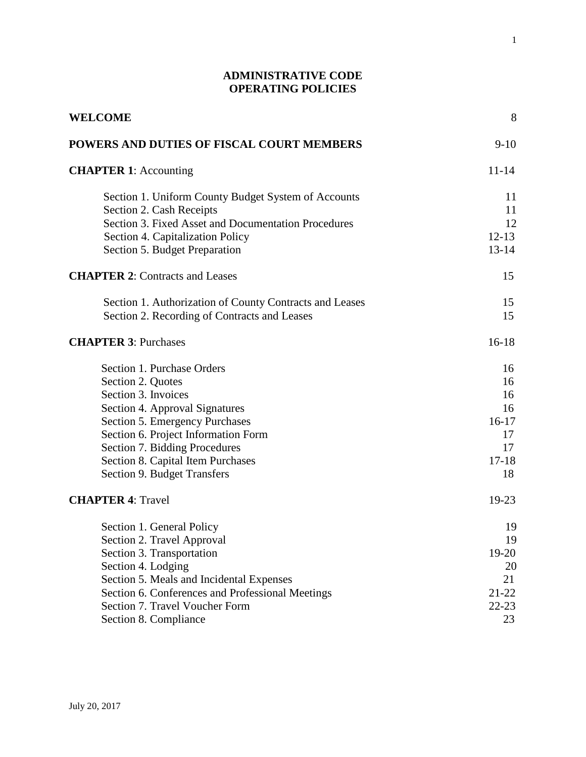# **ADMINISTRATIVE CODE OPERATING POLICIES**

| WELCOME                                                 | 8         |  |
|---------------------------------------------------------|-----------|--|
| POWERS AND DUTIES OF FISCAL COURT MEMBERS               | $9-10$    |  |
| <b>CHAPTER 1:</b> Accounting                            | $11 - 14$ |  |
| Section 1. Uniform County Budget System of Accounts     | 11        |  |
| Section 2. Cash Receipts                                | 11        |  |
| Section 3. Fixed Asset and Documentation Procedures     | 12        |  |
| Section 4. Capitalization Policy                        | $12 - 13$ |  |
| Section 5. Budget Preparation                           | $13 - 14$ |  |
| <b>CHAPTER 2: Contracts and Leases</b>                  | 15        |  |
| Section 1. Authorization of County Contracts and Leases | 15        |  |
| Section 2. Recording of Contracts and Leases            | 15        |  |
| <b>CHAPTER 3: Purchases</b>                             | $16 - 18$ |  |
| Section 1. Purchase Orders                              | 16        |  |
| Section 2. Quotes                                       | 16        |  |
| Section 3. Invoices                                     | 16        |  |
| Section 4. Approval Signatures                          | 16        |  |
| Section 5. Emergency Purchases                          | $16-17$   |  |
| Section 6. Project Information Form                     | 17        |  |
| Section 7. Bidding Procedures                           | 17        |  |
| Section 8. Capital Item Purchases                       | $17 - 18$ |  |
| Section 9. Budget Transfers                             | 18        |  |
| <b>CHAPTER 4: Travel</b>                                | 19-23     |  |
| Section 1. General Policy                               | 19        |  |
| Section 2. Travel Approval                              | 19        |  |
| Section 3. Transportation                               | $19-20$   |  |
| Section 4. Lodging                                      | 20        |  |
| Section 5. Meals and Incidental Expenses                | 21        |  |
| Section 6. Conferences and Professional Meetings        | $21 - 22$ |  |
| Section 7. Travel Voucher Form                          | $22 - 23$ |  |
| Section 8. Compliance                                   | 23        |  |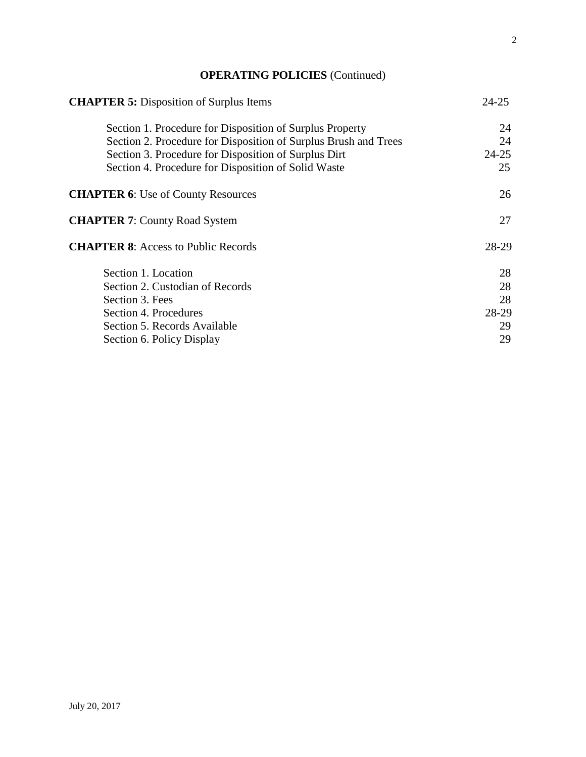# **OPERATING POLICIES** (Continued)

| <b>CHAPTER 5:</b> Disposition of Surplus Items                  | $24 - 25$ |  |
|-----------------------------------------------------------------|-----------|--|
| Section 1. Procedure for Disposition of Surplus Property        | 24        |  |
| Section 2. Procedure for Disposition of Surplus Brush and Trees | 24        |  |
| Section 3. Procedure for Disposition of Surplus Dirt            | $24 - 25$ |  |
| Section 4. Procedure for Disposition of Solid Waste             | 25        |  |
| <b>CHAPTER 6:</b> Use of County Resources                       | 26        |  |
| <b>CHAPTER 7: County Road System</b>                            | 27        |  |
| <b>CHAPTER 8:</b> Access to Public Records                      | 28-29     |  |
| Section 1. Location                                             | 28        |  |
| Section 2. Custodian of Records                                 | 28        |  |
| Section 3. Fees                                                 | 28        |  |
| Section 4. Procedures                                           | 28-29     |  |
| Section 5. Records Available                                    | 29        |  |
| Section 6. Policy Display                                       | 29        |  |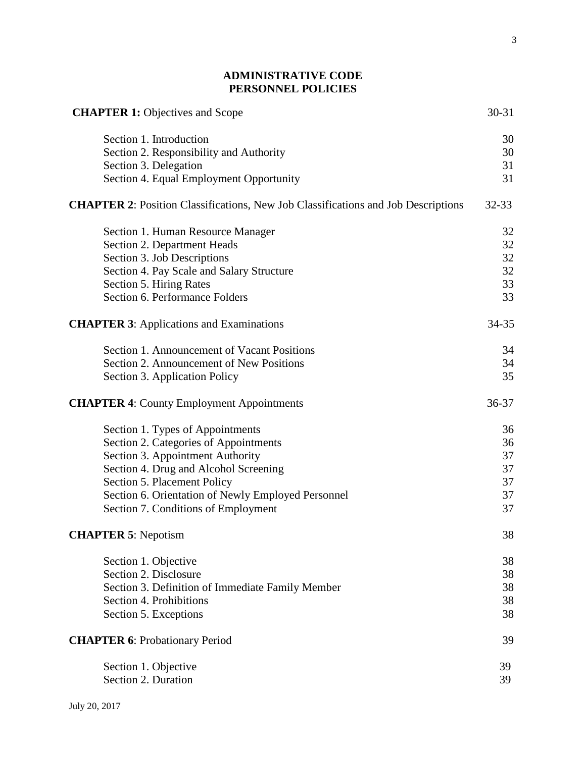# **ADMINISTRATIVE CODE PERSONNEL POLICIES**

| <b>CHAPTER 1: Objectives and Scope</b>                                                   | 30-31     |
|------------------------------------------------------------------------------------------|-----------|
| Section 1. Introduction                                                                  | 30        |
| Section 2. Responsibility and Authority                                                  | 30        |
| Section 3. Delegation                                                                    | 31        |
| Section 4. Equal Employment Opportunity                                                  | 31        |
| <b>CHAPTER 2:</b> Position Classifications, New Job Classifications and Job Descriptions | $32 - 33$ |
| Section 1. Human Resource Manager                                                        | 32        |
| Section 2. Department Heads                                                              | 32        |
| Section 3. Job Descriptions                                                              | 32        |
| Section 4. Pay Scale and Salary Structure                                                | 32        |
| Section 5. Hiring Rates                                                                  | 33        |
| Section 6. Performance Folders                                                           | 33        |
| <b>CHAPTER 3: Applications and Examinations</b>                                          | 34-35     |
| Section 1. Announcement of Vacant Positions                                              | 34        |
| Section 2. Announcement of New Positions                                                 | 34        |
| Section 3. Application Policy                                                            | 35        |
| <b>CHAPTER 4: County Employment Appointments</b>                                         | 36-37     |
| Section 1. Types of Appointments                                                         | 36        |
| Section 2. Categories of Appointments                                                    | 36        |
| Section 3. Appointment Authority                                                         | 37        |
| Section 4. Drug and Alcohol Screening                                                    | 37        |
| Section 5. Placement Policy                                                              | 37        |
| Section 6. Orientation of Newly Employed Personnel                                       | 37        |
| Section 7. Conditions of Employment                                                      | 37        |
| <b>CHAPTER 5: Nepotism</b>                                                               | 38        |
| Section 1. Objective                                                                     | 38        |
| Section 2. Disclosure                                                                    | 38        |
| Section 3. Definition of Immediate Family Member                                         | 38        |
| Section 4. Prohibitions                                                                  | 38        |
| Section 5. Exceptions                                                                    | 38        |
| <b>CHAPTER 6: Probationary Period</b>                                                    | 39        |
| Section 1. Objective                                                                     | 39        |
| Section 2. Duration                                                                      | 39        |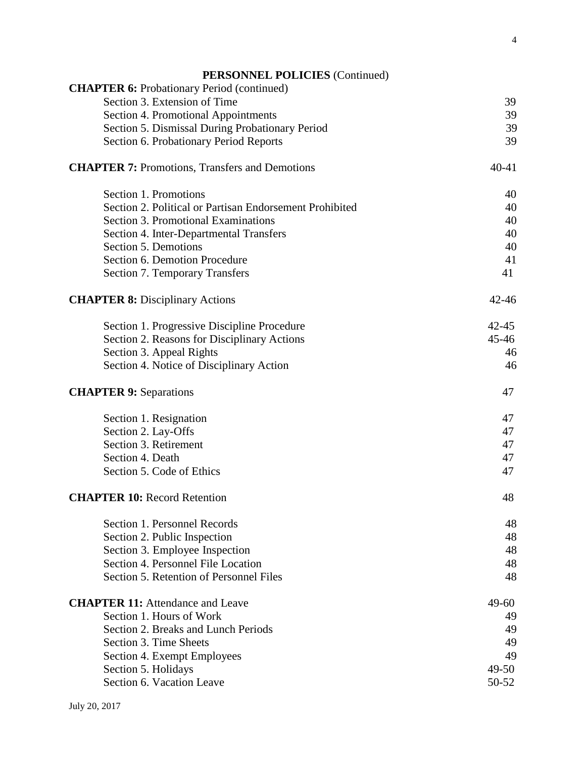| <b>PERSONNEL POLICIES</b> (Continued) |  |  |
|---------------------------------------|--|--|
|---------------------------------------|--|--|

| <b>CHAPTER 6:</b> Probationary Period (continued)       |           |
|---------------------------------------------------------|-----------|
| Section 3. Extension of Time                            | 39        |
| Section 4. Promotional Appointments                     | 39        |
| Section 5. Dismissal During Probationary Period         | 39        |
| Section 6. Probationary Period Reports                  | 39        |
| <b>CHAPTER 7: Promotions, Transfers and Demotions</b>   | $40 - 41$ |
| Section 1. Promotions                                   | 40        |
| Section 2. Political or Partisan Endorsement Prohibited | 40        |
| <b>Section 3. Promotional Examinations</b>              | 40        |
| Section 4. Inter-Departmental Transfers                 | 40        |
| Section 5. Demotions                                    | 40        |
| Section 6. Demotion Procedure                           | 41        |
| <b>Section 7. Temporary Transfers</b>                   | 41        |
| <b>CHAPTER 8: Disciplinary Actions</b>                  | $42 - 46$ |
| Section 1. Progressive Discipline Procedure             | $42 - 45$ |
| Section 2. Reasons for Disciplinary Actions             | $45 - 46$ |
| Section 3. Appeal Rights                                | 46        |
| Section 4. Notice of Disciplinary Action                | 46        |
| <b>CHAPTER 9: Separations</b>                           | 47        |
| Section 1. Resignation                                  | 47        |
| Section 2. Lay-Offs                                     | 47        |
| Section 3. Retirement                                   | 47        |
| Section 4. Death                                        | 47        |
| Section 5. Code of Ethics                               | 47        |
| <b>CHAPTER 10: Record Retention</b>                     | 48        |
| Section 1. Personnel Records                            | 48        |
| Section 2. Public Inspection                            | 48        |
| Section 3. Employee Inspection                          | 48        |
| Section 4. Personnel File Location                      | 48        |
| Section 5. Retention of Personnel Files                 | 48        |
| <b>CHAPTER 11:</b> Attendance and Leave                 | $49 - 60$ |
| Section 1. Hours of Work                                | 49        |
| Section 2. Breaks and Lunch Periods                     | 49        |
| Section 3. Time Sheets                                  | 49        |
| Section 4. Exempt Employees                             | 49        |
| Section 5. Holidays                                     | $49 - 50$ |
| Section 6. Vacation Leave                               | 50-52     |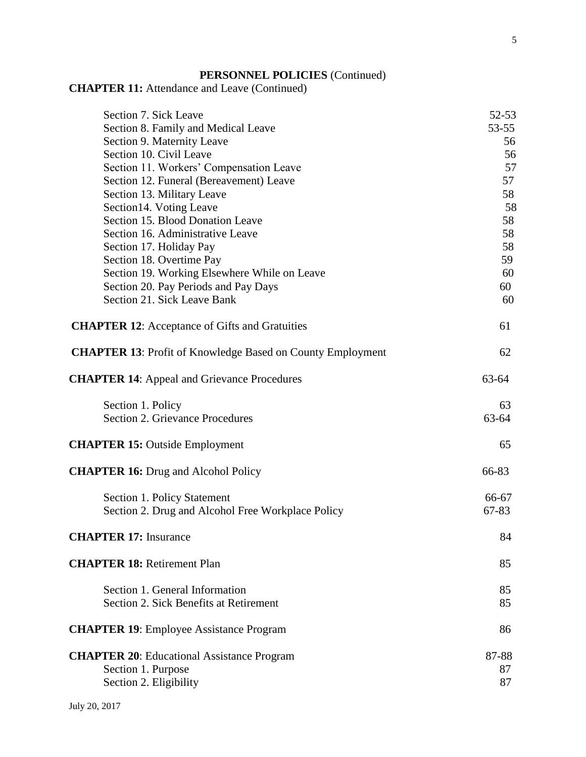# **PERSONNEL POLICIES** (Continued)

# **CHAPTER 11:** Attendance and Leave (Continued)

| Section 7. Sick Leave                                             | 52-53       |
|-------------------------------------------------------------------|-------------|
| Section 8. Family and Medical Leave                               | 53-55       |
| Section 9. Maternity Leave                                        | 56          |
| Section 10. Civil Leave                                           | 56          |
| Section 11. Workers' Compensation Leave                           | 57          |
| Section 12. Funeral (Bereavement) Leave                           | 57          |
| Section 13. Military Leave                                        | 58          |
| Section 14. Voting Leave                                          | 58          |
| Section 15. Blood Donation Leave                                  | 58          |
| Section 16. Administrative Leave                                  | 58          |
| Section 17. Holiday Pay                                           | 58          |
| Section 18. Overtime Pay                                          | 59          |
| Section 19. Working Elsewhere While on Leave                      | 60          |
| Section 20. Pay Periods and Pay Days                              | 60          |
| Section 21. Sick Leave Bank                                       | 60          |
|                                                                   |             |
| <b>CHAPTER 12:</b> Acceptance of Gifts and Gratuities             | 61          |
| <b>CHAPTER 13:</b> Profit of Knowledge Based on County Employment | 62          |
| <b>CHAPTER 14:</b> Appeal and Grievance Procedures                | $63 - 64$   |
| Section 1. Policy<br><b>Section 2. Grievance Procedures</b>       | 63<br>63-64 |
| <b>CHAPTER 15: Outside Employment</b>                             | 65          |
| <b>CHAPTER 16: Drug and Alcohol Policy</b>                        | 66-83       |
| Section 1. Policy Statement                                       | 66-67       |
| Section 2. Drug and Alcohol Free Workplace Policy                 | 67-83       |
| <b>CHAPTER 17: Insurance</b>                                      | 84          |
| <b>CHAPTER 18: Retirement Plan</b>                                | 85          |
| Section 1. General Information                                    | 85          |
| Section 2. Sick Benefits at Retirement                            | 85          |
| <b>CHAPTER 19:</b> Employee Assistance Program                    | 86          |
| <b>CHAPTER 20:</b> Educational Assistance Program                 | 87-88       |
| Section 1. Purpose                                                | 87          |
| Section 2. Eligibility                                            | 87          |
|                                                                   |             |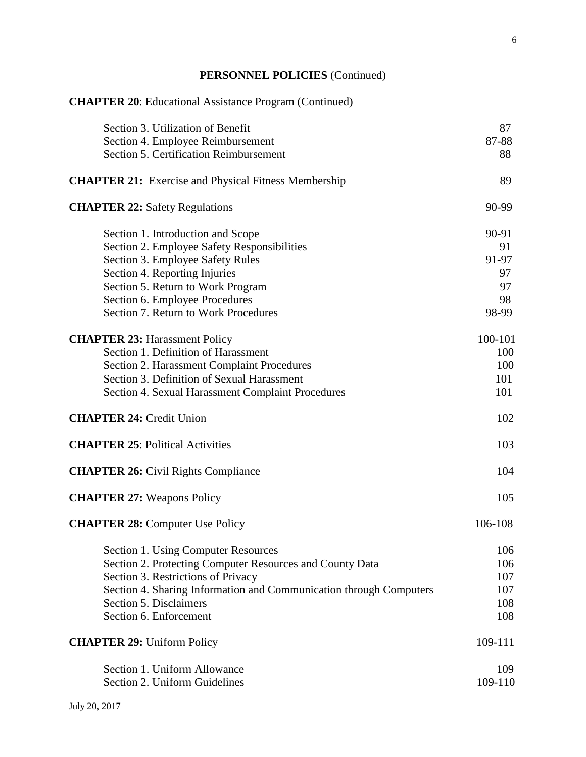# **PERSONNEL POLICIES** (Continued)

| <b>CHAPTER 20:</b> Educational Assistance Program (Continued)      |         |
|--------------------------------------------------------------------|---------|
| Section 3. Utilization of Benefit                                  | 87      |
| Section 4. Employee Reimbursement                                  | 87-88   |
| Section 5. Certification Reimbursement                             | 88      |
| <b>CHAPTER 21:</b> Exercise and Physical Fitness Membership        | 89      |
| <b>CHAPTER 22: Safety Regulations</b>                              | 90-99   |
| Section 1. Introduction and Scope                                  | 90-91   |
| Section 2. Employee Safety Responsibilities                        | 91      |
| Section 3. Employee Safety Rules                                   | 91-97   |
| Section 4. Reporting Injuries                                      | 97      |
| Section 5. Return to Work Program                                  | 97      |
| Section 6. Employee Procedures                                     | 98      |
| Section 7. Return to Work Procedures                               | 98-99   |
| <b>CHAPTER 23: Harassment Policy</b>                               | 100-101 |
| Section 1. Definition of Harassment                                | 100     |
| Section 2. Harassment Complaint Procedures                         | 100     |
| Section 3. Definition of Sexual Harassment                         | 101     |
| Section 4. Sexual Harassment Complaint Procedures                  | 101     |
| <b>CHAPTER 24: Credit Union</b>                                    | 102     |
| <b>CHAPTER 25: Political Activities</b>                            | 103     |
| <b>CHAPTER 26:</b> Civil Rights Compliance                         | 104     |
| <b>CHAPTER 27: Weapons Policy</b>                                  | 105     |
| <b>CHAPTER 28: Computer Use Policy</b>                             | 106-108 |
| Section 1. Using Computer Resources                                | 106     |
| Section 2. Protecting Computer Resources and County Data           | 106     |
| Section 3. Restrictions of Privacy                                 | 107     |
| Section 4. Sharing Information and Communication through Computers | 107     |
| Section 5. Disclaimers                                             | 108     |
| Section 6. Enforcement                                             | 108     |
| <b>CHAPTER 29: Uniform Policy</b>                                  | 109-111 |
| Section 1. Uniform Allowance                                       | 109     |
| Section 2. Uniform Guidelines                                      | 109-110 |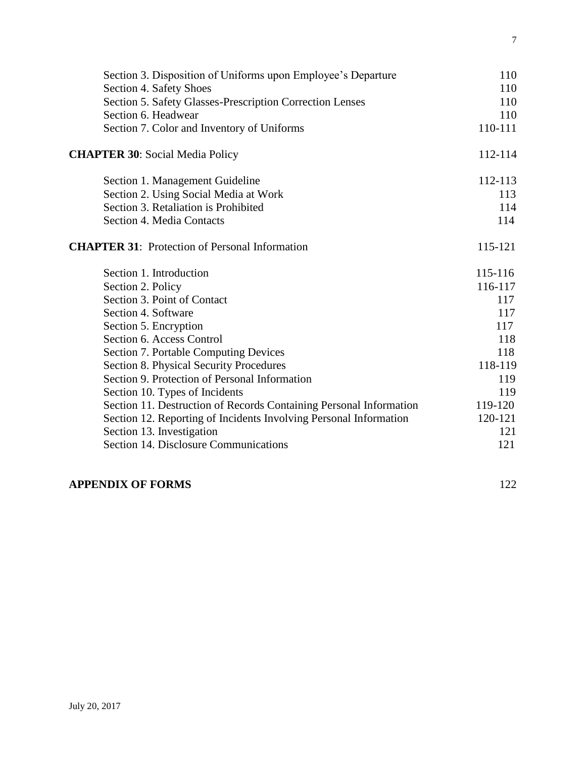| Section 3. Disposition of Uniforms upon Employee's Departure       | 110     |
|--------------------------------------------------------------------|---------|
| Section 4. Safety Shoes                                            | 110     |
| Section 5. Safety Glasses-Prescription Correction Lenses           | 110     |
| Section 6. Headwear                                                | 110     |
| Section 7. Color and Inventory of Uniforms                         | 110-111 |
| <b>CHAPTER 30: Social Media Policy</b>                             | 112-114 |
| Section 1. Management Guideline                                    | 112-113 |
| Section 2. Using Social Media at Work                              | 113     |
| Section 3. Retaliation is Prohibited                               | 114     |
| Section 4. Media Contacts                                          | 114     |
| <b>CHAPTER 31:</b> Protection of Personal Information              | 115-121 |
| Section 1. Introduction                                            | 115-116 |
| Section 2. Policy                                                  | 116-117 |
| Section 3. Point of Contact                                        | 117     |
| Section 4. Software                                                | 117     |
| Section 5. Encryption                                              | 117     |
| Section 6. Access Control                                          | 118     |
| <b>Section 7. Portable Computing Devices</b>                       | 118     |
| Section 8. Physical Security Procedures                            | 118-119 |
| Section 9. Protection of Personal Information                      | 119     |
| Section 10. Types of Incidents                                     | 119     |
| Section 11. Destruction of Records Containing Personal Information | 119-120 |
| Section 12. Reporting of Incidents Involving Personal Information  | 120-121 |
| Section 13. Investigation                                          | 121     |
| Section 14. Disclosure Communications                              | 121     |
|                                                                    |         |

# **APPENDIX OF FORMS** 122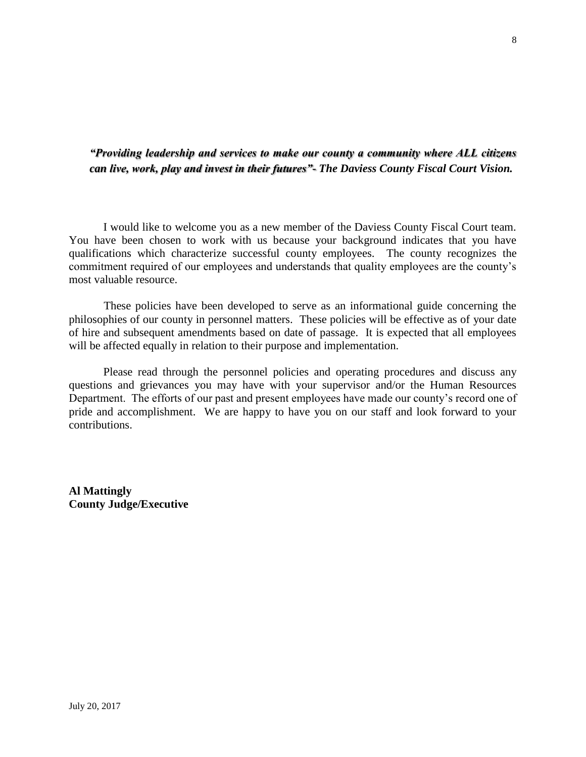## *"Providing leadership and services to make our county a community where ALL citizens can live, work, play and invest in their futures"- The Daviess County Fiscal Court Vision.*

 I would like to welcome you as a new member of the Daviess County Fiscal Court team. You have been chosen to work with us because your background indicates that you have qualifications which characterize successful county employees. The county recognizes the commitment required of our employees and understands that quality employees are the county's most valuable resource.

 These policies have been developed to serve as an informational guide concerning the philosophies of our county in personnel matters. These policies will be effective as of your date of hire and subsequent amendments based on date of passage. It is expected that all employees will be affected equally in relation to their purpose and implementation.

Please read through the personnel policies and operating procedures and discuss any questions and grievances you may have with your supervisor and/or the Human Resources Department. The efforts of our past and present employees have made our county's record one of pride and accomplishment. We are happy to have you on our staff and look forward to your contributions.

**Al Mattingly County Judge/Executive**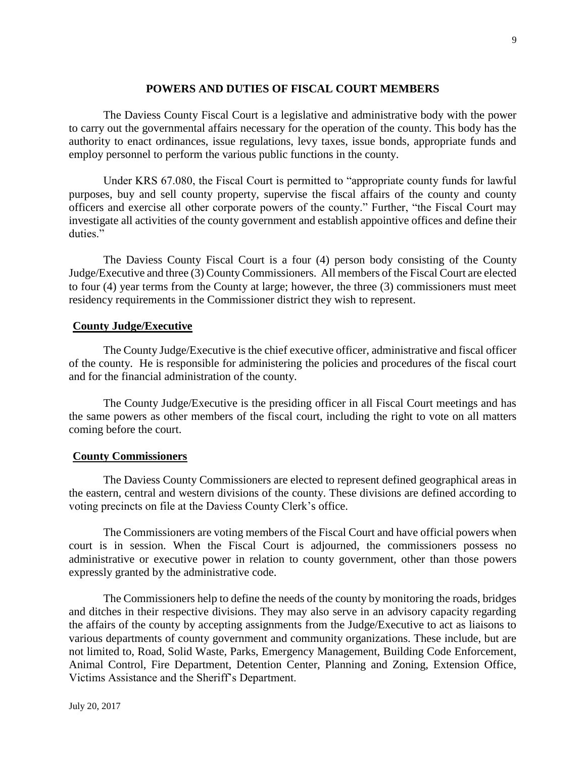### **POWERS AND DUTIES OF FISCAL COURT MEMBERS**

The Daviess County Fiscal Court is a legislative and administrative body with the power to carry out the governmental affairs necessary for the operation of the county. This body has the authority to enact ordinances, issue regulations, levy taxes, issue bonds, appropriate funds and employ personnel to perform the various public functions in the county.

Under KRS 67.080, the Fiscal Court is permitted to "appropriate county funds for lawful purposes, buy and sell county property, supervise the fiscal affairs of the county and county officers and exercise all other corporate powers of the county." Further, "the Fiscal Court may investigate all activities of the county government and establish appointive offices and define their duties."

The Daviess County Fiscal Court is a four (4) person body consisting of the County Judge/Executive and three (3) County Commissioners. All members of the Fiscal Court are elected to four (4) year terms from the County at large; however, the three (3) commissioners must meet residency requirements in the Commissioner district they wish to represent.

### **County Judge/Executive**

The County Judge/Executive is the chief executive officer, administrative and fiscal officer of the county. He is responsible for administering the policies and procedures of the fiscal court and for the financial administration of the county.

The County Judge/Executive is the presiding officer in all Fiscal Court meetings and has the same powers as other members of the fiscal court, including the right to vote on all matters coming before the court.

### **County Commissioners**

The Daviess County Commissioners are elected to represent defined geographical areas in the eastern, central and western divisions of the county. These divisions are defined according to voting precincts on file at the Daviess County Clerk's office.

The Commissioners are voting members of the Fiscal Court and have official powers when court is in session. When the Fiscal Court is adjourned, the commissioners possess no administrative or executive power in relation to county government, other than those powers expressly granted by the administrative code.

The Commissioners help to define the needs of the county by monitoring the roads, bridges and ditches in their respective divisions. They may also serve in an advisory capacity regarding the affairs of the county by accepting assignments from the Judge/Executive to act as liaisons to various departments of county government and community organizations. These include, but are not limited to, Road, Solid Waste, Parks, Emergency Management, Building Code Enforcement, Animal Control, Fire Department, Detention Center, Planning and Zoning, Extension Office, Victims Assistance and the Sheriff's Department.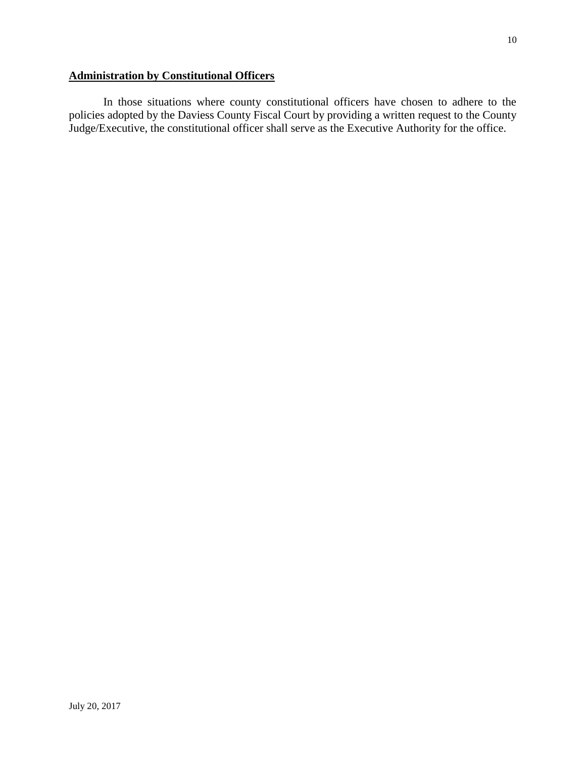# **Administration by Constitutional Officers**

In those situations where county constitutional officers have chosen to adhere to the policies adopted by the Daviess County Fiscal Court by providing a written request to the County Judge/Executive, the constitutional officer shall serve as the Executive Authority for the office.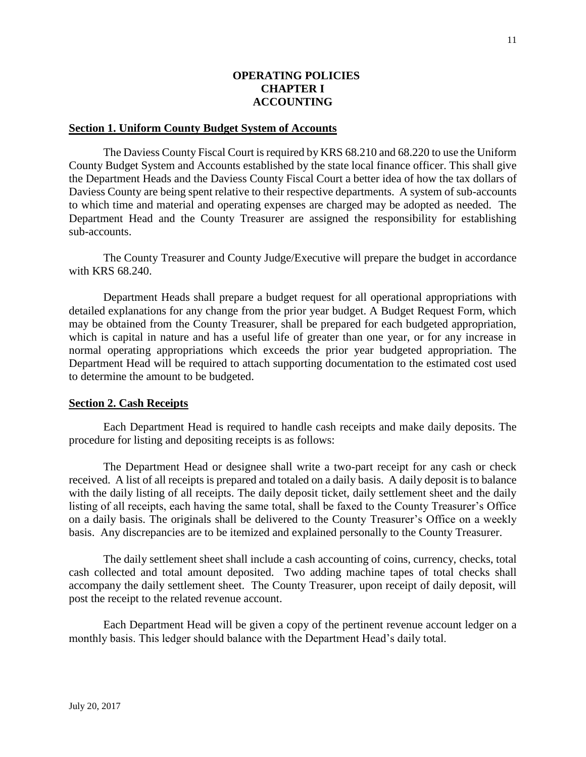### **OPERATING POLICIES CHAPTER I ACCOUNTING**

#### **Section 1. Uniform County Budget System of Accounts**

The Daviess County Fiscal Court is required by KRS 68.210 and 68.220 to use the Uniform County Budget System and Accounts established by the state local finance officer. This shall give the Department Heads and the Daviess County Fiscal Court a better idea of how the tax dollars of Daviess County are being spent relative to their respective departments. A system of sub-accounts to which time and material and operating expenses are charged may be adopted as needed. The Department Head and the County Treasurer are assigned the responsibility for establishing sub-accounts.

The County Treasurer and County Judge/Executive will prepare the budget in accordance with KRS 68.240.

Department Heads shall prepare a budget request for all operational appropriations with detailed explanations for any change from the prior year budget. A Budget Request Form, which may be obtained from the County Treasurer, shall be prepared for each budgeted appropriation, which is capital in nature and has a useful life of greater than one year, or for any increase in normal operating appropriations which exceeds the prior year budgeted appropriation. The Department Head will be required to attach supporting documentation to the estimated cost used to determine the amount to be budgeted.

#### **Section 2. Cash Receipts**

Each Department Head is required to handle cash receipts and make daily deposits. The procedure for listing and depositing receipts is as follows:

The Department Head or designee shall write a two-part receipt for any cash or check received. A list of all receipts is prepared and totaled on a daily basis. A daily deposit is to balance with the daily listing of all receipts. The daily deposit ticket, daily settlement sheet and the daily listing of all receipts, each having the same total, shall be faxed to the County Treasurer's Office on a daily basis. The originals shall be delivered to the County Treasurer's Office on a weekly basis. Any discrepancies are to be itemized and explained personally to the County Treasurer.

The daily settlement sheet shall include a cash accounting of coins, currency, checks, total cash collected and total amount deposited. Two adding machine tapes of total checks shall accompany the daily settlement sheet. The County Treasurer, upon receipt of daily deposit, will post the receipt to the related revenue account.

Each Department Head will be given a copy of the pertinent revenue account ledger on a monthly basis. This ledger should balance with the Department Head's daily total.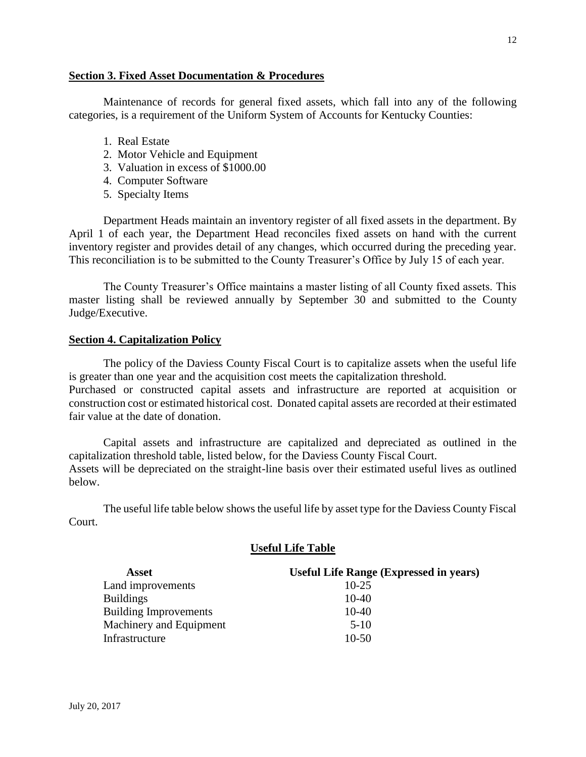### **Section 3. Fixed Asset Documentation & Procedures**

Maintenance of records for general fixed assets, which fall into any of the following categories, is a requirement of the Uniform System of Accounts for Kentucky Counties:

- 1. Real Estate
- 2. Motor Vehicle and Equipment
- 3. Valuation in excess of \$1000.00
- 4. Computer Software
- 5. Specialty Items

Department Heads maintain an inventory register of all fixed assets in the department. By April 1 of each year, the Department Head reconciles fixed assets on hand with the current inventory register and provides detail of any changes, which occurred during the preceding year. This reconciliation is to be submitted to the County Treasurer's Office by July 15 of each year.

The County Treasurer's Office maintains a master listing of all County fixed assets. This master listing shall be reviewed annually by September 30 and submitted to the County Judge/Executive.

### **Section 4. Capitalization Policy**

The policy of the Daviess County Fiscal Court is to capitalize assets when the useful life is greater than one year and the acquisition cost meets the capitalization threshold. Purchased or constructed capital assets and infrastructure are reported at acquisition or construction cost or estimated historical cost. Donated capital assets are recorded at their estimated fair value at the date of donation.

Capital assets and infrastructure are capitalized and depreciated as outlined in the capitalization threshold table, listed below, for the Daviess County Fiscal Court. Assets will be depreciated on the straight-line basis over their estimated useful lives as outlined below.

The useful life table below shows the useful life by asset type for the Daviess County Fiscal Court.

### **Useful Life Table**

| Asset                        | <b>Useful Life Range (Expressed in years)</b> |
|------------------------------|-----------------------------------------------|
| Land improvements            | $10 - 25$                                     |
| <b>Buildings</b>             | $10-40$                                       |
| <b>Building Improvements</b> | $10-40$                                       |
| Machinery and Equipment      | $5-10$                                        |
| Infrastructure               | $10-50$                                       |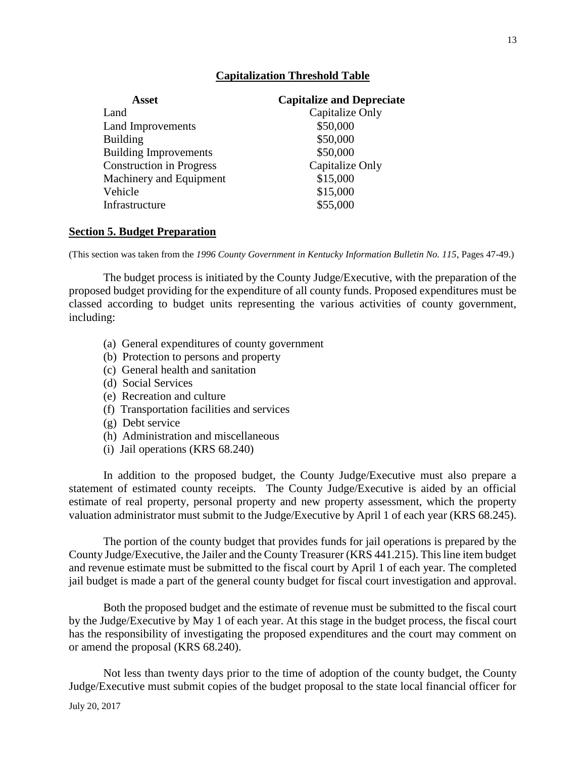### **Capitalization Threshold Table**

| Asset                           | <b>Capitalize and Depreciate</b> |
|---------------------------------|----------------------------------|
| Land                            | Capitalize Only                  |
| Land Improvements               | \$50,000                         |
| <b>Building</b>                 | \$50,000                         |
| <b>Building Improvements</b>    | \$50,000                         |
| <b>Construction in Progress</b> | Capitalize Only                  |
| Machinery and Equipment         | \$15,000                         |
| Vehicle                         | \$15,000                         |
| Infrastructure                  | \$55,000                         |

### **Section 5. Budget Preparation**

(This section was taken from the *1996 County Government in Kentucky Information Bulletin No. 115*, Pages 47-49.)

The budget process is initiated by the County Judge/Executive, with the preparation of the proposed budget providing for the expenditure of all county funds. Proposed expenditures must be classed according to budget units representing the various activities of county government, including:

- (a) General expenditures of county government
- (b) Protection to persons and property
- (c) General health and sanitation
- (d) Social Services
- (e) Recreation and culture
- (f) Transportation facilities and services
- (g) Debt service
- (h) Administration and miscellaneous
- (i) Jail operations (KRS 68.240)

In addition to the proposed budget, the County Judge/Executive must also prepare a statement of estimated county receipts. The County Judge/Executive is aided by an official estimate of real property, personal property and new property assessment, which the property valuation administrator must submit to the Judge/Executive by April 1 of each year (KRS 68.245).

The portion of the county budget that provides funds for jail operations is prepared by the County Judge/Executive, the Jailer and the County Treasurer (KRS 441.215). This line item budget and revenue estimate must be submitted to the fiscal court by April 1 of each year. The completed jail budget is made a part of the general county budget for fiscal court investigation and approval.

Both the proposed budget and the estimate of revenue must be submitted to the fiscal court by the Judge/Executive by May 1 of each year. At this stage in the budget process, the fiscal court has the responsibility of investigating the proposed expenditures and the court may comment on or amend the proposal (KRS 68.240).

Not less than twenty days prior to the time of adoption of the county budget, the County Judge/Executive must submit copies of the budget proposal to the state local financial officer for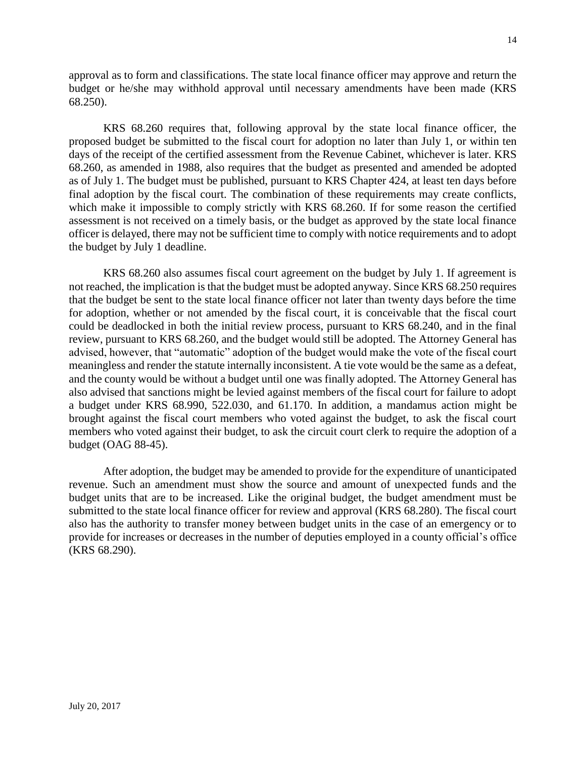approval as to form and classifications. The state local finance officer may approve and return the budget or he/she may withhold approval until necessary amendments have been made (KRS 68.250).

KRS 68.260 requires that, following approval by the state local finance officer, the proposed budget be submitted to the fiscal court for adoption no later than July 1, or within ten days of the receipt of the certified assessment from the Revenue Cabinet, whichever is later. KRS 68.260, as amended in 1988, also requires that the budget as presented and amended be adopted as of July 1. The budget must be published, pursuant to KRS Chapter 424, at least ten days before final adoption by the fiscal court. The combination of these requirements may create conflicts, which make it impossible to comply strictly with KRS 68.260. If for some reason the certified assessment is not received on a timely basis, or the budget as approved by the state local finance officer is delayed, there may not be sufficient time to comply with notice requirements and to adopt the budget by July 1 deadline.

KRS 68.260 also assumes fiscal court agreement on the budget by July 1. If agreement is not reached, the implication is that the budget must be adopted anyway. Since KRS 68.250 requires that the budget be sent to the state local finance officer not later than twenty days before the time for adoption, whether or not amended by the fiscal court, it is conceivable that the fiscal court could be deadlocked in both the initial review process, pursuant to KRS 68.240, and in the final review, pursuant to KRS 68.260, and the budget would still be adopted. The Attorney General has advised, however, that "automatic" adoption of the budget would make the vote of the fiscal court meaningless and render the statute internally inconsistent. A tie vote would be the same as a defeat, and the county would be without a budget until one was finally adopted. The Attorney General has also advised that sanctions might be levied against members of the fiscal court for failure to adopt a budget under KRS 68.990, 522.030, and 61.170. In addition, a mandamus action might be brought against the fiscal court members who voted against the budget, to ask the fiscal court members who voted against their budget, to ask the circuit court clerk to require the adoption of a budget (OAG 88-45).

After adoption, the budget may be amended to provide for the expenditure of unanticipated revenue. Such an amendment must show the source and amount of unexpected funds and the budget units that are to be increased. Like the original budget, the budget amendment must be submitted to the state local finance officer for review and approval (KRS 68.280). The fiscal court also has the authority to transfer money between budget units in the case of an emergency or to provide for increases or decreases in the number of deputies employed in a county official's office (KRS 68.290).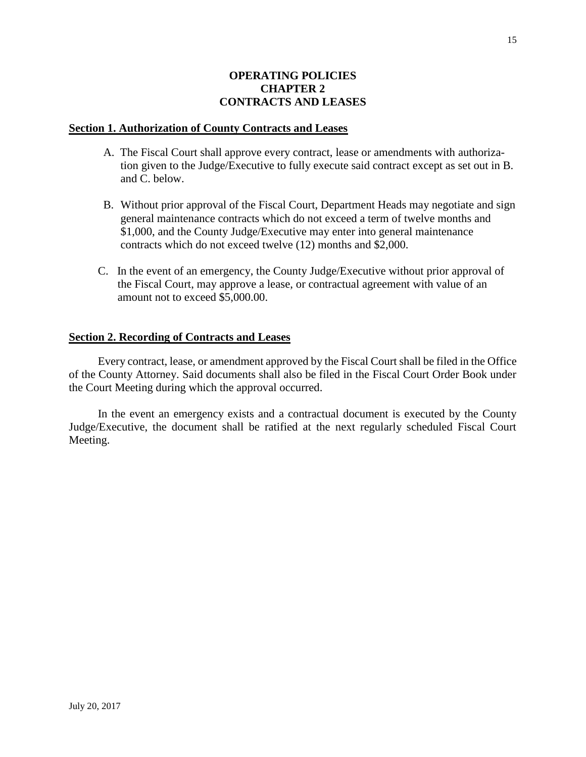### **OPERATING POLICIES CHAPTER 2 CONTRACTS AND LEASES**

#### **Section 1. Authorization of County Contracts and Leases**

- A. The Fiscal Court shall approve every contract, lease or amendments with authoriza tion given to the Judge/Executive to fully execute said contract except as set out in B. and C. below.
- B. Without prior approval of the Fiscal Court, Department Heads may negotiate and sign general maintenance contracts which do not exceed a term of twelve months and \$1,000, and the County Judge/Executive may enter into general maintenance contracts which do not exceed twelve (12) months and \$2,000.
- C. In the event of an emergency, the County Judge/Executive without prior approval of the Fiscal Court, may approve a lease, or contractual agreement with value of an amount not to exceed \$5,000.00.

### **Section 2. Recording of Contracts and Leases**

Every contract, lease, or amendment approved by the Fiscal Court shall be filed in the Office of the County Attorney. Said documents shall also be filed in the Fiscal Court Order Book under the Court Meeting during which the approval occurred.

In the event an emergency exists and a contractual document is executed by the County Judge/Executive, the document shall be ratified at the next regularly scheduled Fiscal Court Meeting.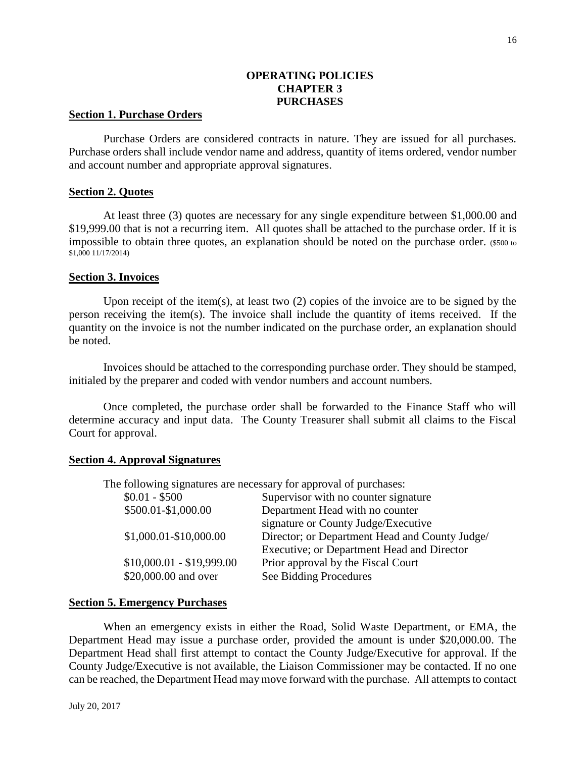### **OPERATING POLICIES CHAPTER 3 PURCHASES**

#### **Section 1. Purchase Orders**

Purchase Orders are considered contracts in nature. They are issued for all purchases. Purchase orders shall include vendor name and address, quantity of items ordered, vendor number and account number and appropriate approval signatures.

#### **Section 2. Quotes**

At least three (3) quotes are necessary for any single expenditure between \$1,000.00 and \$19,999.00 that is not a recurring item. All quotes shall be attached to the purchase order. If it is impossible to obtain three quotes, an explanation should be noted on the purchase order. (\$500 to \$1,000 11/17/2014)

#### **Section 3. Invoices**

Upon receipt of the item(s), at least two (2) copies of the invoice are to be signed by the person receiving the item(s). The invoice shall include the quantity of items received. If the quantity on the invoice is not the number indicated on the purchase order, an explanation should be noted.

Invoices should be attached to the corresponding purchase order. They should be stamped, initialed by the preparer and coded with vendor numbers and account numbers.

Once completed, the purchase order shall be forwarded to the Finance Staff who will determine accuracy and input data. The County Treasurer shall submit all claims to the Fiscal Court for approval.

### **Section 4. Approval Signatures**

The following signatures are necessary for approval of purchases:

| $$0.01 - $500$            | Supervisor with no counter signature           |
|---------------------------|------------------------------------------------|
| \$500.01-\$1,000.00       | Department Head with no counter                |
|                           | signature or County Judge/Executive            |
| \$1,000.01-\$10,000.00    | Director; or Department Head and County Judge/ |
|                           | Executive; or Department Head and Director     |
| $$10,000.01 - $19,999.00$ | Prior approval by the Fiscal Court             |
| \$20,000.00 and over      | See Bidding Procedures                         |
|                           |                                                |

#### **Section 5. Emergency Purchases**

When an emergency exists in either the Road, Solid Waste Department, or EMA, the Department Head may issue a purchase order, provided the amount is under \$20,000.00. The Department Head shall first attempt to contact the County Judge/Executive for approval. If the County Judge/Executive is not available, the Liaison Commissioner may be contacted. If no one can be reached, the Department Head may move forward with the purchase. All attempts to contact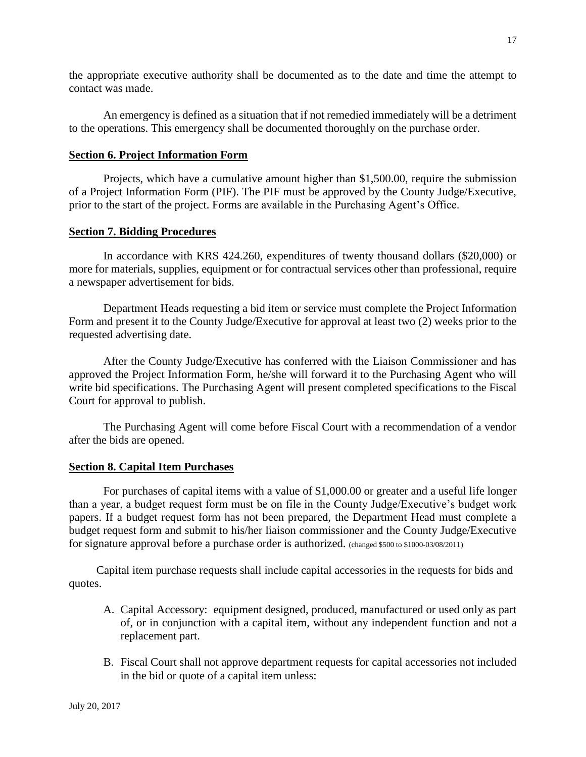the appropriate executive authority shall be documented as to the date and time the attempt to contact was made.

An emergency is defined as a situation that if not remedied immediately will be a detriment to the operations. This emergency shall be documented thoroughly on the purchase order.

### **Section 6. Project Information Form**

Projects, which have a cumulative amount higher than \$1,500.00, require the submission of a Project Information Form (PIF). The PIF must be approved by the County Judge/Executive, prior to the start of the project. Forms are available in the Purchasing Agent's Office.

### **Section 7. Bidding Procedures**

In accordance with KRS 424.260, expenditures of twenty thousand dollars (\$20,000) or more for materials, supplies, equipment or for contractual services other than professional, require a newspaper advertisement for bids.

Department Heads requesting a bid item or service must complete the Project Information Form and present it to the County Judge/Executive for approval at least two (2) weeks prior to the requested advertising date.

After the County Judge/Executive has conferred with the Liaison Commissioner and has approved the Project Information Form, he/she will forward it to the Purchasing Agent who will write bid specifications. The Purchasing Agent will present completed specifications to the Fiscal Court for approval to publish.

The Purchasing Agent will come before Fiscal Court with a recommendation of a vendor after the bids are opened.

### **Section 8. Capital Item Purchases**

For purchases of capital items with a value of \$1,000.00 or greater and a useful life longer than a year, a budget request form must be on file in the County Judge/Executive's budget work papers. If a budget request form has not been prepared, the Department Head must complete a budget request form and submit to his/her liaison commissioner and the County Judge/Executive for signature approval before a purchase order is authorized. (changed \$500 to \$1000-03/08/2011)

Capital item purchase requests shall include capital accessories in the requests for bids and quotes.

- A. Capital Accessory: equipment designed, produced, manufactured or used only as part of, or in conjunction with a capital item, without any independent function and not a replacement part.
- B. Fiscal Court shall not approve department requests for capital accessories not included in the bid or quote of a capital item unless: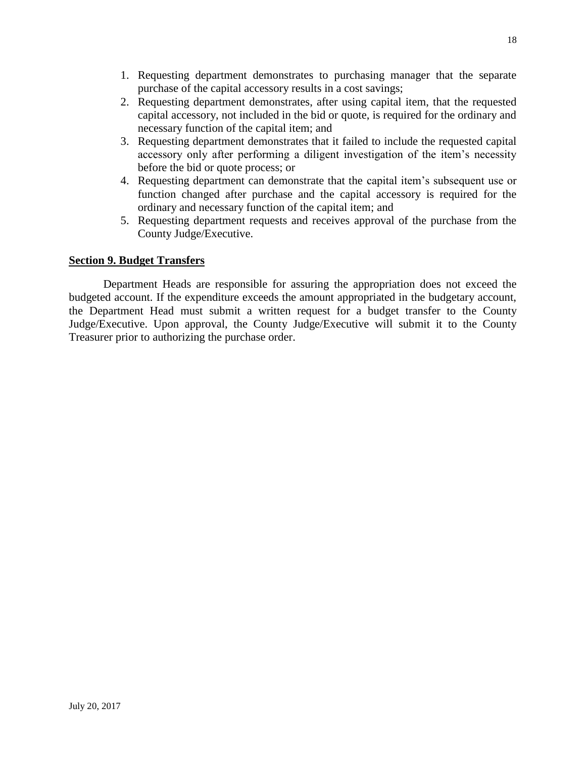- 1. Requesting department demonstrates to purchasing manager that the separate purchase of the capital accessory results in a cost savings;
- 2. Requesting department demonstrates, after using capital item, that the requested capital accessory, not included in the bid or quote, is required for the ordinary and necessary function of the capital item; and
- 3. Requesting department demonstrates that it failed to include the requested capital accessory only after performing a diligent investigation of the item's necessity before the bid or quote process; or
- 4. Requesting department can demonstrate that the capital item's subsequent use or function changed after purchase and the capital accessory is required for the ordinary and necessary function of the capital item; and
- 5. Requesting department requests and receives approval of the purchase from the County Judge/Executive.

### **Section 9. Budget Transfers**

Department Heads are responsible for assuring the appropriation does not exceed the budgeted account. If the expenditure exceeds the amount appropriated in the budgetary account, the Department Head must submit a written request for a budget transfer to the County Judge/Executive. Upon approval, the County Judge/Executive will submit it to the County Treasurer prior to authorizing the purchase order.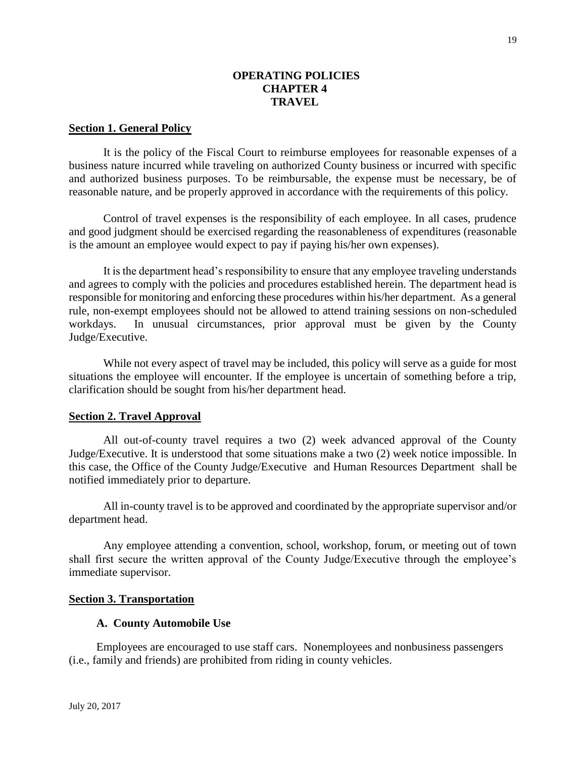### **OPERATING POLICIES CHAPTER 4 TRAVEL**

#### **Section 1. General Policy**

It is the policy of the Fiscal Court to reimburse employees for reasonable expenses of a business nature incurred while traveling on authorized County business or incurred with specific and authorized business purposes. To be reimbursable, the expense must be necessary, be of reasonable nature, and be properly approved in accordance with the requirements of this policy.

Control of travel expenses is the responsibility of each employee. In all cases, prudence and good judgment should be exercised regarding the reasonableness of expenditures (reasonable is the amount an employee would expect to pay if paying his/her own expenses).

It is the department head's responsibility to ensure that any employee traveling understands and agrees to comply with the policies and procedures established herein. The department head is responsible for monitoring and enforcing these procedures within his/her department. As a general rule, non-exempt employees should not be allowed to attend training sessions on non-scheduled workdays. In unusual circumstances, prior approval must be given by the County Judge/Executive.

While not every aspect of travel may be included, this policy will serve as a guide for most situations the employee will encounter. If the employee is uncertain of something before a trip, clarification should be sought from his/her department head.

#### **Section 2. Travel Approval**

All out-of-county travel requires a two (2) week advanced approval of the County Judge/Executive. It is understood that some situations make a two (2) week notice impossible. In this case, the Office of the County Judge/Executive and Human Resources Department shall be notified immediately prior to departure.

All in-county travel is to be approved and coordinated by the appropriate supervisor and/or department head.

Any employee attending a convention, school, workshop, forum, or meeting out of town shall first secure the written approval of the County Judge/Executive through the employee's immediate supervisor.

### **Section 3. Transportation**

#### **A. County Automobile Use**

Employees are encouraged to use staff cars. Nonemployees and nonbusiness passengers (i.e., family and friends) are prohibited from riding in county vehicles.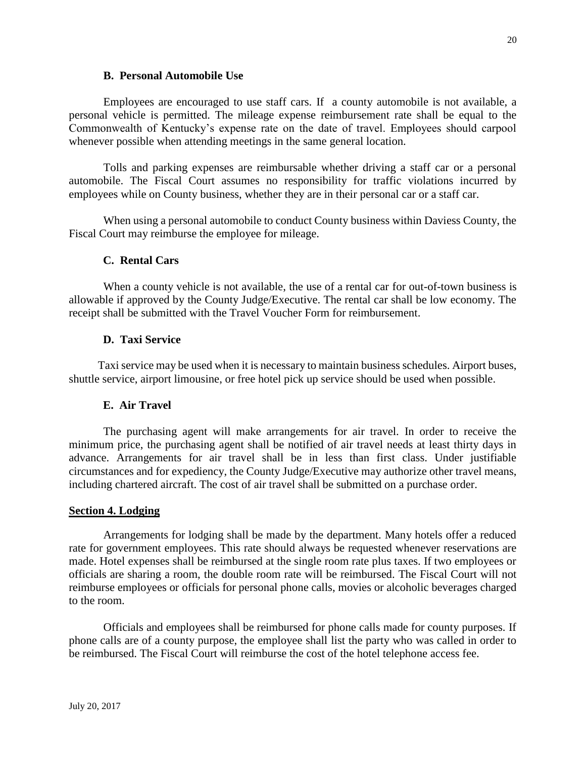#### **B. Personal Automobile Use**

Employees are encouraged to use staff cars. If a county automobile is not available, a personal vehicle is permitted. The mileage expense reimbursement rate shall be equal to the Commonwealth of Kentucky's expense rate on the date of travel. Employees should carpool whenever possible when attending meetings in the same general location.

Tolls and parking expenses are reimbursable whether driving a staff car or a personal automobile. The Fiscal Court assumes no responsibility for traffic violations incurred by employees while on County business, whether they are in their personal car or a staff car.

When using a personal automobile to conduct County business within Daviess County, the Fiscal Court may reimburse the employee for mileage.

#### **C. Rental Cars**

When a county vehicle is not available, the use of a rental car for out-of-town business is allowable if approved by the County Judge/Executive. The rental car shall be low economy. The receipt shall be submitted with the Travel Voucher Form for reimbursement.

#### **D. Taxi Service**

Taxi service may be used when it is necessary to maintain business schedules. Airport buses, shuttle service, airport limousine, or free hotel pick up service should be used when possible.

### **E. Air Travel**

The purchasing agent will make arrangements for air travel. In order to receive the minimum price, the purchasing agent shall be notified of air travel needs at least thirty days in advance. Arrangements for air travel shall be in less than first class. Under justifiable circumstances and for expediency, the County Judge/Executive may authorize other travel means, including chartered aircraft. The cost of air travel shall be submitted on a purchase order.

#### **Section 4. Lodging**

Arrangements for lodging shall be made by the department. Many hotels offer a reduced rate for government employees. This rate should always be requested whenever reservations are made. Hotel expenses shall be reimbursed at the single room rate plus taxes. If two employees or officials are sharing a room, the double room rate will be reimbursed. The Fiscal Court will not reimburse employees or officials for personal phone calls, movies or alcoholic beverages charged to the room.

Officials and employees shall be reimbursed for phone calls made for county purposes. If phone calls are of a county purpose, the employee shall list the party who was called in order to be reimbursed. The Fiscal Court will reimburse the cost of the hotel telephone access fee.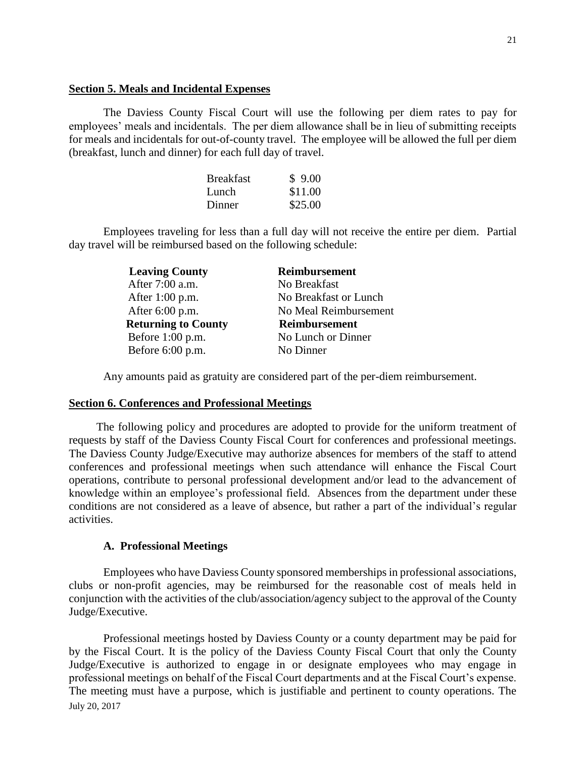#### **Section 5. Meals and Incidental Expenses**

The Daviess County Fiscal Court will use the following per diem rates to pay for employees' meals and incidentals. The per diem allowance shall be in lieu of submitting receipts for meals and incidentals for out-of-county travel. The employee will be allowed the full per diem (breakfast, lunch and dinner) for each full day of travel.

| <b>Breakfast</b> | \$9.00  |
|------------------|---------|
| Lunch            | \$11.00 |
| Dinner           | \$25.00 |

Employees traveling for less than a full day will not receive the entire per diem. Partial day travel will be reimbursed based on the following schedule:

| <b>Leaving County</b>      | Reimbursement         |
|----------------------------|-----------------------|
| After 7:00 a.m.            | No Breakfast          |
| After $1:00$ p.m.          | No Breakfast or Lunch |
| After $6:00$ p.m.          | No Meal Reimbursement |
| <b>Returning to County</b> | <b>Reimbursement</b>  |
| Before $1:00$ p.m.         | No Lunch or Dinner    |
| Before $6:00$ p.m.         | No Dinner             |
|                            |                       |

Any amounts paid as gratuity are considered part of the per-diem reimbursement.

#### **Section 6. Conferences and Professional Meetings**

The following policy and procedures are adopted to provide for the uniform treatment of requests by staff of the Daviess County Fiscal Court for conferences and professional meetings. The Daviess County Judge/Executive may authorize absences for members of the staff to attend conferences and professional meetings when such attendance will enhance the Fiscal Court operations, contribute to personal professional development and/or lead to the advancement of knowledge within an employee's professional field. Absences from the department under these conditions are not considered as a leave of absence, but rather a part of the individual's regular activities.

### **A. Professional Meetings**

Employees who have Daviess County sponsored memberships in professional associations, clubs or non-profit agencies, may be reimbursed for the reasonable cost of meals held in conjunction with the activities of the club/association/agency subject to the approval of the County Judge/Executive.

July 20, 2017 Professional meetings hosted by Daviess County or a county department may be paid for by the Fiscal Court. It is the policy of the Daviess County Fiscal Court that only the County Judge/Executive is authorized to engage in or designate employees who may engage in professional meetings on behalf of the Fiscal Court departments and at the Fiscal Court's expense. The meeting must have a purpose, which is justifiable and pertinent to county operations. The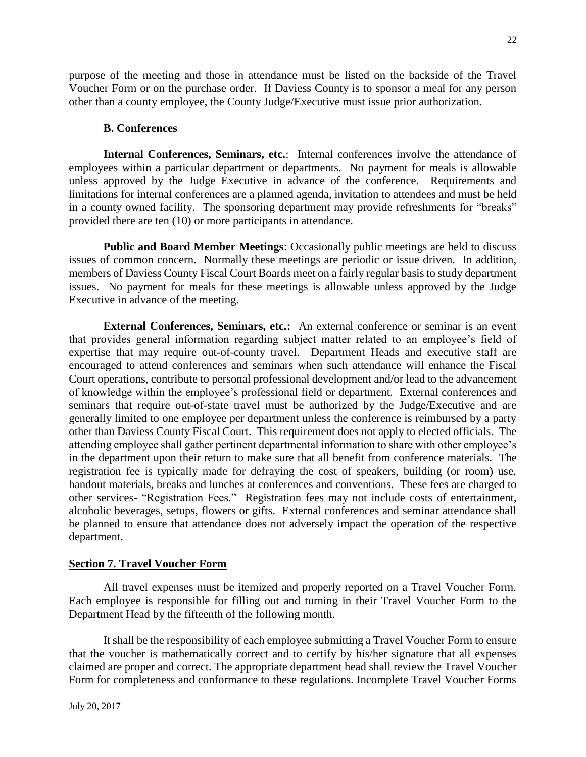purpose of the meeting and those in attendance must be listed on the backside of the Travel Voucher Form or on the purchase order. If Daviess County is to sponsor a meal for any person other than a county employee, the County Judge/Executive must issue prior authorization.

### **B. Conferences**

**Internal Conferences, Seminars, etc.**: Internal conferences involve the attendance of employees within a particular department or departments. No payment for meals is allowable unless approved by the Judge Executive in advance of the conference. Requirements and limitations for internal conferences are a planned agenda, invitation to attendees and must be held in a county owned facility. The sponsoring department may provide refreshments for "breaks" provided there are ten (10) or more participants in attendance.

**Public and Board Member Meetings**: Occasionally public meetings are held to discuss issues of common concern. Normally these meetings are periodic or issue driven. In addition, members of Daviess County Fiscal Court Boards meet on a fairly regular basis to study department issues. No payment for meals for these meetings is allowable unless approved by the Judge Executive in advance of the meeting.

**External Conferences, Seminars, etc.:** An external conference or seminar is an event that provides general information regarding subject matter related to an employee's field of expertise that may require out-of-county travel. Department Heads and executive staff are encouraged to attend conferences and seminars when such attendance will enhance the Fiscal Court operations, contribute to personal professional development and/or lead to the advancement of knowledge within the employee's professional field or department. External conferences and seminars that require out-of-state travel must be authorized by the Judge/Executive and are generally limited to one employee per department unless the conference is reimbursed by a party other than Daviess County Fiscal Court. This requirement does not apply to elected officials. The attending employee shall gather pertinent departmental information to share with other employee's in the department upon their return to make sure that all benefit from conference materials. The registration fee is typically made for defraying the cost of speakers, building (or room) use, handout materials, breaks and lunches at conferences and conventions. These fees are charged to other services- "Registration Fees." Registration fees may not include costs of entertainment, alcoholic beverages, setups, flowers or gifts. External conferences and seminar attendance shall be planned to ensure that attendance does not adversely impact the operation of the respective department.

### **Section 7. Travel Voucher Form**

All travel expenses must be itemized and properly reported on a Travel Voucher Form. Each employee is responsible for filling out and turning in their Travel Voucher Form to the Department Head by the fifteenth of the following month.

It shall be the responsibility of each employee submitting a Travel Voucher Form to ensure that the voucher is mathematically correct and to certify by his/her signature that all expenses claimed are proper and correct. The appropriate department head shall review the Travel Voucher Form for completeness and conformance to these regulations. Incomplete Travel Voucher Forms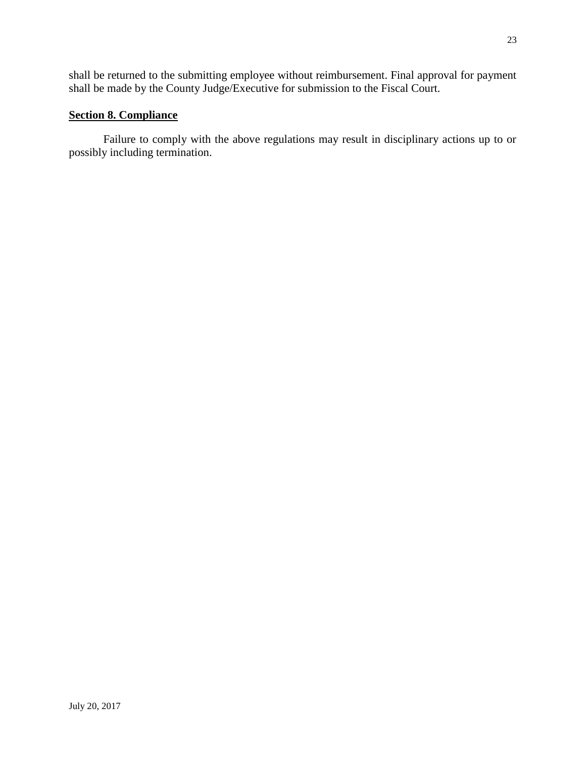shall be returned to the submitting employee without reimbursement. Final approval for payment shall be made by the County Judge/Executive for submission to the Fiscal Court.

### **Section 8. Compliance**

Failure to comply with the above regulations may result in disciplinary actions up to or possibly including termination.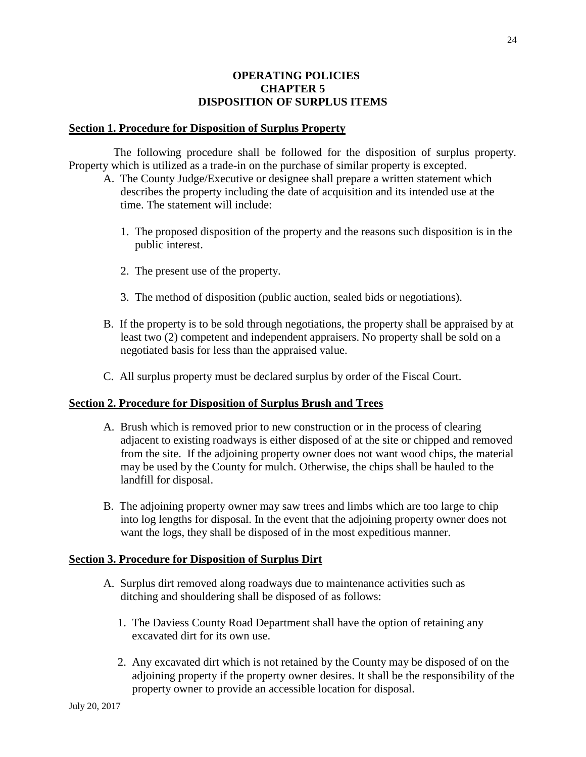### **OPERATING POLICIES CHAPTER 5 DISPOSITION OF SURPLUS ITEMS**

#### **Section 1. Procedure for Disposition of Surplus Property**

The following procedure shall be followed for the disposition of surplus property. Property which is utilized as a trade-in on the purchase of similar property is excepted.

- A. The County Judge/Executive or designee shall prepare a written statement which describes the property including the date of acquisition and its intended use at the time. The statement will include:
	- 1. The proposed disposition of the property and the reasons such disposition is in the public interest.
	- 2. The present use of the property.
	- 3. The method of disposition (public auction, sealed bids or negotiations).
- B. If the property is to be sold through negotiations, the property shall be appraised by at least two (2) competent and independent appraisers. No property shall be sold on a negotiated basis for less than the appraised value.
- C. All surplus property must be declared surplus by order of the Fiscal Court.

### **Section 2. Procedure for Disposition of Surplus Brush and Trees**

- A. Brush which is removed prior to new construction or in the process of clearing adjacent to existing roadways is either disposed of at the site or chipped and removed from the site. If the adjoining property owner does not want wood chips, the material may be used by the County for mulch. Otherwise, the chips shall be hauled to the landfill for disposal.
- B. The adjoining property owner may saw trees and limbs which are too large to chip into log lengths for disposal. In the event that the adjoining property owner does not want the logs, they shall be disposed of in the most expeditious manner.

### **Section 3. Procedure for Disposition of Surplus Dirt**

- A. Surplus dirt removed along roadways due to maintenance activities such as ditching and shouldering shall be disposed of as follows:
	- 1. The Daviess County Road Department shall have the option of retaining any excavated dirt for its own use.
	- 2. Any excavated dirt which is not retained by the County may be disposed of on the adjoining property if the property owner desires. It shall be the responsibility of the property owner to provide an accessible location for disposal.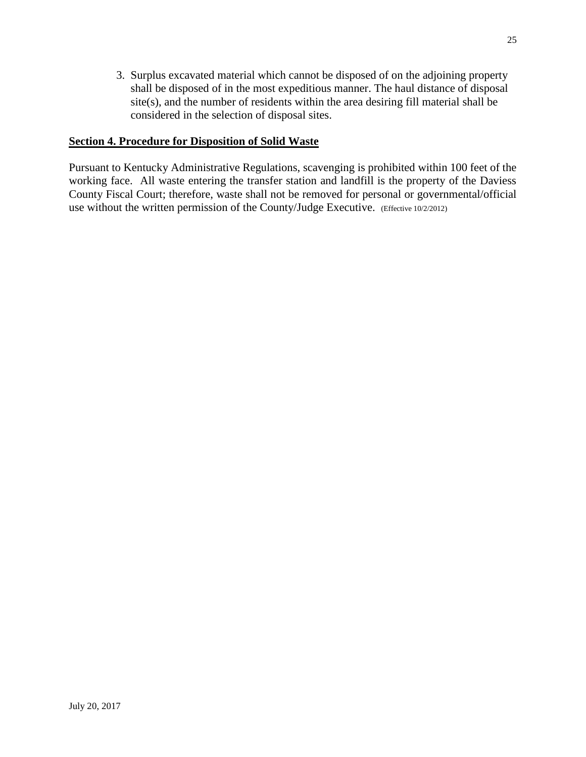3. Surplus excavated material which cannot be disposed of on the adjoining property shall be disposed of in the most expeditious manner. The haul distance of disposal site(s), and the number of residents within the area desiring fill material shall be considered in the selection of disposal sites.

### **Section 4. Procedure for Disposition of Solid Waste**

Pursuant to Kentucky Administrative Regulations, scavenging is prohibited within 100 feet of the working face. All waste entering the transfer station and landfill is the property of the Daviess County Fiscal Court; therefore, waste shall not be removed for personal or governmental/official use without the written permission of the County/Judge Executive. (Effective 10/2/2012)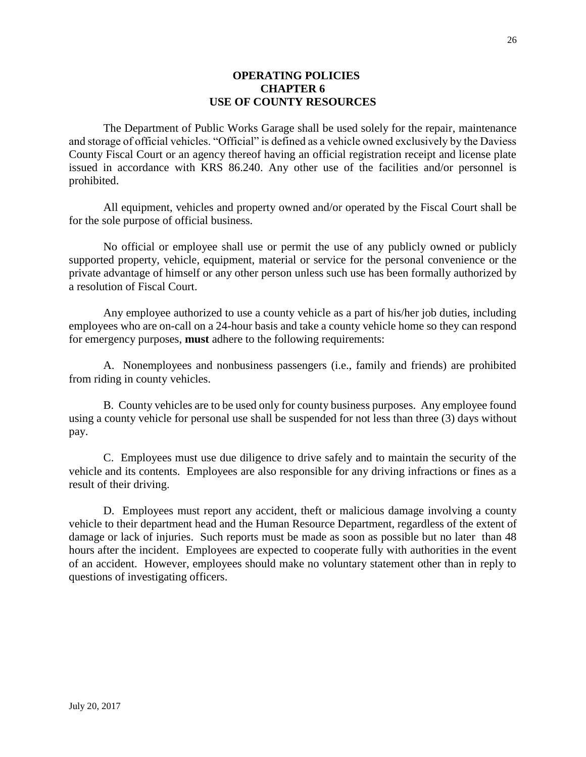### **OPERATING POLICIES CHAPTER 6 USE OF COUNTY RESOURCES**

The Department of Public Works Garage shall be used solely for the repair, maintenance and storage of official vehicles. "Official" is defined as a vehicle owned exclusively by the Daviess County Fiscal Court or an agency thereof having an official registration receipt and license plate issued in accordance with KRS 86.240. Any other use of the facilities and/or personnel is prohibited.

All equipment, vehicles and property owned and/or operated by the Fiscal Court shall be for the sole purpose of official business.

No official or employee shall use or permit the use of any publicly owned or publicly supported property, vehicle, equipment, material or service for the personal convenience or the private advantage of himself or any other person unless such use has been formally authorized by a resolution of Fiscal Court.

Any employee authorized to use a county vehicle as a part of his/her job duties, including employees who are on-call on a 24-hour basis and take a county vehicle home so they can respond for emergency purposes, **must** adhere to the following requirements:

A. Nonemployees and nonbusiness passengers (i.e., family and friends) are prohibited from riding in county vehicles.

B. County vehicles are to be used only for county business purposes. Any employee found using a county vehicle for personal use shall be suspended for not less than three (3) days without pay.

C. Employees must use due diligence to drive safely and to maintain the security of the vehicle and its contents. Employees are also responsible for any driving infractions or fines as a result of their driving.

D. Employees must report any accident, theft or malicious damage involving a county vehicle to their department head and the Human Resource Department, regardless of the extent of damage or lack of injuries. Such reports must be made as soon as possible but no later than 48 hours after the incident. Employees are expected to cooperate fully with authorities in the event of an accident. However, employees should make no voluntary statement other than in reply to questions of investigating officers.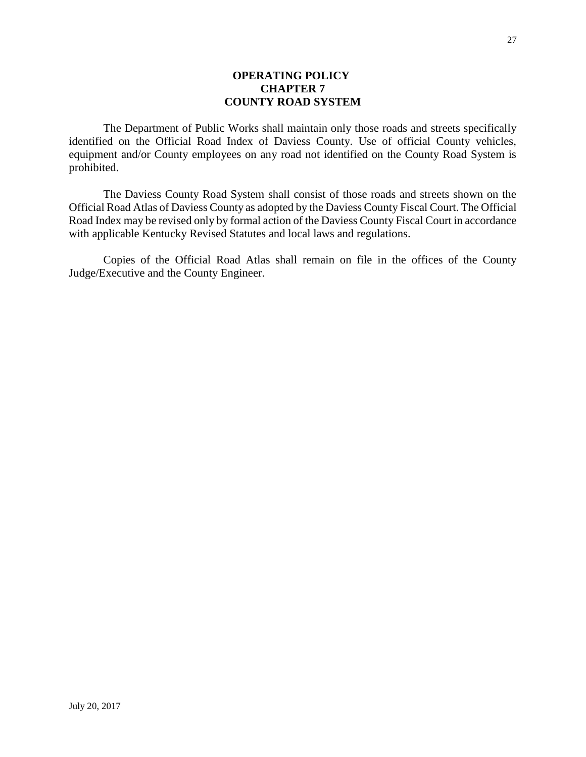### **OPERATING POLICY CHAPTER 7 COUNTY ROAD SYSTEM**

The Department of Public Works shall maintain only those roads and streets specifically identified on the Official Road Index of Daviess County. Use of official County vehicles, equipment and/or County employees on any road not identified on the County Road System is prohibited.

The Daviess County Road System shall consist of those roads and streets shown on the Official Road Atlas of Daviess County as adopted by the Daviess County Fiscal Court. The Official Road Index may be revised only by formal action of the Daviess County Fiscal Court in accordance with applicable Kentucky Revised Statutes and local laws and regulations.

Copies of the Official Road Atlas shall remain on file in the offices of the County Judge/Executive and the County Engineer.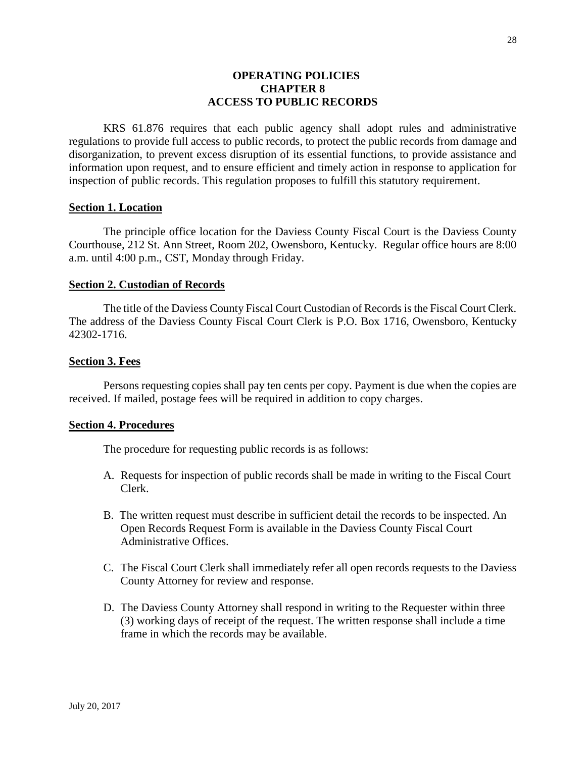### **OPERATING POLICIES CHAPTER 8 ACCESS TO PUBLIC RECORDS**

KRS 61.876 requires that each public agency shall adopt rules and administrative regulations to provide full access to public records, to protect the public records from damage and disorganization, to prevent excess disruption of its essential functions, to provide assistance and information upon request, and to ensure efficient and timely action in response to application for inspection of public records. This regulation proposes to fulfill this statutory requirement.

#### **Section 1. Location**

The principle office location for the Daviess County Fiscal Court is the Daviess County Courthouse, 212 St. Ann Street, Room 202, Owensboro, Kentucky. Regular office hours are 8:00 a.m. until 4:00 p.m., CST, Monday through Friday.

#### **Section 2. Custodian of Records**

The title of the Daviess County Fiscal Court Custodian of Records is the Fiscal Court Clerk. The address of the Daviess County Fiscal Court Clerk is P.O. Box 1716, Owensboro, Kentucky 42302-1716.

#### **Section 3. Fees**

Persons requesting copies shall pay ten cents per copy. Payment is due when the copies are received. If mailed, postage fees will be required in addition to copy charges.

#### **Section 4. Procedures**

The procedure for requesting public records is as follows:

- A. Requests for inspection of public records shall be made in writing to the Fiscal Court Clerk.
- B. The written request must describe in sufficient detail the records to be inspected. An Open Records Request Form is available in the Daviess County Fiscal Court Administrative Offices.
- C. The Fiscal Court Clerk shall immediately refer all open records requests to the Daviess County Attorney for review and response.
- D. The Daviess County Attorney shall respond in writing to the Requester within three (3) working days of receipt of the request. The written response shall include a time frame in which the records may be available.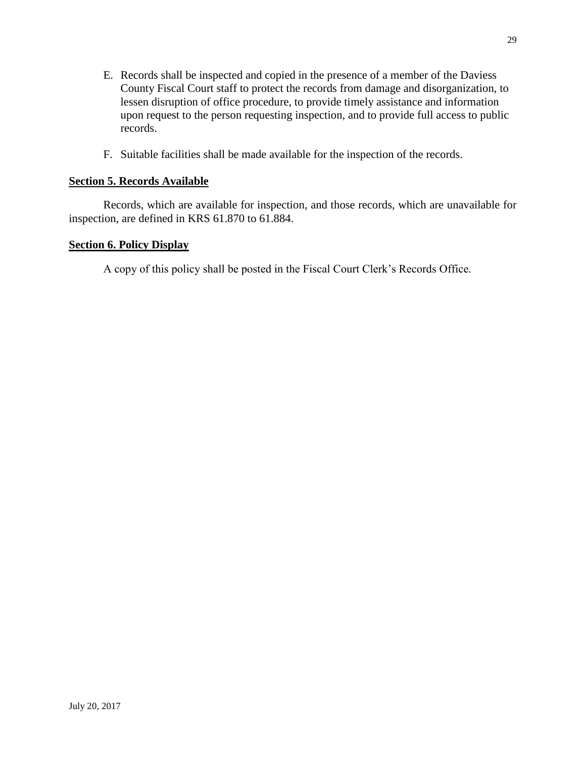- E. Records shall be inspected and copied in the presence of a member of the Daviess County Fiscal Court staff to protect the records from damage and disorganization, to lessen disruption of office procedure, to provide timely assistance and information upon request to the person requesting inspection, and to provide full access to public records.
- F. Suitable facilities shall be made available for the inspection of the records.

### **Section 5. Records Available**

Records, which are available for inspection, and those records, which are unavailable for inspection, are defined in KRS 61.870 to 61.884.

### **Section 6. Policy Display**

A copy of this policy shall be posted in the Fiscal Court Clerk's Records Office.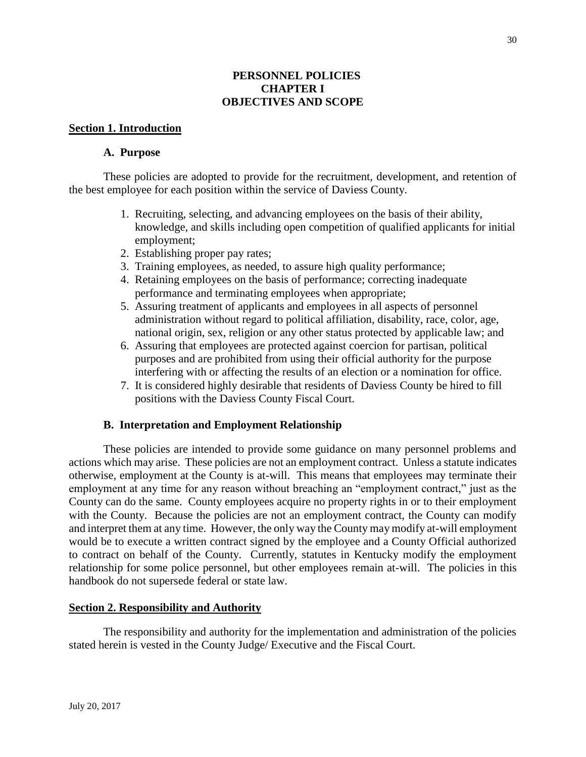### **PERSONNEL POLICIES CHAPTER I OBJECTIVES AND SCOPE**

### **Section 1. Introduction**

### **A. Purpose**

These policies are adopted to provide for the recruitment, development, and retention of the best employee for each position within the service of Daviess County.

- 1. Recruiting, selecting, and advancing employees on the basis of their ability, knowledge, and skills including open competition of qualified applicants for initial employment;
- 2. Establishing proper pay rates;
- 3. Training employees, as needed, to assure high quality performance;
- 4. Retaining employees on the basis of performance; correcting inadequate performance and terminating employees when appropriate;
- 5. Assuring treatment of applicants and employees in all aspects of personnel administration without regard to political affiliation, disability, race, color, age, national origin, sex, religion or any other status protected by applicable law; and
- 6. Assuring that employees are protected against coercion for partisan, political purposes and are prohibited from using their official authority for the purpose interfering with or affecting the results of an election or a nomination for office.
- 7. It is considered highly desirable that residents of Daviess County be hired to fill positions with the Daviess County Fiscal Court.

### **B. Interpretation and Employment Relationship**

These policies are intended to provide some guidance on many personnel problems and actions which may arise. These policies are not an employment contract. Unless a statute indicates otherwise, employment at the County is at-will. This means that employees may terminate their employment at any time for any reason without breaching an "employment contract," just as the County can do the same. County employees acquire no property rights in or to their employment with the County. Because the policies are not an employment contract, the County can modify and interpret them at any time. However, the only way the County may modify at-will employment would be to execute a written contract signed by the employee and a County Official authorized to contract on behalf of the County. Currently, statutes in Kentucky modify the employment relationship for some police personnel, but other employees remain at-will. The policies in this handbook do not supersede federal or state law.

### **Section 2. Responsibility and Authority**

The responsibility and authority for the implementation and administration of the policies stated herein is vested in the County Judge/ Executive and the Fiscal Court.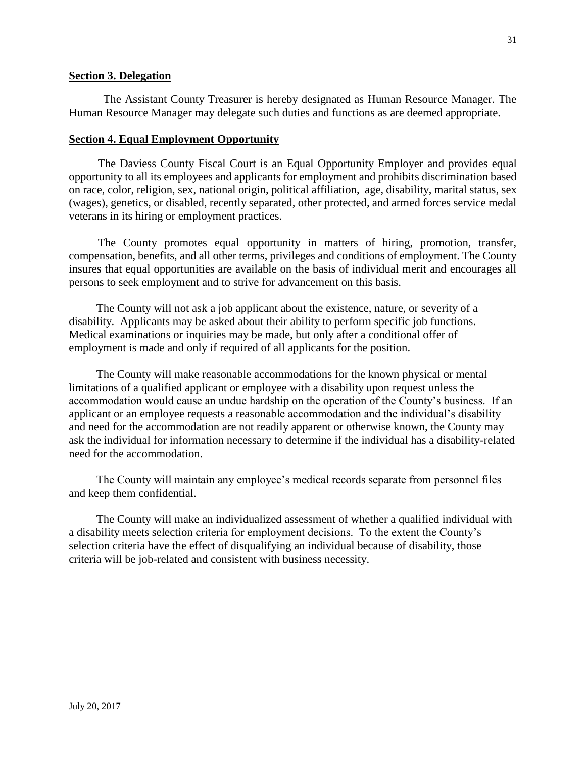### **Section 3. Delegation**

The Assistant County Treasurer is hereby designated as Human Resource Manager. The Human Resource Manager may delegate such duties and functions as are deemed appropriate.

#### **Section 4. Equal Employment Opportunity**

The Daviess County Fiscal Court is an Equal Opportunity Employer and provides equal opportunity to all its employees and applicants for employment and prohibits discrimination based on race, color, religion, sex, national origin, political affiliation, age, disability, marital status, sex (wages), genetics, or disabled, recently separated, other protected, and armed forces service medal veterans in its hiring or employment practices.

The County promotes equal opportunity in matters of hiring, promotion, transfer, compensation, benefits, and all other terms, privileges and conditions of employment. The County insures that equal opportunities are available on the basis of individual merit and encourages all persons to seek employment and to strive for advancement on this basis.

The County will not ask a job applicant about the existence, nature, or severity of a disability. Applicants may be asked about their ability to perform specific job functions. Medical examinations or inquiries may be made, but only after a conditional offer of employment is made and only if required of all applicants for the position.

The County will make reasonable accommodations for the known physical or mental limitations of a qualified applicant or employee with a disability upon request unless the accommodation would cause an undue hardship on the operation of the County's business. If an applicant or an employee requests a reasonable accommodation and the individual's disability and need for the accommodation are not readily apparent or otherwise known, the County may ask the individual for information necessary to determine if the individual has a disability-related need for the accommodation.

The County will maintain any employee's medical records separate from personnel files and keep them confidential.

The County will make an individualized assessment of whether a qualified individual with a disability meets selection criteria for employment decisions. To the extent the County's selection criteria have the effect of disqualifying an individual because of disability, those criteria will be job-related and consistent with business necessity.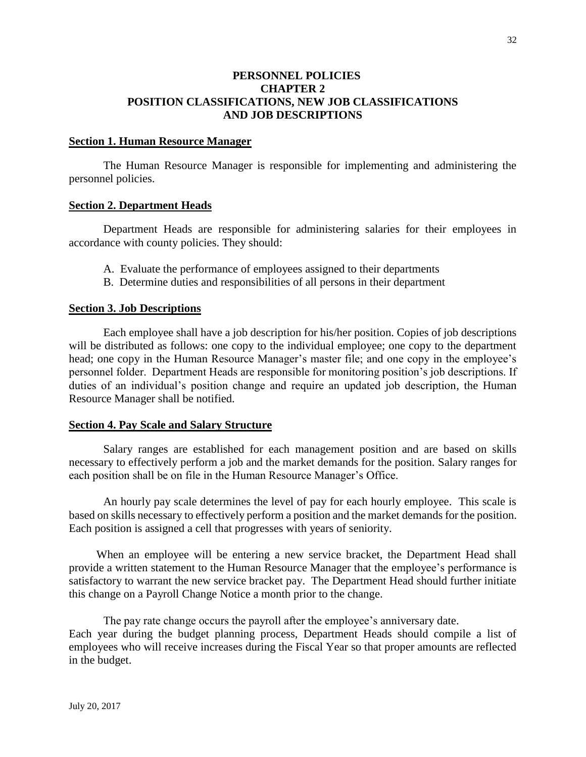### **PERSONNEL POLICIES CHAPTER 2 POSITION CLASSIFICATIONS, NEW JOB CLASSIFICATIONS AND JOB DESCRIPTIONS**

#### **Section 1. Human Resource Manager**

The Human Resource Manager is responsible for implementing and administering the personnel policies.

#### **Section 2. Department Heads**

 Department Heads are responsible for administering salaries for their employees in accordance with county policies. They should:

- A. Evaluate the performance of employees assigned to their departments
- B. Determine duties and responsibilities of all persons in their department

#### **Section 3. Job Descriptions**

Each employee shall have a job description for his/her position. Copies of job descriptions will be distributed as follows: one copy to the individual employee; one copy to the department head; one copy in the Human Resource Manager's master file; and one copy in the employee's personnel folder. Department Heads are responsible for monitoring position's job descriptions. If duties of an individual's position change and require an updated job description, the Human Resource Manager shall be notified.

### **Section 4. Pay Scale and Salary Structure**

Salary ranges are established for each management position and are based on skills necessary to effectively perform a job and the market demands for the position. Salary ranges for each position shall be on file in the Human Resource Manager's Office.

An hourly pay scale determines the level of pay for each hourly employee. This scale is based on skills necessary to effectively perform a position and the market demands for the position. Each position is assigned a cell that progresses with years of seniority.

When an employee will be entering a new service bracket, the Department Head shall provide a written statement to the Human Resource Manager that the employee's performance is satisfactory to warrant the new service bracket pay. The Department Head should further initiate this change on a Payroll Change Notice a month prior to the change.

The pay rate change occurs the payroll after the employee's anniversary date. Each year during the budget planning process, Department Heads should compile a list of employees who will receive increases during the Fiscal Year so that proper amounts are reflected in the budget.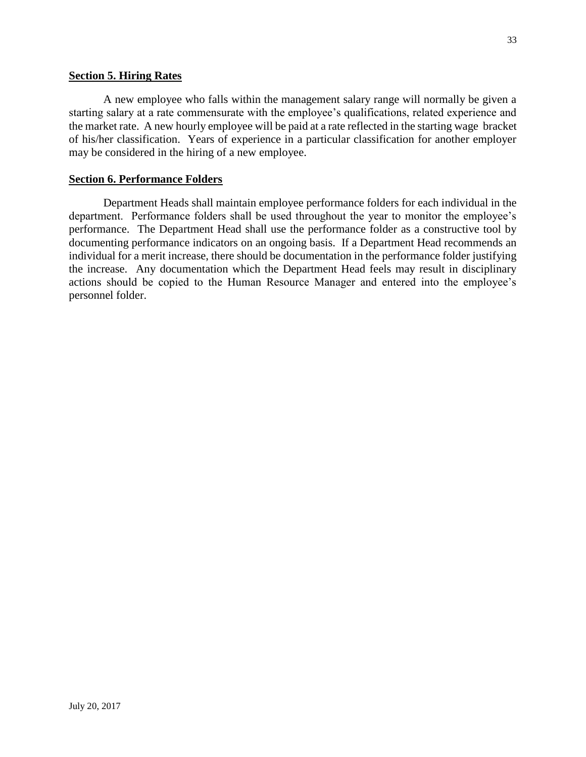### **Section 5. Hiring Rates**

A new employee who falls within the management salary range will normally be given a starting salary at a rate commensurate with the employee's qualifications, related experience and the market rate. A new hourly employee will be paid at a rate reflected in the starting wage bracket of his/her classification. Years of experience in a particular classification for another employer may be considered in the hiring of a new employee.

### **Section 6. Performance Folders**

Department Heads shall maintain employee performance folders for each individual in the department. Performance folders shall be used throughout the year to monitor the employee's performance. The Department Head shall use the performance folder as a constructive tool by documenting performance indicators on an ongoing basis. If a Department Head recommends an individual for a merit increase, there should be documentation in the performance folder justifying the increase. Any documentation which the Department Head feels may result in disciplinary actions should be copied to the Human Resource Manager and entered into the employee's personnel folder.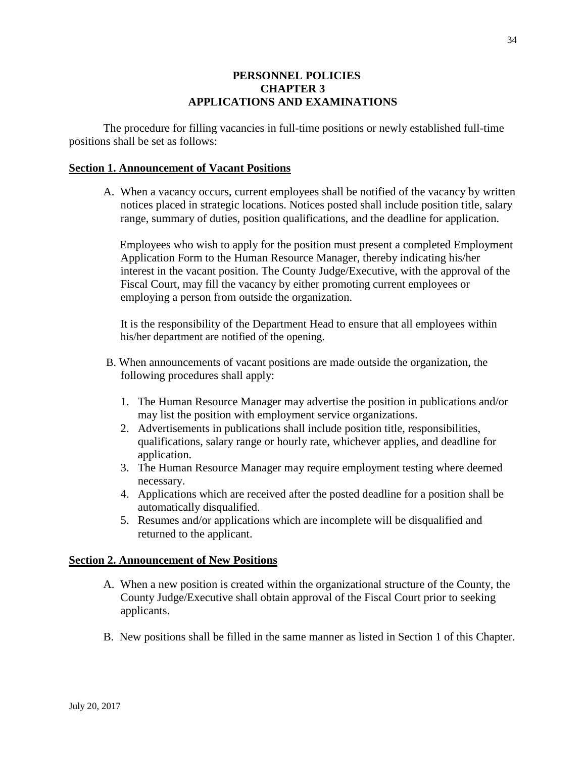### **PERSONNEL POLICIES CHAPTER 3 APPLICATIONS AND EXAMINATIONS**

The procedure for filling vacancies in full-time positions or newly established full-time positions shall be set as follows:

### **Section 1. Announcement of Vacant Positions**

A. When a vacancy occurs, current employees shall be notified of the vacancy by written notices placed in strategic locations. Notices posted shall include position title, salary range, summary of duties, position qualifications, and the deadline for application.

 Employees who wish to apply for the position must present a completed Employment Application Form to the Human Resource Manager, thereby indicating his/her interest in the vacant position. The County Judge/Executive, with the approval of the Fiscal Court, may fill the vacancy by either promoting current employees or employing a person from outside the organization.

It is the responsibility of the Department Head to ensure that all employees within his/her department are notified of the opening.

- B. When announcements of vacant positions are made outside the organization, the following procedures shall apply:
	- 1. The Human Resource Manager may advertise the position in publications and/or may list the position with employment service organizations.
	- 2. Advertisements in publications shall include position title, responsibilities, qualifications, salary range or hourly rate, whichever applies, and deadline for application.
	- 3. The Human Resource Manager may require employment testing where deemed necessary.
	- 4. Applications which are received after the posted deadline for a position shall be automatically disqualified.
	- 5. Resumes and/or applications which are incomplete will be disqualified and returned to the applicant.

### **Section 2. Announcement of New Positions**

- A. When a new position is created within the organizational structure of the County, the County Judge/Executive shall obtain approval of the Fiscal Court prior to seeking applicants.
- B. New positions shall be filled in the same manner as listed in Section 1 of this Chapter.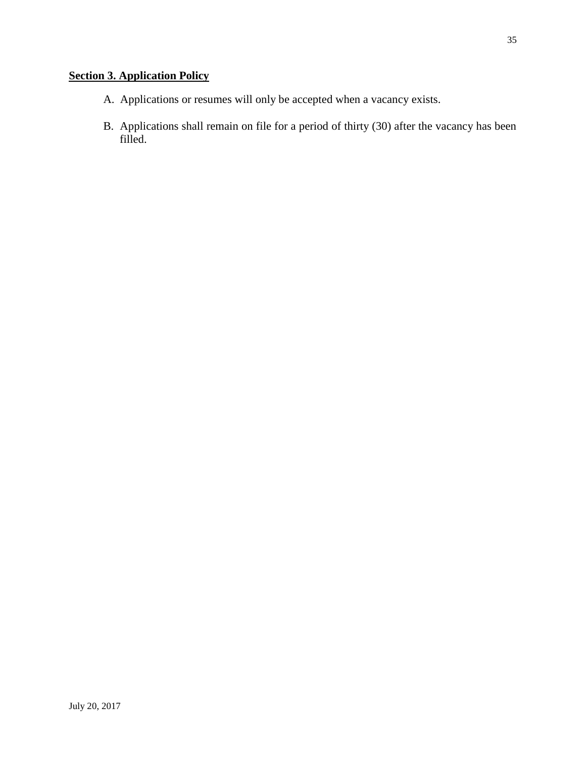# **Section 3. Application Policy**

- A. Applications or resumes will only be accepted when a vacancy exists.
- B. Applications shall remain on file for a period of thirty (30) after the vacancy has been filled.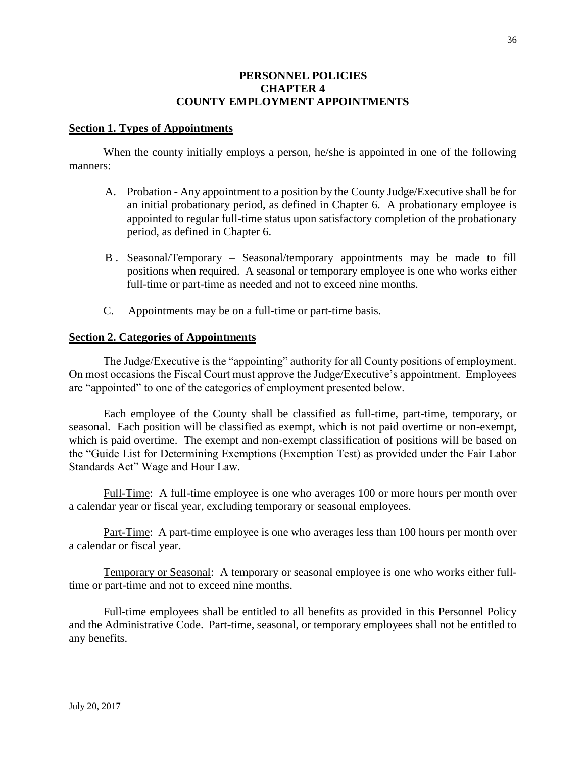### **PERSONNEL POLICIES CHAPTER 4 COUNTY EMPLOYMENT APPOINTMENTS**

### **Section 1. Types of Appointments**

When the county initially employs a person, he/she is appointed in one of the following manners:

- A. Probation Any appointment to a position by the County Judge/Executive shall be for an initial probationary period, as defined in Chapter 6. A probationary employee is appointed to regular full-time status upon satisfactory completion of the probationary period, as defined in Chapter 6.
- B . Seasonal/Temporary Seasonal/temporary appointments may be made to fill positions when required. A seasonal or temporary employee is one who works either full-time or part-time as needed and not to exceed nine months.
- C. Appointments may be on a full-time or part-time basis.

#### **Section 2. Categories of Appointments**

The Judge/Executive is the "appointing" authority for all County positions of employment. On most occasions the Fiscal Court must approve the Judge/Executive's appointment. Employees are "appointed" to one of the categories of employment presented below.

Each employee of the County shall be classified as full-time, part-time, temporary, or seasonal. Each position will be classified as exempt, which is not paid overtime or non-exempt, which is paid overtime. The exempt and non-exempt classification of positions will be based on the "Guide List for Determining Exemptions (Exemption Test) as provided under the Fair Labor Standards Act" Wage and Hour Law.

Full-Time: A full-time employee is one who averages 100 or more hours per month over a calendar year or fiscal year, excluding temporary or seasonal employees.

Part-Time: A part-time employee is one who averages less than 100 hours per month over a calendar or fiscal year.

Temporary or Seasonal: A temporary or seasonal employee is one who works either fulltime or part-time and not to exceed nine months.

Full-time employees shall be entitled to all benefits as provided in this Personnel Policy and the Administrative Code. Part-time, seasonal, or temporary employees shall not be entitled to any benefits.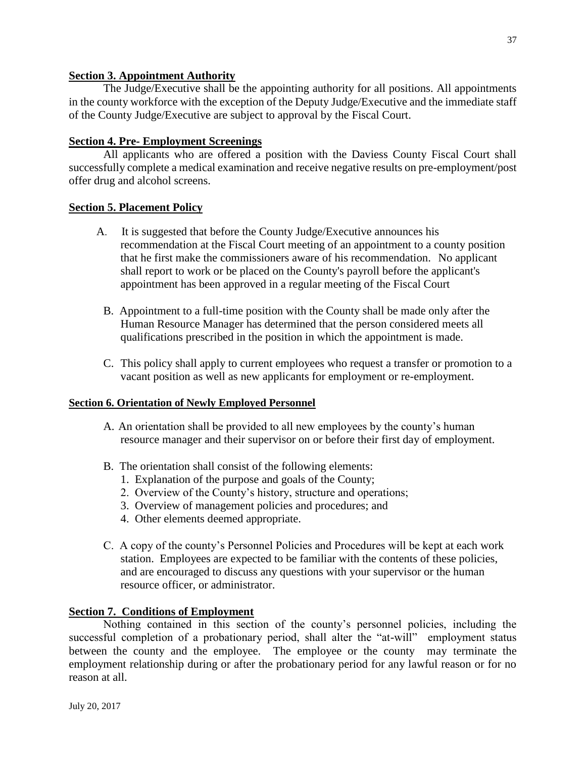## **Section 3. Appointment Authority**

The Judge/Executive shall be the appointing authority for all positions. All appointments in the county workforce with the exception of the Deputy Judge/Executive and the immediate staff of the County Judge/Executive are subject to approval by the Fiscal Court.

## **Section 4. Pre- Employment Screenings**

All applicants who are offered a position with the Daviess County Fiscal Court shall successfully complete a medical examination and receive negative results on pre-employment/post offer drug and alcohol screens.

## **Section 5. Placement Policy**

- A. It is suggested that before the County Judge/Executive announces his recommendation at the Fiscal Court meeting of an appointment to a county position that he first make the commissioners aware of his recommendation. No applicant shall report to work or be placed on the County's payroll before the applicant's appointment has been approved in a regular meeting of the Fiscal Court
	- B. Appointment to a full-time position with the County shall be made only after the Human Resource Manager has determined that the person considered meets all qualifications prescribed in the position in which the appointment is made.
	- C. This policy shall apply to current employees who request a transfer or promotion to a vacant position as well as new applicants for employment or re-employment.

## **Section 6. Orientation of Newly Employed Personnel**

- A. An orientation shall be provided to all new employees by the county's human resource manager and their supervisor on or before their first day of employment.
- B. The orientation shall consist of the following elements:
	- 1. Explanation of the purpose and goals of the County;
	- 2. Overview of the County's history, structure and operations;
	- 3. Overview of management policies and procedures; and
	- 4. Other elements deemed appropriate.
- C. A copy of the county's Personnel Policies and Procedures will be kept at each work station. Employees are expected to be familiar with the contents of these policies, and are encouraged to discuss any questions with your supervisor or the human resource officer, or administrator.

## **Section 7. Conditions of Employment**

Nothing contained in this section of the county's personnel policies, including the successful completion of a probationary period, shall alter the "at-will" employment status between the county and the employee. The employee or the county may terminate the employment relationship during or after the probationary period for any lawful reason or for no reason at all.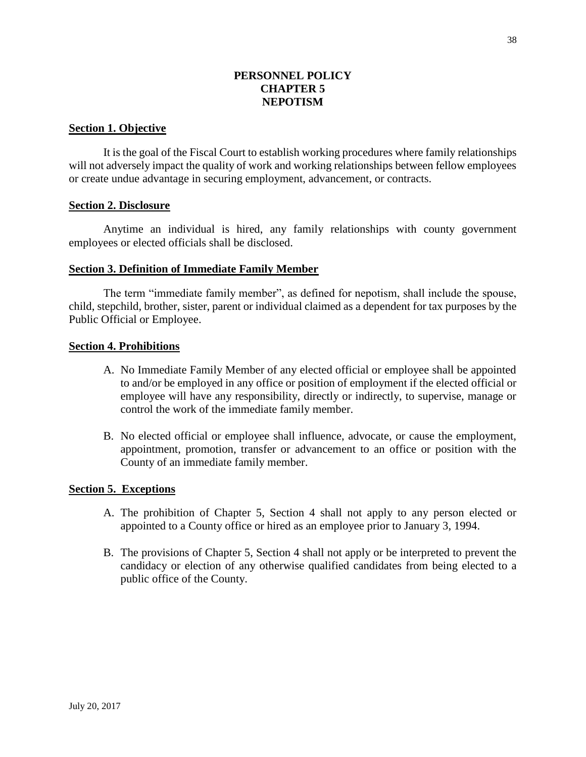## **PERSONNEL POLICY CHAPTER 5 NEPOTISM**

### **Section 1. Objective**

It is the goal of the Fiscal Court to establish working procedures where family relationships will not adversely impact the quality of work and working relationships between fellow employees or create undue advantage in securing employment, advancement, or contracts.

#### **Section 2. Disclosure**

Anytime an individual is hired, any family relationships with county government employees or elected officials shall be disclosed.

#### **Section 3. Definition of Immediate Family Member**

The term "immediate family member", as defined for nepotism, shall include the spouse, child, stepchild, brother, sister, parent or individual claimed as a dependent for tax purposes by the Public Official or Employee.

#### **Section 4. Prohibitions**

- A. No Immediate Family Member of any elected official or employee shall be appointed to and/or be employed in any office or position of employment if the elected official or employee will have any responsibility, directly or indirectly, to supervise, manage or control the work of the immediate family member.
- B. No elected official or employee shall influence, advocate, or cause the employment, appointment, promotion, transfer or advancement to an office or position with the County of an immediate family member.

#### **Section 5. Exceptions**

- A. The prohibition of Chapter 5, Section 4 shall not apply to any person elected or appointed to a County office or hired as an employee prior to January 3, 1994.
- B. The provisions of Chapter 5, Section 4 shall not apply or be interpreted to prevent the candidacy or election of any otherwise qualified candidates from being elected to a public office of the County.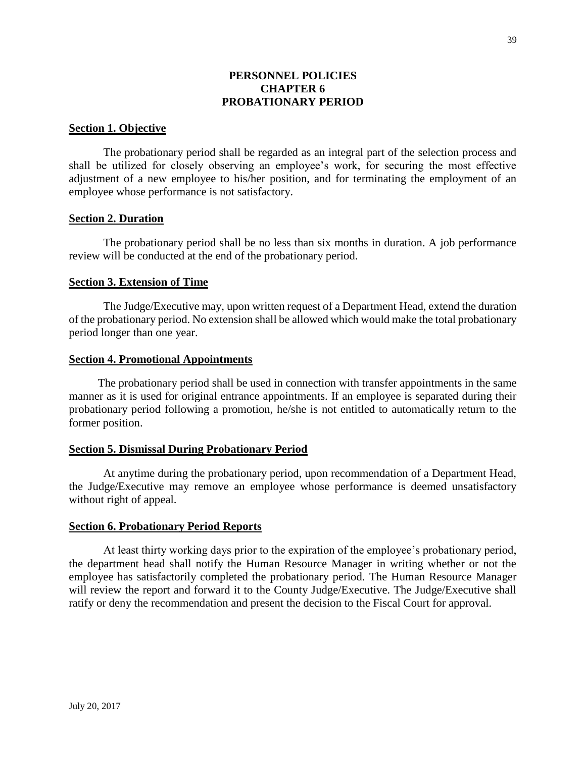## **PERSONNEL POLICIES CHAPTER 6 PROBATIONARY PERIOD**

#### **Section 1. Objective**

The probationary period shall be regarded as an integral part of the selection process and shall be utilized for closely observing an employee's work, for securing the most effective adjustment of a new employee to his/her position, and for terminating the employment of an employee whose performance is not satisfactory.

### **Section 2. Duration**

The probationary period shall be no less than six months in duration. A job performance review will be conducted at the end of the probationary period.

#### **Section 3. Extension of Time**

The Judge/Executive may, upon written request of a Department Head, extend the duration of the probationary period. No extension shall be allowed which would make the total probationary period longer than one year.

#### **Section 4. Promotional Appointments**

The probationary period shall be used in connection with transfer appointments in the same manner as it is used for original entrance appointments. If an employee is separated during their probationary period following a promotion, he/she is not entitled to automatically return to the former position.

#### **Section 5. Dismissal During Probationary Period**

At anytime during the probationary period, upon recommendation of a Department Head, the Judge/Executive may remove an employee whose performance is deemed unsatisfactory without right of appeal.

#### **Section 6. Probationary Period Reports**

At least thirty working days prior to the expiration of the employee's probationary period, the department head shall notify the Human Resource Manager in writing whether or not the employee has satisfactorily completed the probationary period. The Human Resource Manager will review the report and forward it to the County Judge/Executive. The Judge/Executive shall ratify or deny the recommendation and present the decision to the Fiscal Court for approval.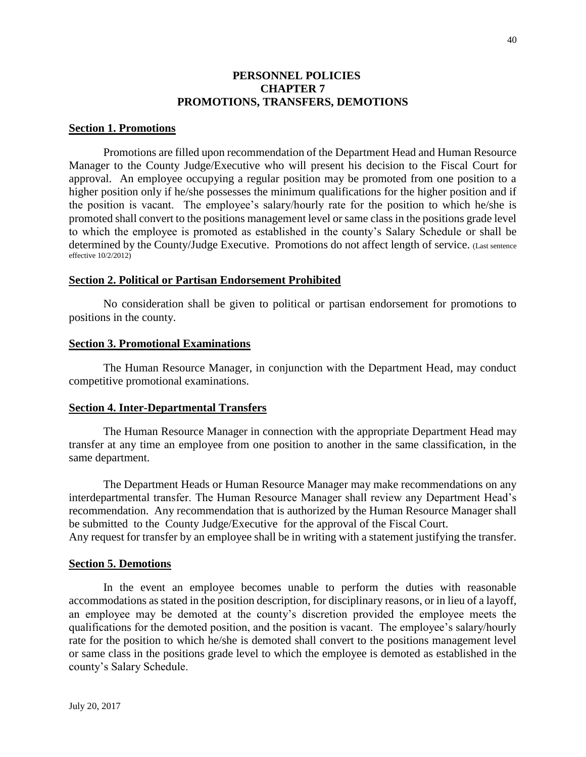### **PERSONNEL POLICIES CHAPTER 7 PROMOTIONS, TRANSFERS, DEMOTIONS**

#### **Section 1. Promotions**

Promotions are filled upon recommendation of the Department Head and Human Resource Manager to the County Judge/Executive who will present his decision to the Fiscal Court for approval. An employee occupying a regular position may be promoted from one position to a higher position only if he/she possesses the minimum qualifications for the higher position and if the position is vacant. The employee's salary/hourly rate for the position to which he/she is promoted shall convert to the positions management level or same class in the positions grade level to which the employee is promoted as established in the county's Salary Schedule or shall be determined by the County/Judge Executive. Promotions do not affect length of service. (Last sentence effective 10/2/2012)

#### **Section 2. Political or Partisan Endorsement Prohibited**

No consideration shall be given to political or partisan endorsement for promotions to positions in the county.

#### **Section 3. Promotional Examinations**

The Human Resource Manager, in conjunction with the Department Head, may conduct competitive promotional examinations.

#### **Section 4. Inter-Departmental Transfers**

The Human Resource Manager in connection with the appropriate Department Head may transfer at any time an employee from one position to another in the same classification, in the same department.

The Department Heads or Human Resource Manager may make recommendations on any interdepartmental transfer. The Human Resource Manager shall review any Department Head's recommendation. Any recommendation that is authorized by the Human Resource Manager shall be submitted to the County Judge/Executive for the approval of the Fiscal Court.

Any request for transfer by an employee shall be in writing with a statement justifying the transfer.

#### **Section 5. Demotions**

In the event an employee becomes unable to perform the duties with reasonable accommodations as stated in the position description, for disciplinary reasons, or in lieu of a layoff, an employee may be demoted at the county's discretion provided the employee meets the qualifications for the demoted position, and the position is vacant. The employee's salary/hourly rate for the position to which he/she is demoted shall convert to the positions management level or same class in the positions grade level to which the employee is demoted as established in the county's Salary Schedule.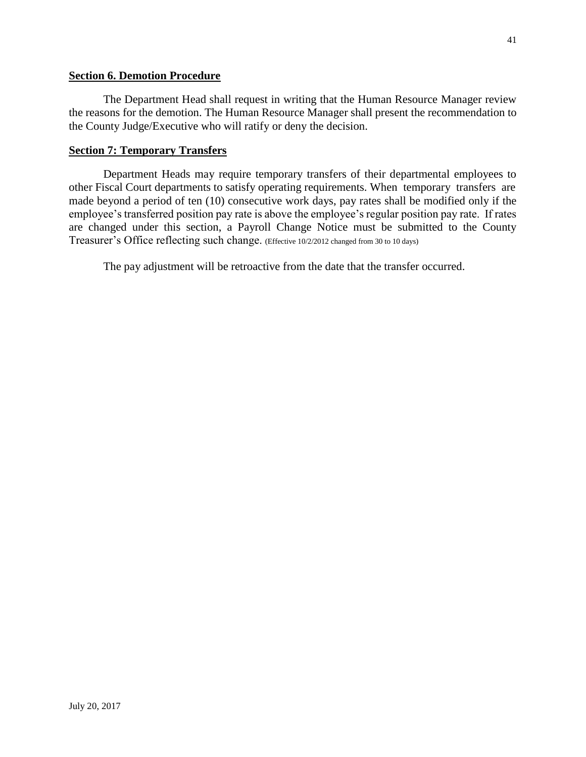### **Section 6. Demotion Procedure**

The Department Head shall request in writing that the Human Resource Manager review the reasons for the demotion. The Human Resource Manager shall present the recommendation to the County Judge/Executive who will ratify or deny the decision.

## **Section 7: Temporary Transfers**

Department Heads may require temporary transfers of their departmental employees to other Fiscal Court departments to satisfy operating requirements. When temporary transfers are made beyond a period of ten (10) consecutive work days, pay rates shall be modified only if the employee's transferred position pay rate is above the employee's regular position pay rate. If rates are changed under this section, a Payroll Change Notice must be submitted to the County Treasurer's Office reflecting such change. (Effective 10/2/2012 changed from 30 to 10 days)

The pay adjustment will be retroactive from the date that the transfer occurred.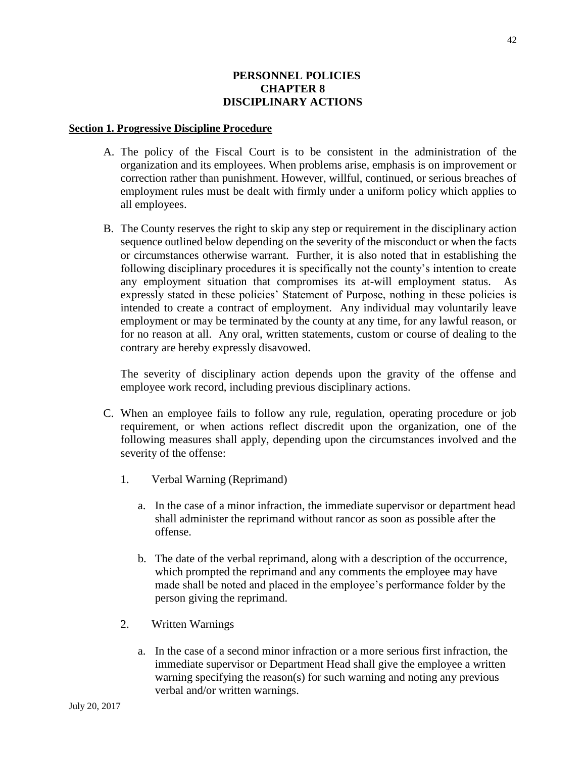## **PERSONNEL POLICIES CHAPTER 8 DISCIPLINARY ACTIONS**

#### **Section 1. Progressive Discipline Procedure**

- A. The policy of the Fiscal Court is to be consistent in the administration of the organization and its employees. When problems arise, emphasis is on improvement or correction rather than punishment. However, willful, continued, or serious breaches of employment rules must be dealt with firmly under a uniform policy which applies to all employees.
- B. The County reserves the right to skip any step or requirement in the disciplinary action sequence outlined below depending on the severity of the misconduct or when the facts or circumstances otherwise warrant. Further, it is also noted that in establishing the following disciplinary procedures it is specifically not the county's intention to create any employment situation that compromises its at-will employment status. As expressly stated in these policies' Statement of Purpose, nothing in these policies is intended to create a contract of employment. Any individual may voluntarily leave employment or may be terminated by the county at any time, for any lawful reason, or for no reason at all. Any oral, written statements, custom or course of dealing to the contrary are hereby expressly disavowed.

The severity of disciplinary action depends upon the gravity of the offense and employee work record, including previous disciplinary actions.

- C. When an employee fails to follow any rule, regulation, operating procedure or job requirement, or when actions reflect discredit upon the organization, one of the following measures shall apply, depending upon the circumstances involved and the severity of the offense:
	- 1. Verbal Warning (Reprimand)
		- a. In the case of a minor infraction, the immediate supervisor or department head shall administer the reprimand without rancor as soon as possible after the offense.
		- b. The date of the verbal reprimand, along with a description of the occurrence, which prompted the reprimand and any comments the employee may have made shall be noted and placed in the employee's performance folder by the person giving the reprimand.
	- 2. Written Warnings
		- a. In the case of a second minor infraction or a more serious first infraction, the immediate supervisor or Department Head shall give the employee a written warning specifying the reason(s) for such warning and noting any previous verbal and/or written warnings.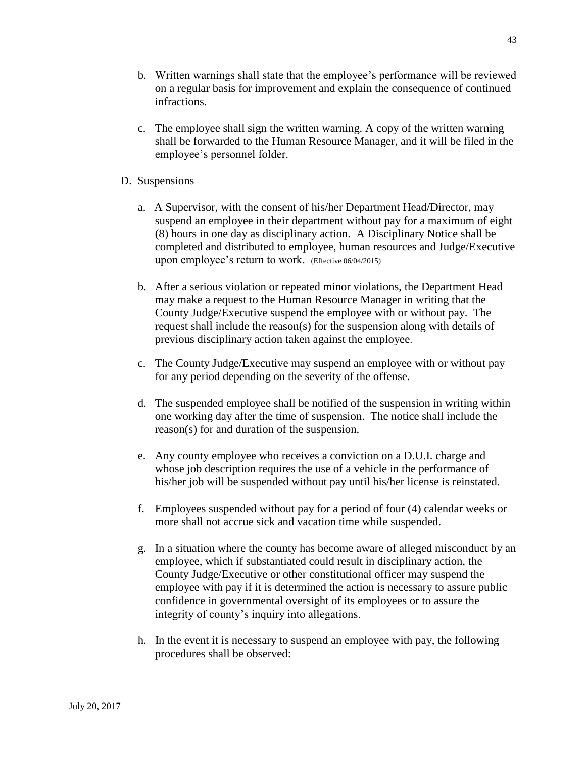- b. Written warnings shall state that the employee's performance will be reviewed on a regular basis for improvement and explain the consequence of continued infractions.
- c. The employee shall sign the written warning. A copy of the written warning shall be forwarded to the Human Resource Manager, and it will be filed in the employee's personnel folder.
- D. Suspensions
	- a. A Supervisor, with the consent of his/her Department Head/Director, may suspend an employee in their department without pay for a maximum of eight (8) hours in one day as disciplinary action. A Disciplinary Notice shall be completed and distributed to employee, human resources and Judge/Executive upon employee's return to work. (Effective 06/04/2015)
	- b. After a serious violation or repeated minor violations, the Department Head may make a request to the Human Resource Manager in writing that the County Judge/Executive suspend the employee with or without pay. The request shall include the reason(s) for the suspension along with details of previous disciplinary action taken against the employee.
	- c. The County Judge/Executive may suspend an employee with or without pay for any period depending on the severity of the offense.
	- d. The suspended employee shall be notified of the suspension in writing within one working day after the time of suspension. The notice shall include the reason(s) for and duration of the suspension.
	- e. Any county employee who receives a conviction on a D.U.I. charge and whose job description requires the use of a vehicle in the performance of his/her job will be suspended without pay until his/her license is reinstated.
	- f. Employees suspended without pay for a period of four (4) calendar weeks or more shall not accrue sick and vacation time while suspended.
	- g. In a situation where the county has become aware of alleged misconduct by an employee, which if substantiated could result in disciplinary action, the County Judge/Executive or other constitutional officer may suspend the employee with pay if it is determined the action is necessary to assure public confidence in governmental oversight of its employees or to assure the integrity of county's inquiry into allegations.
	- h. In the event it is necessary to suspend an employee with pay, the following procedures shall be observed: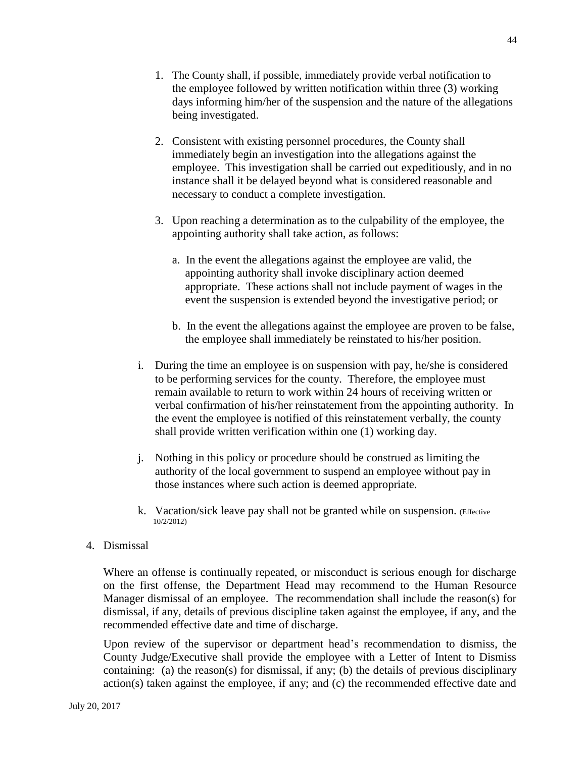- 1. The County shall, if possible, immediately provide verbal notification to the employee followed by written notification within three (3) working days informing him/her of the suspension and the nature of the allegations being investigated.
- 2. Consistent with existing personnel procedures, the County shall immediately begin an investigation into the allegations against the employee. This investigation shall be carried out expeditiously, and in no instance shall it be delayed beyond what is considered reasonable and necessary to conduct a complete investigation.
- 3. Upon reaching a determination as to the culpability of the employee, the appointing authority shall take action, as follows:
	- a. In the event the allegations against the employee are valid, the appointing authority shall invoke disciplinary action deemed appropriate. These actions shall not include payment of wages in the event the suspension is extended beyond the investigative period; or
	- b. In the event the allegations against the employee are proven to be false, the employee shall immediately be reinstated to his/her position.
- i. During the time an employee is on suspension with pay, he/she is considered to be performing services for the county. Therefore, the employee must remain available to return to work within 24 hours of receiving written or verbal confirmation of his/her reinstatement from the appointing authority. In the event the employee is notified of this reinstatement verbally, the county shall provide written verification within one (1) working day.
- j. Nothing in this policy or procedure should be construed as limiting the authority of the local government to suspend an employee without pay in those instances where such action is deemed appropriate.
- k. Vacation/sick leave pay shall not be granted while on suspension. (Effective 10/2/2012)
- 4. Dismissal

Where an offense is continually repeated, or misconduct is serious enough for discharge on the first offense, the Department Head may recommend to the Human Resource Manager dismissal of an employee. The recommendation shall include the reason(s) for dismissal, if any, details of previous discipline taken against the employee, if any, and the recommended effective date and time of discharge.

Upon review of the supervisor or department head's recommendation to dismiss, the County Judge/Executive shall provide the employee with a Letter of Intent to Dismiss containing: (a) the reason(s) for dismissal, if any; (b) the details of previous disciplinary action(s) taken against the employee, if any; and (c) the recommended effective date and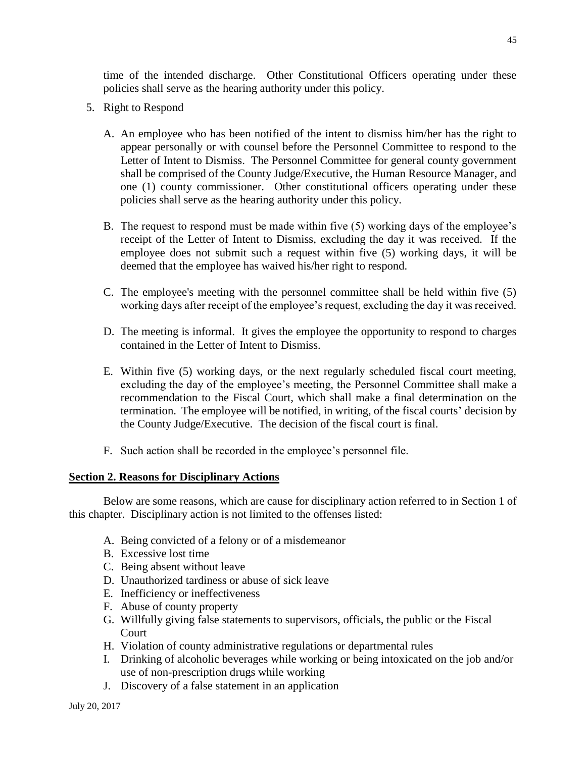time of the intended discharge. Other Constitutional Officers operating under these policies shall serve as the hearing authority under this policy.

- 5. Right to Respond
	- A. An employee who has been notified of the intent to dismiss him/her has the right to appear personally or with counsel before the Personnel Committee to respond to the Letter of Intent to Dismiss. The Personnel Committee for general county government shall be comprised of the County Judge/Executive, the Human Resource Manager, and one (1) county commissioner. Other constitutional officers operating under these policies shall serve as the hearing authority under this policy.
	- B. The request to respond must be made within five (5) working days of the employee's receipt of the Letter of Intent to Dismiss, excluding the day it was received. If the employee does not submit such a request within five (5) working days, it will be deemed that the employee has waived his/her right to respond.
	- C. The employee's meeting with the personnel committee shall be held within five (5) working days after receipt of the employee's request, excluding the day it was received.
	- D. The meeting is informal. It gives the employee the opportunity to respond to charges contained in the Letter of Intent to Dismiss.
	- E. Within five (5) working days, or the next regularly scheduled fiscal court meeting, excluding the day of the employee's meeting, the Personnel Committee shall make a recommendation to the Fiscal Court, which shall make a final determination on the termination. The employee will be notified, in writing, of the fiscal courts' decision by the County Judge/Executive. The decision of the fiscal court is final.
	- F. Such action shall be recorded in the employee's personnel file.

#### **Section 2. Reasons for Disciplinary Actions**

Below are some reasons, which are cause for disciplinary action referred to in Section 1 of this chapter. Disciplinary action is not limited to the offenses listed:

- A. Being convicted of a felony or of a misdemeanor
- B. Excessive lost time
- C. Being absent without leave
- D. Unauthorized tardiness or abuse of sick leave
- E. Inefficiency or ineffectiveness
- F. Abuse of county property
- G. Willfully giving false statements to supervisors, officials, the public or the Fiscal **Court**
- H. Violation of county administrative regulations or departmental rules
- I. Drinking of alcoholic beverages while working or being intoxicated on the job and/or use of non-prescription drugs while working
- J. Discovery of a false statement in an application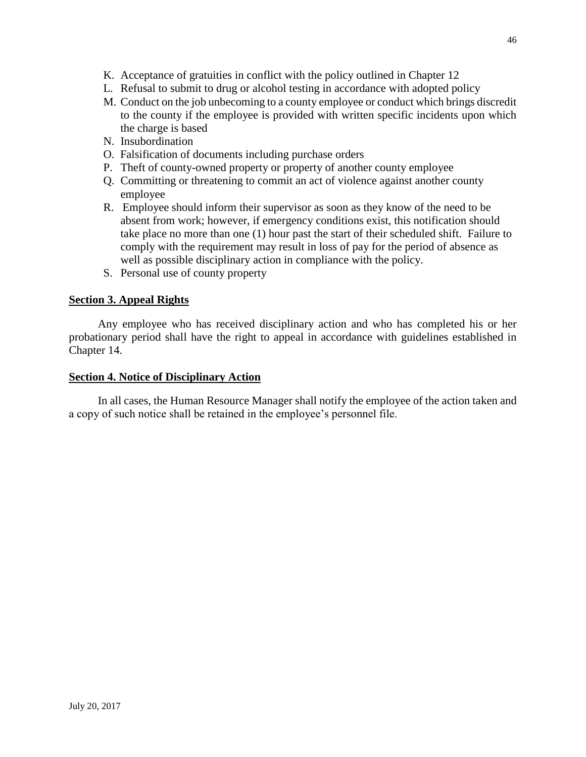- K. Acceptance of gratuities in conflict with the policy outlined in Chapter 12
- L. Refusal to submit to drug or alcohol testing in accordance with adopted policy
- M. Conduct on the job unbecoming to a county employee or conduct which brings discredit to the county if the employee is provided with written specific incidents upon which the charge is based
- N. Insubordination
- O. Falsification of documents including purchase orders
- P. Theft of county-owned property or property of another county employee
- Q. Committing or threatening to commit an act of violence against another county employee
- R. Employee should inform their supervisor as soon as they know of the need to be absent from work; however, if emergency conditions exist, this notification should take place no more than one (1) hour past the start of their scheduled shift. Failure to comply with the requirement may result in loss of pay for the period of absence as well as possible disciplinary action in compliance with the policy.
- S. Personal use of county property

# **Section 3. Appeal Rights**

Any employee who has received disciplinary action and who has completed his or her probationary period shall have the right to appeal in accordance with guidelines established in Chapter 14.

## **Section 4. Notice of Disciplinary Action**

In all cases, the Human Resource Manager shall notify the employee of the action taken and a copy of such notice shall be retained in the employee's personnel file.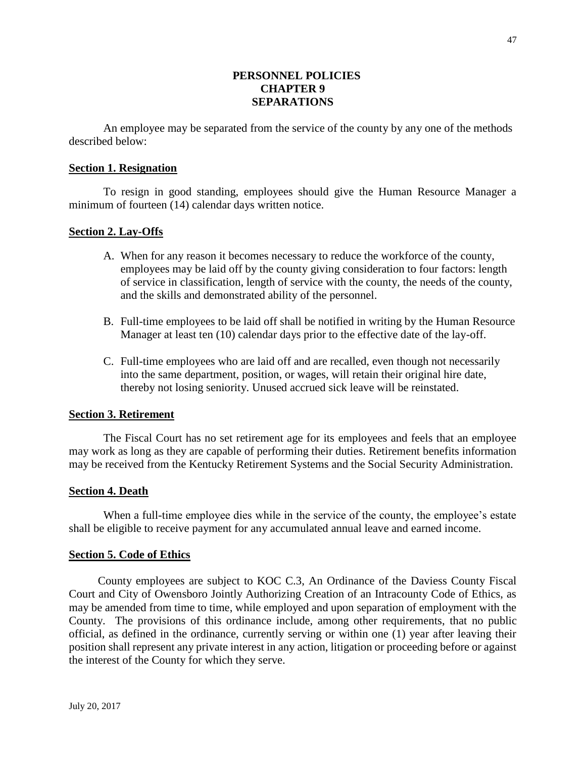## **PERSONNEL POLICIES CHAPTER 9 SEPARATIONS**

An employee may be separated from the service of the county by any one of the methods described below:

#### **Section 1. Resignation**

To resign in good standing, employees should give the Human Resource Manager a minimum of fourteen (14) calendar days written notice.

#### **Section 2. Lay-Offs**

- A. When for any reason it becomes necessary to reduce the workforce of the county, employees may be laid off by the county giving consideration to four factors: length of service in classification, length of service with the county, the needs of the county, and the skills and demonstrated ability of the personnel.
- B. Full-time employees to be laid off shall be notified in writing by the Human Resource Manager at least ten (10) calendar days prior to the effective date of the lay-off.
- C. Full-time employees who are laid off and are recalled, even though not necessarily into the same department, position, or wages, will retain their original hire date, thereby not losing seniority. Unused accrued sick leave will be reinstated.

#### **Section 3. Retirement**

The Fiscal Court has no set retirement age for its employees and feels that an employee may work as long as they are capable of performing their duties. Retirement benefits information may be received from the Kentucky Retirement Systems and the Social Security Administration.

#### **Section 4. Death**

When a full-time employee dies while in the service of the county, the employee's estate shall be eligible to receive payment for any accumulated annual leave and earned income.

#### **Section 5. Code of Ethics**

County employees are subject to KOC C.3, An Ordinance of the Daviess County Fiscal Court and City of Owensboro Jointly Authorizing Creation of an Intracounty Code of Ethics, as may be amended from time to time, while employed and upon separation of employment with the County. The provisions of this ordinance include, among other requirements, that no public official, as defined in the ordinance, currently serving or within one (1) year after leaving their position shall represent any private interest in any action, litigation or proceeding before or against the interest of the County for which they serve.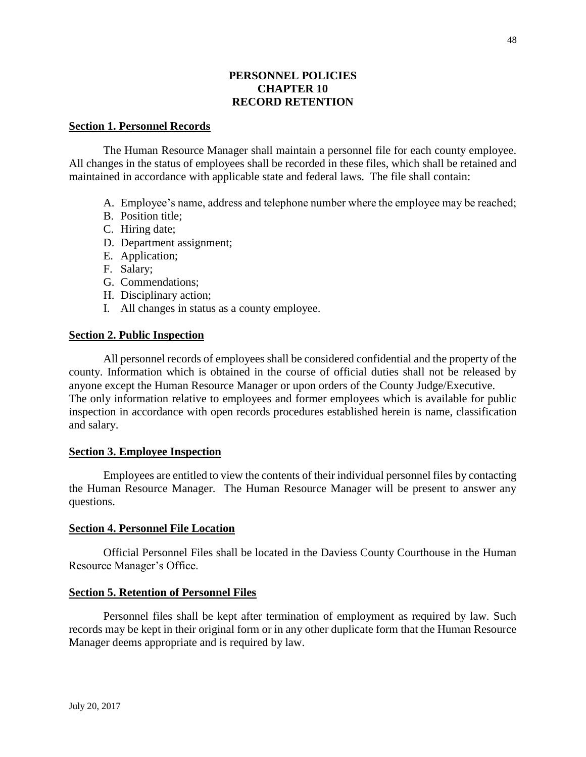## **PERSONNEL POLICIES CHAPTER 10 RECORD RETENTION**

#### **Section 1. Personnel Records**

The Human Resource Manager shall maintain a personnel file for each county employee. All changes in the status of employees shall be recorded in these files, which shall be retained and maintained in accordance with applicable state and federal laws. The file shall contain:

- A. Employee's name, address and telephone number where the employee may be reached;
- B. Position title;
- C. Hiring date;
- D. Department assignment;
- E. Application;
- F. Salary;
- G. Commendations;
- H. Disciplinary action;
- I. All changes in status as a county employee.

#### **Section 2. Public Inspection**

All personnel records of employees shall be considered confidential and the property of the county. Information which is obtained in the course of official duties shall not be released by anyone except the Human Resource Manager or upon orders of the County Judge/Executive. The only information relative to employees and former employees which is available for public inspection in accordance with open records procedures established herein is name, classification and salary.

#### **Section 3. Employee Inspection**

Employees are entitled to view the contents of their individual personnel files by contacting the Human Resource Manager. The Human Resource Manager will be present to answer any questions.

#### **Section 4. Personnel File Location**

Official Personnel Files shall be located in the Daviess County Courthouse in the Human Resource Manager's Office.

#### **Section 5. Retention of Personnel Files**

Personnel files shall be kept after termination of employment as required by law. Such records may be kept in their original form or in any other duplicate form that the Human Resource Manager deems appropriate and is required by law.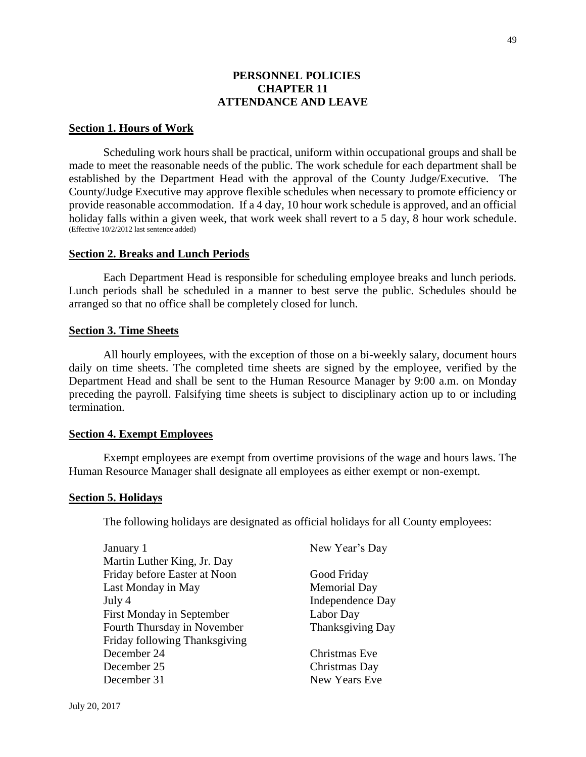49

### **PERSONNEL POLICIES CHAPTER 11 ATTENDANCE AND LEAVE**

#### **Section 1. Hours of Work**

Scheduling work hours shall be practical, uniform within occupational groups and shall be made to meet the reasonable needs of the public. The work schedule for each department shall be established by the Department Head with the approval of the County Judge/Executive. The County/Judge Executive may approve flexible schedules when necessary to promote efficiency or provide reasonable accommodation. If a 4 day, 10 hour work schedule is approved, and an official holiday falls within a given week, that work week shall revert to a 5 day, 8 hour work schedule. (Effective 10/2/2012 last sentence added)

#### **Section 2. Breaks and Lunch Periods**

Each Department Head is responsible for scheduling employee breaks and lunch periods. Lunch periods shall be scheduled in a manner to best serve the public. Schedules should be arranged so that no office shall be completely closed for lunch.

### **Section 3. Time Sheets**

All hourly employees, with the exception of those on a bi-weekly salary, document hours daily on time sheets. The completed time sheets are signed by the employee, verified by the Department Head and shall be sent to the Human Resource Manager by 9:00 a.m. on Monday preceding the payroll. Falsifying time sheets is subject to disciplinary action up to or including termination.

#### **Section 4. Exempt Employees**

Exempt employees are exempt from overtime provisions of the wage and hours laws. The Human Resource Manager shall designate all employees as either exempt or non-exempt.

#### **Section 5. Holidays**

The following holidays are designated as official holidays for all County employees:

| January 1                     | New Year's Day          |
|-------------------------------|-------------------------|
| Martin Luther King, Jr. Day   |                         |
| Friday before Easter at Noon  | Good Friday             |
| Last Monday in May            | <b>Memorial Day</b>     |
| July 4                        | <b>Independence Day</b> |
| First Monday in September     | Labor Day               |
| Fourth Thursday in November   | Thanksgiving Day        |
| Friday following Thanksgiving |                         |
| December 24                   | Christmas Eve           |
| December 25                   | Christmas Day           |
| December 31                   | New Years Eve           |
|                               |                         |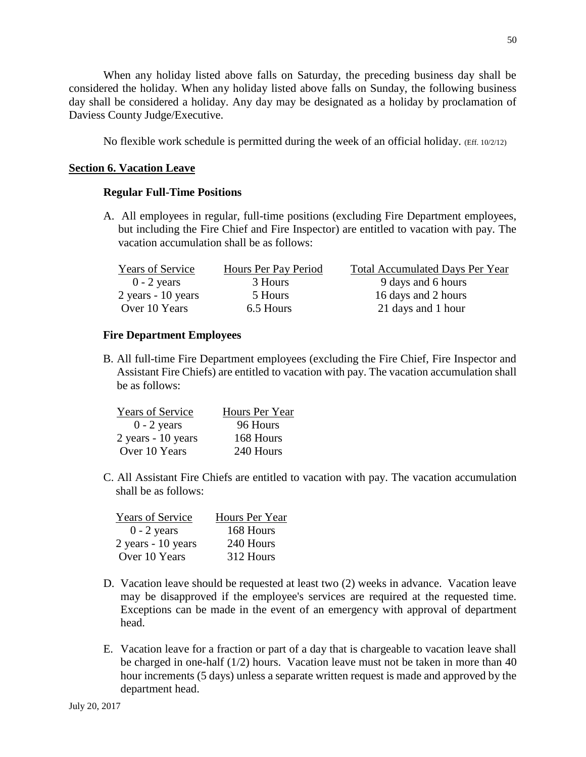When any holiday listed above falls on Saturday, the preceding business day shall be considered the holiday. When any holiday listed above falls on Sunday, the following business day shall be considered a holiday. Any day may be designated as a holiday by proclamation of Daviess County Judge/Executive.

No flexible work schedule is permitted during the week of an official holiday. (Eff. 10/2/12)

## **Section 6. Vacation Leave**

## **Regular Full-Time Positions**

A. All employees in regular, full-time positions (excluding Fire Department employees, but including the Fire Chief and Fire Inspector) are entitled to vacation with pay. The vacation accumulation shall be as follows:

| <b>Years of Service</b> | Hours Per Pay Period | <b>Total Accumulated Days Per Year</b> |
|-------------------------|----------------------|----------------------------------------|
| $0 - 2$ years           | 3 Hours              | 9 days and 6 hours                     |
| $2$ years - 10 years    | 5 Hours              | 16 days and 2 hours                    |
| Over 10 Years           | 6.5 Hours            | 21 days and 1 hour                     |

## **Fire Department Employees**

B. All full-time Fire Department employees (excluding the Fire Chief, Fire Inspector and Assistant Fire Chiefs) are entitled to vacation with pay. The vacation accumulation shall be as follows:

| <b>Years of Service</b> | Hours Per Year |
|-------------------------|----------------|
| $0 - 2$ years           | 96 Hours       |
| 2 years - 10 years      | 168 Hours      |
| Over 10 Years           | 240 Hours      |

C. All Assistant Fire Chiefs are entitled to vacation with pay. The vacation accumulation shall be as follows:

| <b>Years of Service</b> | Hours Per Year |
|-------------------------|----------------|
| $0 - 2$ years           | 168 Hours      |
| 2 years - 10 years      | 240 Hours      |
| Over 10 Years           | 312 Hours      |

- D. Vacation leave should be requested at least two (2) weeks in advance. Vacation leave may be disapproved if the employee's services are required at the requested time. Exceptions can be made in the event of an emergency with approval of department head.
- E. Vacation leave for a fraction or part of a day that is chargeable to vacation leave shall be charged in one-half (1/2) hours. Vacation leave must not be taken in more than 40 hour increments (5 days) unless a separate written request is made and approved by the department head.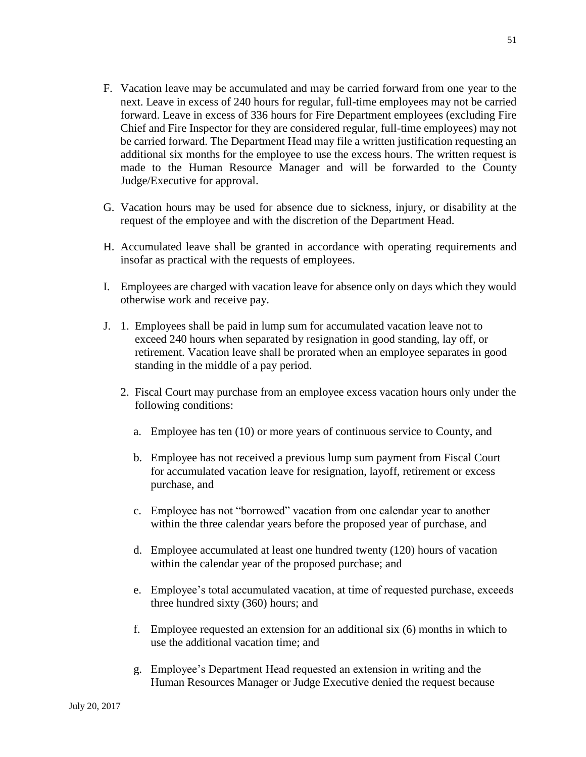- F. Vacation leave may be accumulated and may be carried forward from one year to the next. Leave in excess of 240 hours for regular, full-time employees may not be carried forward. Leave in excess of 336 hours for Fire Department employees (excluding Fire Chief and Fire Inspector for they are considered regular, full-time employees) may not be carried forward. The Department Head may file a written justification requesting an additional six months for the employee to use the excess hours. The written request is made to the Human Resource Manager and will be forwarded to the County Judge/Executive for approval.
- G. Vacation hours may be used for absence due to sickness, injury, or disability at the request of the employee and with the discretion of the Department Head.
- H. Accumulated leave shall be granted in accordance with operating requirements and insofar as practical with the requests of employees.
- I. Employees are charged with vacation leave for absence only on days which they would otherwise work and receive pay.
- J. 1. Employees shall be paid in lump sum for accumulated vacation leave not to exceed 240 hours when separated by resignation in good standing, lay off, or retirement. Vacation leave shall be prorated when an employee separates in good standing in the middle of a pay period.
	- 2. Fiscal Court may purchase from an employee excess vacation hours only under the following conditions:
		- a. Employee has ten (10) or more years of continuous service to County, and
		- b. Employee has not received a previous lump sum payment from Fiscal Court for accumulated vacation leave for resignation, layoff, retirement or excess purchase, and
		- c. Employee has not "borrowed" vacation from one calendar year to another within the three calendar years before the proposed year of purchase, and
		- d. Employee accumulated at least one hundred twenty (120) hours of vacation within the calendar year of the proposed purchase; and
		- e. Employee's total accumulated vacation, at time of requested purchase, exceeds three hundred sixty (360) hours; and
		- f. Employee requested an extension for an additional six (6) months in which to use the additional vacation time; and
		- g. Employee's Department Head requested an extension in writing and the Human Resources Manager or Judge Executive denied the request because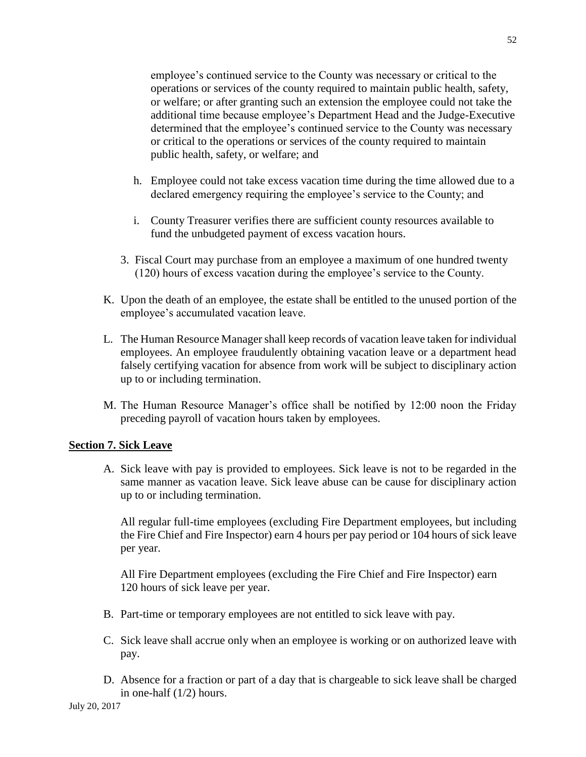employee's continued service to the County was necessary or critical to the operations or services of the county required to maintain public health, safety, or welfare; or after granting such an extension the employee could not take the additional time because employee's Department Head and the Judge-Executive determined that the employee's continued service to the County was necessary or critical to the operations or services of the county required to maintain public health, safety, or welfare; and

- h. Employee could not take excess vacation time during the time allowed due to a declared emergency requiring the employee's service to the County; and
- i. County Treasurer verifies there are sufficient county resources available to fund the unbudgeted payment of excess vacation hours.
- 3. Fiscal Court may purchase from an employee a maximum of one hundred twenty (120) hours of excess vacation during the employee's service to the County.
- K. Upon the death of an employee, the estate shall be entitled to the unused portion of the employee's accumulated vacation leave.
- L. The Human Resource Manager shall keep records of vacation leave taken for individual employees. An employee fraudulently obtaining vacation leave or a department head falsely certifying vacation for absence from work will be subject to disciplinary action up to or including termination.
- M. The Human Resource Manager's office shall be notified by 12:00 noon the Friday preceding payroll of vacation hours taken by employees.

## **Section 7. Sick Leave**

A. Sick leave with pay is provided to employees. Sick leave is not to be regarded in the same manner as vacation leave. Sick leave abuse can be cause for disciplinary action up to or including termination.

All regular full-time employees (excluding Fire Department employees, but including the Fire Chief and Fire Inspector) earn 4 hours per pay period or 104 hours of sick leave per year.

All Fire Department employees (excluding the Fire Chief and Fire Inspector) earn 120 hours of sick leave per year.

- B. Part-time or temporary employees are not entitled to sick leave with pay.
- C. Sick leave shall accrue only when an employee is working or on authorized leave with pay.
- D. Absence for a fraction or part of a day that is chargeable to sick leave shall be charged in one-half (1/2) hours.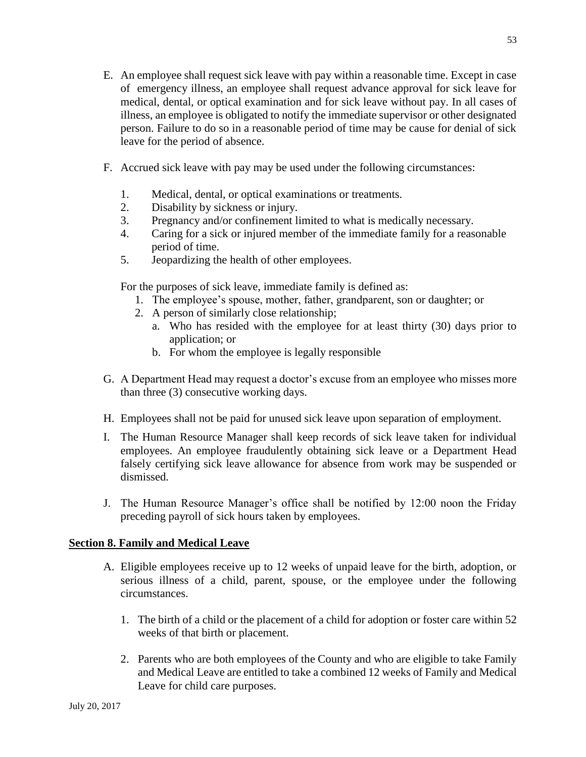- E. An employee shall request sick leave with pay within a reasonable time. Except in case of emergency illness, an employee shall request advance approval for sick leave for medical, dental, or optical examination and for sick leave without pay. In all cases of illness, an employee is obligated to notify the immediate supervisor or other designated person. Failure to do so in a reasonable period of time may be cause for denial of sick leave for the period of absence.
- F. Accrued sick leave with pay may be used under the following circumstances:
	- 1. Medical, dental, or optical examinations or treatments.
	- 2. Disability by sickness or injury.
	- 3. Pregnancy and/or confinement limited to what is medically necessary.
	- 4. Caring for a sick or injured member of the immediate family for a reasonable period of time.
	- 5. Jeopardizing the health of other employees.

For the purposes of sick leave, immediate family is defined as:

- 1. The employee's spouse, mother, father, grandparent, son or daughter; or
- 2. A person of similarly close relationship;
	- a. Who has resided with the employee for at least thirty (30) days prior to application; or
	- b. For whom the employee is legally responsible
- G. A Department Head may request a doctor's excuse from an employee who misses more than three (3) consecutive working days.
- H. Employees shall not be paid for unused sick leave upon separation of employment.
- I. The Human Resource Manager shall keep records of sick leave taken for individual employees. An employee fraudulently obtaining sick leave or a Department Head falsely certifying sick leave allowance for absence from work may be suspended or dismissed.
- J. The Human Resource Manager's office shall be notified by 12:00 noon the Friday preceding payroll of sick hours taken by employees.

## **Section 8. Family and Medical Leave**

- A. Eligible employees receive up to 12 weeks of unpaid leave for the birth, adoption, or serious illness of a child, parent, spouse, or the employee under the following circumstances.
	- 1. The birth of a child or the placement of a child for adoption or foster care within 52 weeks of that birth or placement.
	- 2. Parents who are both employees of the County and who are eligible to take Family and Medical Leave are entitled to take a combined 12 weeks of Family and Medical Leave for child care purposes.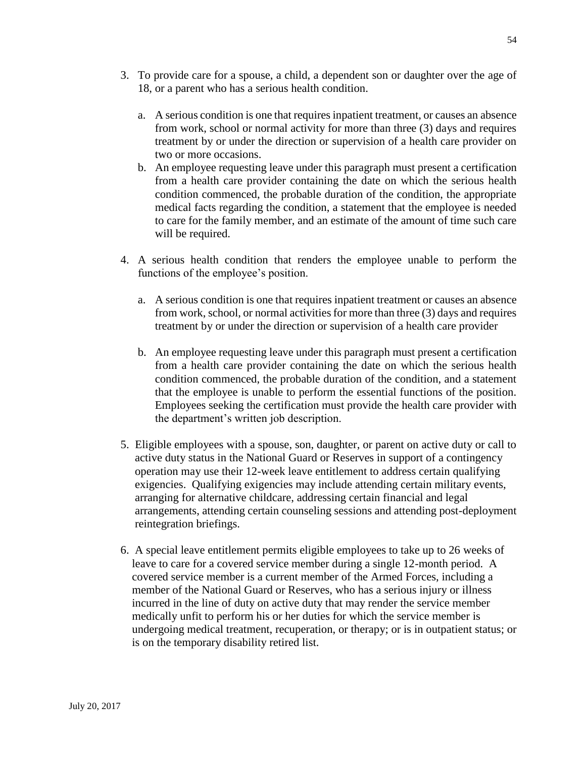- 3. To provide care for a spouse, a child, a dependent son or daughter over the age of 18, or a parent who has a serious health condition.
	- a. A serious condition is one that requires inpatient treatment, or causes an absence from work, school or normal activity for more than three (3) days and requires treatment by or under the direction or supervision of a health care provider on two or more occasions.
	- b. An employee requesting leave under this paragraph must present a certification from a health care provider containing the date on which the serious health condition commenced, the probable duration of the condition, the appropriate medical facts regarding the condition, a statement that the employee is needed to care for the family member, and an estimate of the amount of time such care will be required.
- 4. A serious health condition that renders the employee unable to perform the functions of the employee's position.
	- a. A serious condition is one that requires inpatient treatment or causes an absence from work, school, or normal activities for more than three (3) days and requires treatment by or under the direction or supervision of a health care provider
	- b. An employee requesting leave under this paragraph must present a certification from a health care provider containing the date on which the serious health condition commenced, the probable duration of the condition, and a statement that the employee is unable to perform the essential functions of the position. Employees seeking the certification must provide the health care provider with the department's written job description.
- 5. Eligible employees with a spouse, son, daughter, or parent on active duty or call to active duty status in the National Guard or Reserves in support of a contingency operation may use their 12-week leave entitlement to address certain qualifying exigencies. Qualifying exigencies may include attending certain military events, arranging for alternative childcare, addressing certain financial and legal arrangements, attending certain counseling sessions and attending post-deployment reintegration briefings.
- 6. A special leave entitlement permits eligible employees to take up to 26 weeks of leave to care for a covered service member during a single 12-month period. A covered service member is a current member of the Armed Forces, including a member of the National Guard or Reserves, who has a serious injury or illness incurred in the line of duty on active duty that may render the service member medically unfit to perform his or her duties for which the service member is undergoing medical treatment, recuperation, or therapy; or is in outpatient status; or is on the temporary disability retired list.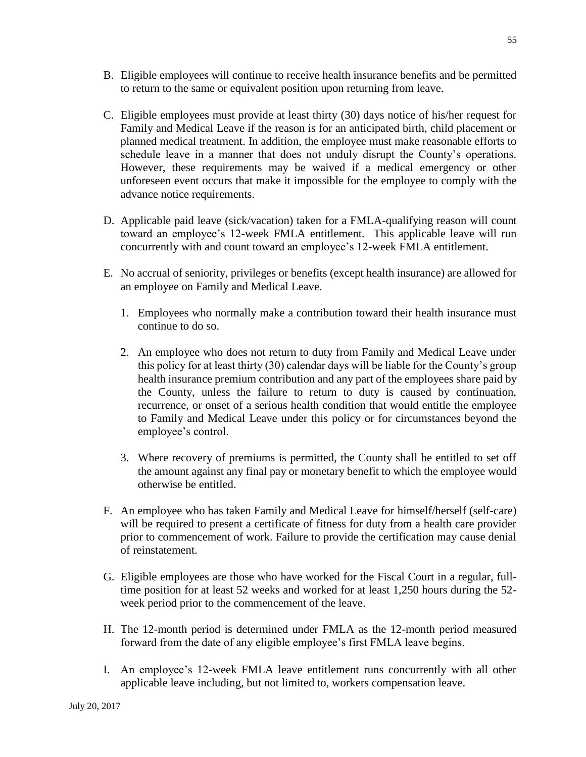- B. Eligible employees will continue to receive health insurance benefits and be permitted to return to the same or equivalent position upon returning from leave.
- C. Eligible employees must provide at least thirty (30) days notice of his/her request for Family and Medical Leave if the reason is for an anticipated birth, child placement or planned medical treatment. In addition, the employee must make reasonable efforts to schedule leave in a manner that does not unduly disrupt the County's operations. However, these requirements may be waived if a medical emergency or other unforeseen event occurs that make it impossible for the employee to comply with the advance notice requirements.
- D. Applicable paid leave (sick/vacation) taken for a FMLA-qualifying reason will count toward an employee's 12-week FMLA entitlement. This applicable leave will run concurrently with and count toward an employee's 12-week FMLA entitlement.
- E. No accrual of seniority, privileges or benefits (except health insurance) are allowed for an employee on Family and Medical Leave.
	- 1. Employees who normally make a contribution toward their health insurance must continue to do so.
	- 2. An employee who does not return to duty from Family and Medical Leave under this policy for at least thirty (30) calendar days will be liable for the County's group health insurance premium contribution and any part of the employees share paid by the County, unless the failure to return to duty is caused by continuation, recurrence, or onset of a serious health condition that would entitle the employee to Family and Medical Leave under this policy or for circumstances beyond the employee's control.
	- 3. Where recovery of premiums is permitted, the County shall be entitled to set off the amount against any final pay or monetary benefit to which the employee would otherwise be entitled.
- F. An employee who has taken Family and Medical Leave for himself/herself (self-care) will be required to present a certificate of fitness for duty from a health care provider prior to commencement of work. Failure to provide the certification may cause denial of reinstatement.
- G. Eligible employees are those who have worked for the Fiscal Court in a regular, fulltime position for at least 52 weeks and worked for at least 1,250 hours during the 52 week period prior to the commencement of the leave.
- H. The 12-month period is determined under FMLA as the 12-month period measured forward from the date of any eligible employee's first FMLA leave begins.
- I. An employee's 12-week FMLA leave entitlement runs concurrently with all other applicable leave including, but not limited to, workers compensation leave.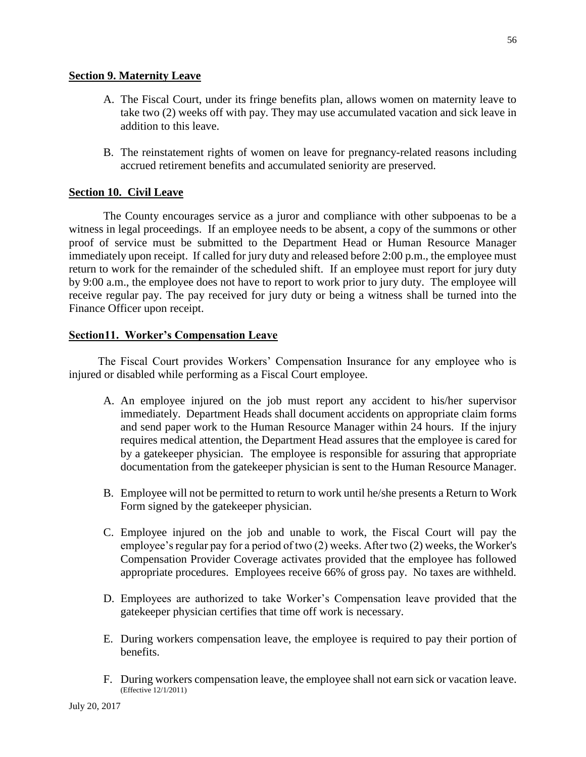## **Section 9. Maternity Leave**

- A. The Fiscal Court, under its fringe benefits plan, allows women on maternity leave to take two (2) weeks off with pay. They may use accumulated vacation and sick leave in addition to this leave.
- B. The reinstatement rights of women on leave for pregnancy-related reasons including accrued retirement benefits and accumulated seniority are preserved.

## **Section 10. Civil Leave**

The County encourages service as a juror and compliance with other subpoenas to be a witness in legal proceedings. If an employee needs to be absent, a copy of the summons or other proof of service must be submitted to the Department Head or Human Resource Manager immediately upon receipt. If called for jury duty and released before 2:00 p.m., the employee must return to work for the remainder of the scheduled shift. If an employee must report for jury duty by 9:00 a.m., the employee does not have to report to work prior to jury duty. The employee will receive regular pay. The pay received for jury duty or being a witness shall be turned into the Finance Officer upon receipt.

## **Section11. Worker's Compensation Leave**

The Fiscal Court provides Workers' Compensation Insurance for any employee who is injured or disabled while performing as a Fiscal Court employee.

- A. An employee injured on the job must report any accident to his/her supervisor immediately. Department Heads shall document accidents on appropriate claim forms and send paper work to the Human Resource Manager within 24 hours. If the injury requires medical attention, the Department Head assures that the employee is cared for by a gatekeeper physician. The employee is responsible for assuring that appropriate documentation from the gatekeeper physician is sent to the Human Resource Manager.
- B. Employee will not be permitted to return to work until he/she presents a Return to Work Form signed by the gatekeeper physician.
- C. Employee injured on the job and unable to work, the Fiscal Court will pay the employee's regular pay for a period of two (2) weeks. After two (2) weeks, the Worker's Compensation Provider Coverage activates provided that the employee has followed appropriate procedures. Employees receive 66% of gross pay. No taxes are withheld.
- D. Employees are authorized to take Worker's Compensation leave provided that the gatekeeper physician certifies that time off work is necessary.
- E. During workers compensation leave, the employee is required to pay their portion of benefits.
- F. During workers compensation leave, the employee shall not earn sick or vacation leave. (Effective 12/1/2011)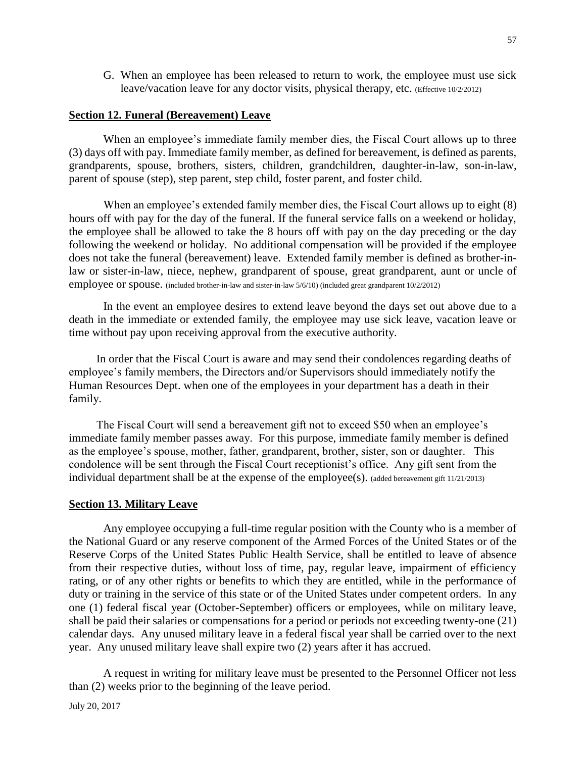G. When an employee has been released to return to work, the employee must use sick leave/vacation leave for any doctor visits, physical therapy, etc. (Effective 10/2/2012)

### **Section 12. Funeral (Bereavement) Leave**

When an employee's immediate family member dies, the Fiscal Court allows up to three (3) days off with pay. Immediate family member, as defined for bereavement, is defined as parents, grandparents, spouse, brothers, sisters, children, grandchildren, daughter-in-law, son-in-law, parent of spouse (step), step parent, step child, foster parent, and foster child.

When an employee's extended family member dies, the Fiscal Court allows up to eight (8) hours off with pay for the day of the funeral. If the funeral service falls on a weekend or holiday, the employee shall be allowed to take the 8 hours off with pay on the day preceding or the day following the weekend or holiday. No additional compensation will be provided if the employee does not take the funeral (bereavement) leave. Extended family member is defined as brother-inlaw or sister-in-law, niece, nephew, grandparent of spouse, great grandparent, aunt or uncle of employee or spouse. (included brother-in-law and sister-in-law  $5/6/10$ ) (included great grandparent  $10/2/2012$ )

In the event an employee desires to extend leave beyond the days set out above due to a death in the immediate or extended family, the employee may use sick leave, vacation leave or time without pay upon receiving approval from the executive authority.

In order that the Fiscal Court is aware and may send their condolences regarding deaths of employee's family members, the Directors and/or Supervisors should immediately notify the Human Resources Dept. when one of the employees in your department has a death in their family.

The Fiscal Court will send a bereavement gift not to exceed \$50 when an employee's immediate family member passes away. For this purpose, immediate family member is defined as the employee's spouse, mother, father, grandparent, brother, sister, son or daughter. This condolence will be sent through the Fiscal Court receptionist's office. Any gift sent from the individual department shall be at the expense of the employee(s). (added bereavement gift 11/21/2013)

#### **Section 13. Military Leave**

Any employee occupying a full-time regular position with the County who is a member of the National Guard or any reserve component of the Armed Forces of the United States or of the Reserve Corps of the United States Public Health Service, shall be entitled to leave of absence from their respective duties, without loss of time, pay, regular leave, impairment of efficiency rating, or of any other rights or benefits to which they are entitled, while in the performance of duty or training in the service of this state or of the United States under competent orders. In any one (1) federal fiscal year (October-September) officers or employees, while on military leave, shall be paid their salaries or compensations for a period or periods not exceeding twenty-one (21) calendar days. Any unused military leave in a federal fiscal year shall be carried over to the next year. Any unused military leave shall expire two (2) years after it has accrued.

A request in writing for military leave must be presented to the Personnel Officer not less than (2) weeks prior to the beginning of the leave period.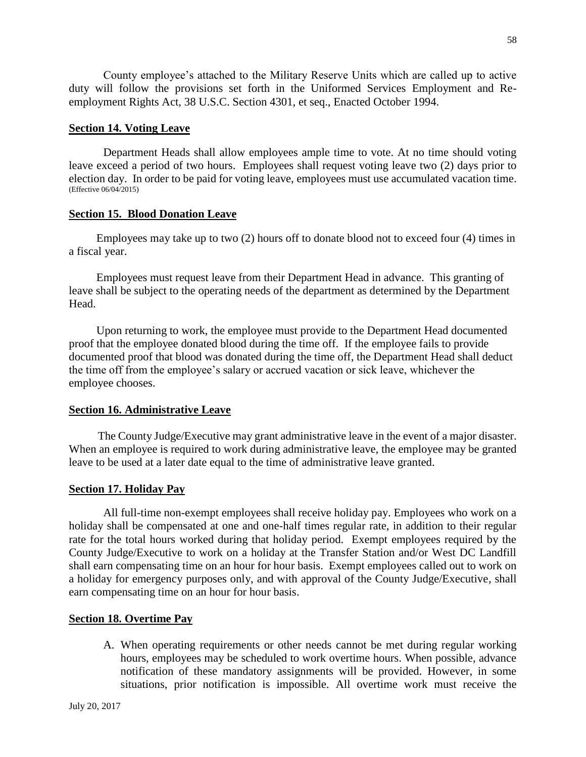County employee's attached to the Military Reserve Units which are called up to active duty will follow the provisions set forth in the Uniformed Services Employment and Reemployment Rights Act, 38 U.S.C. Section 4301, et seq., Enacted October 1994.

### **Section 14. Voting Leave**

Department Heads shall allow employees ample time to vote. At no time should voting leave exceed a period of two hours. Employees shall request voting leave two (2) days prior to election day. In order to be paid for voting leave, employees must use accumulated vacation time. (Effective 06/04/2015)

### **Section 15. Blood Donation Leave**

Employees may take up to two (2) hours off to donate blood not to exceed four (4) times in a fiscal year.

Employees must request leave from their Department Head in advance. This granting of leave shall be subject to the operating needs of the department as determined by the Department Head.

Upon returning to work, the employee must provide to the Department Head documented proof that the employee donated blood during the time off. If the employee fails to provide documented proof that blood was donated during the time off, the Department Head shall deduct the time off from the employee's salary or accrued vacation or sick leave, whichever the employee chooses.

## **Section 16. Administrative Leave**

The County Judge/Executive may grant administrative leave in the event of a major disaster. When an employee is required to work during administrative leave, the employee may be granted leave to be used at a later date equal to the time of administrative leave granted.

## **Section 17. Holiday Pay**

All full-time non-exempt employees shall receive holiday pay. Employees who work on a holiday shall be compensated at one and one-half times regular rate, in addition to their regular rate for the total hours worked during that holiday period. Exempt employees required by the County Judge/Executive to work on a holiday at the Transfer Station and/or West DC Landfill shall earn compensating time on an hour for hour basis. Exempt employees called out to work on a holiday for emergency purposes only, and with approval of the County Judge/Executive, shall earn compensating time on an hour for hour basis.

## **Section 18. Overtime Pay**

A. When operating requirements or other needs cannot be met during regular working hours, employees may be scheduled to work overtime hours. When possible, advance notification of these mandatory assignments will be provided. However, in some situations, prior notification is impossible. All overtime work must receive the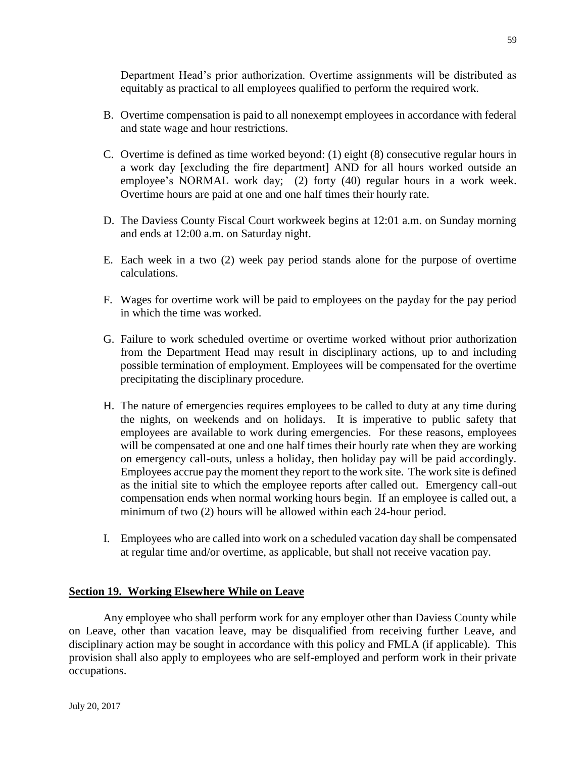Department Head's prior authorization. Overtime assignments will be distributed as equitably as practical to all employees qualified to perform the required work.

- B. Overtime compensation is paid to all nonexempt employees in accordance with federal and state wage and hour restrictions.
- C. Overtime is defined as time worked beyond: (1) eight (8) consecutive regular hours in a work day [excluding the fire department] AND for all hours worked outside an employee's NORMAL work day; (2) forty (40) regular hours in a work week. Overtime hours are paid at one and one half times their hourly rate.
- D. The Daviess County Fiscal Court workweek begins at 12:01 a.m. on Sunday morning and ends at 12:00 a.m. on Saturday night.
- E. Each week in a two (2) week pay period stands alone for the purpose of overtime calculations.
- F. Wages for overtime work will be paid to employees on the payday for the pay period in which the time was worked.
- G. Failure to work scheduled overtime or overtime worked without prior authorization from the Department Head may result in disciplinary actions, up to and including possible termination of employment. Employees will be compensated for the overtime precipitating the disciplinary procedure.
- H. The nature of emergencies requires employees to be called to duty at any time during the nights, on weekends and on holidays. It is imperative to public safety that employees are available to work during emergencies. For these reasons, employees will be compensated at one and one half times their hourly rate when they are working on emergency call-outs, unless a holiday, then holiday pay will be paid accordingly. Employees accrue pay the moment they report to the work site. The work site is defined as the initial site to which the employee reports after called out. Emergency call-out compensation ends when normal working hours begin. If an employee is called out, a minimum of two (2) hours will be allowed within each 24-hour period.
- I. Employees who are called into work on a scheduled vacation day shall be compensated at regular time and/or overtime, as applicable, but shall not receive vacation pay.

## **Section 19. Working Elsewhere While on Leave**

Any employee who shall perform work for any employer other than Daviess County while on Leave, other than vacation leave, may be disqualified from receiving further Leave, and disciplinary action may be sought in accordance with this policy and FMLA (if applicable). This provision shall also apply to employees who are self-employed and perform work in their private occupations.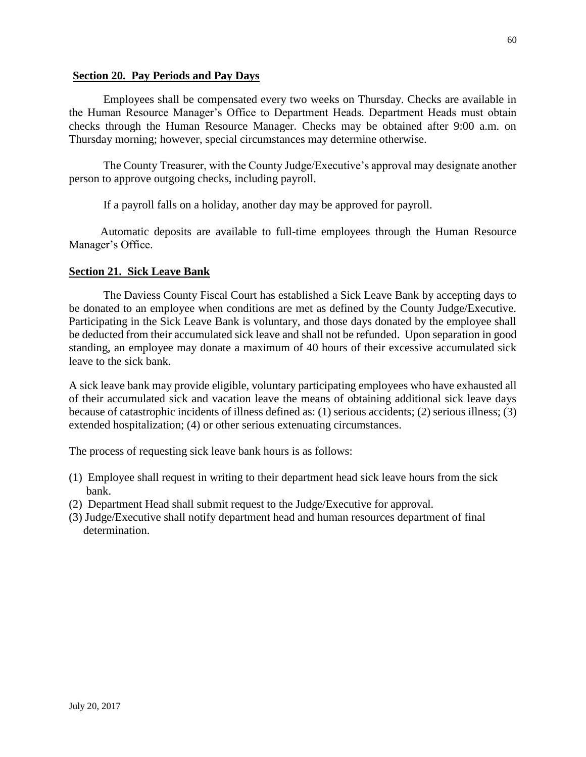### **Section 20. Pay Periods and Pay Days**

Employees shall be compensated every two weeks on Thursday. Checks are available in the Human Resource Manager's Office to Department Heads. Department Heads must obtain checks through the Human Resource Manager. Checks may be obtained after 9:00 a.m. on Thursday morning; however, special circumstances may determine otherwise.

The County Treasurer, with the County Judge/Executive's approval may designate another person to approve outgoing checks, including payroll.

If a payroll falls on a holiday, another day may be approved for payroll.

 Automatic deposits are available to full-time employees through the Human Resource Manager's Office.

## **Section 21. Sick Leave Bank**

The Daviess County Fiscal Court has established a Sick Leave Bank by accepting days to be donated to an employee when conditions are met as defined by the County Judge/Executive. Participating in the Sick Leave Bank is voluntary, and those days donated by the employee shall be deducted from their accumulated sick leave and shall not be refunded. Upon separation in good standing, an employee may donate a maximum of 40 hours of their excessive accumulated sick leave to the sick bank.

A sick leave bank may provide eligible, voluntary participating employees who have exhausted all of their accumulated sick and vacation leave the means of obtaining additional sick leave days because of catastrophic incidents of illness defined as: (1) serious accidents; (2) serious illness; (3) extended hospitalization; (4) or other serious extenuating circumstances.

The process of requesting sick leave bank hours is as follows:

- (1) Employee shall request in writing to their department head sick leave hours from the sick bank.
- (2) Department Head shall submit request to the Judge/Executive for approval.
- (3) Judge/Executive shall notify department head and human resources department of final determination.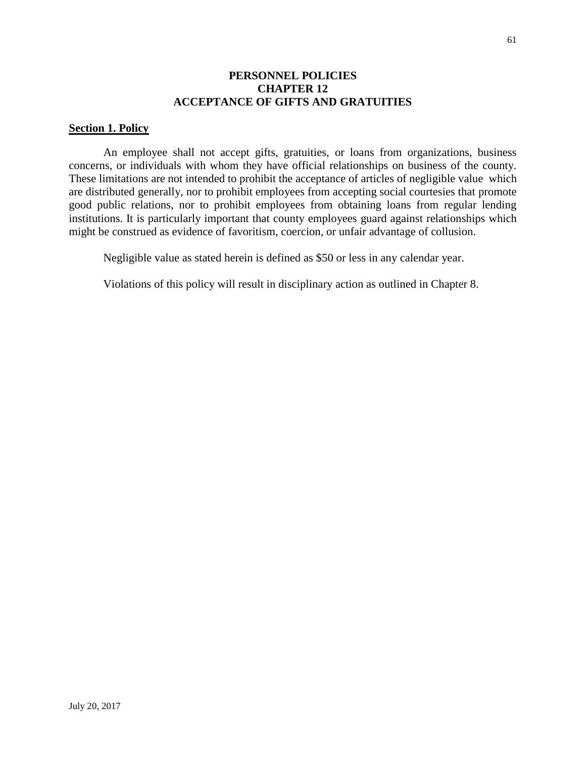### **PERSONNEL POLICIES CHAPTER 12 ACCEPTANCE OF GIFTS AND GRATUITIES**

#### **Section 1. Policy**

An employee shall not accept gifts, gratuities, or loans from organizations, business concerns, or individuals with whom they have official relationships on business of the county. These limitations are not intended to prohibit the acceptance of articles of negligible value which are distributed generally, nor to prohibit employees from accepting social courtesies that promote good public relations, nor to prohibit employees from obtaining loans from regular lending institutions. It is particularly important that county employees guard against relationships which might be construed as evidence of favoritism, coercion, or unfair advantage of collusion.

Negligible value as stated herein is defined as \$50 or less in any calendar year.

Violations of this policy will result in disciplinary action as outlined in Chapter 8.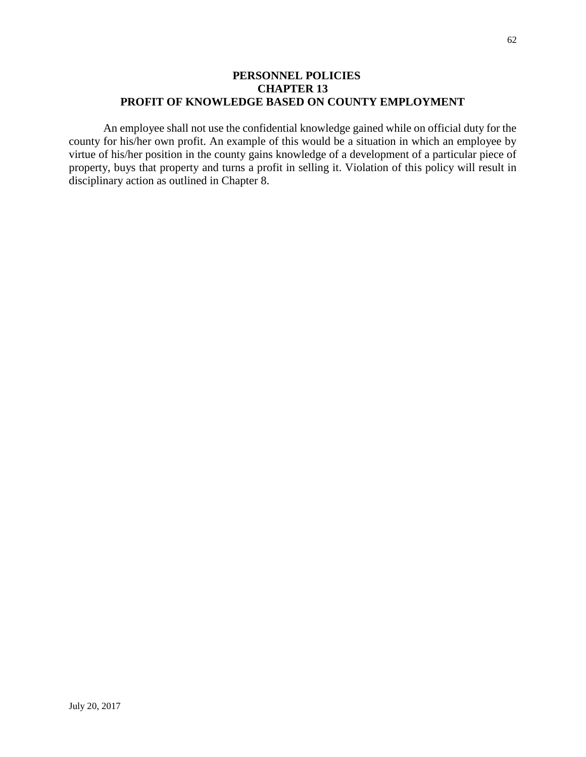## **PERSONNEL POLICIES CHAPTER 13 PROFIT OF KNOWLEDGE BASED ON COUNTY EMPLOYMENT**

An employee shall not use the confidential knowledge gained while on official duty for the county for his/her own profit. An example of this would be a situation in which an employee by virtue of his/her position in the county gains knowledge of a development of a particular piece of property, buys that property and turns a profit in selling it. Violation of this policy will result in disciplinary action as outlined in Chapter 8.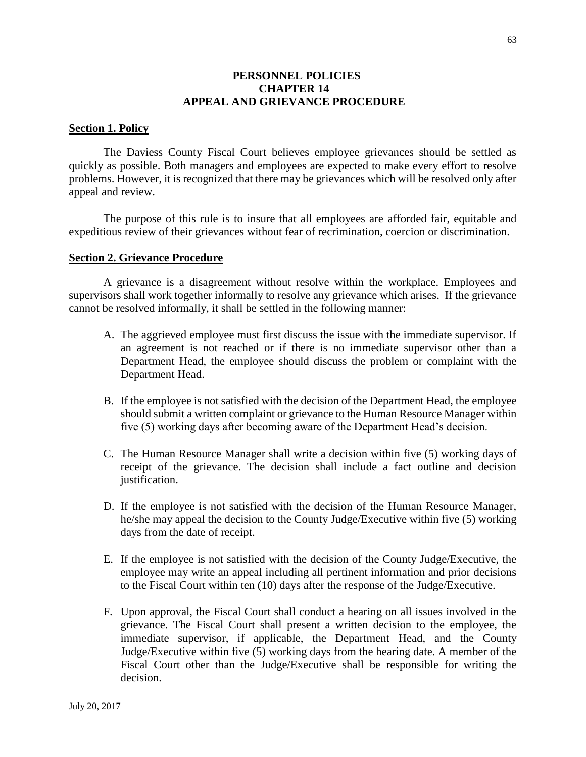### **PERSONNEL POLICIES CHAPTER 14 APPEAL AND GRIEVANCE PROCEDURE**

#### **Section 1. Policy**

The Daviess County Fiscal Court believes employee grievances should be settled as quickly as possible. Both managers and employees are expected to make every effort to resolve problems. However, it is recognized that there may be grievances which will be resolved only after appeal and review.

The purpose of this rule is to insure that all employees are afforded fair, equitable and expeditious review of their grievances without fear of recrimination, coercion or discrimination.

#### **Section 2. Grievance Procedure**

A grievance is a disagreement without resolve within the workplace. Employees and supervisors shall work together informally to resolve any grievance which arises. If the grievance cannot be resolved informally, it shall be settled in the following manner:

- A. The aggrieved employee must first discuss the issue with the immediate supervisor. If an agreement is not reached or if there is no immediate supervisor other than a Department Head, the employee should discuss the problem or complaint with the Department Head.
- B. If the employee is not satisfied with the decision of the Department Head, the employee should submit a written complaint or grievance to the Human Resource Manager within five (5) working days after becoming aware of the Department Head's decision.
- C. The Human Resource Manager shall write a decision within five (5) working days of receipt of the grievance. The decision shall include a fact outline and decision justification.
- D. If the employee is not satisfied with the decision of the Human Resource Manager, he/she may appeal the decision to the County Judge/Executive within five (5) working days from the date of receipt.
- E. If the employee is not satisfied with the decision of the County Judge/Executive, the employee may write an appeal including all pertinent information and prior decisions to the Fiscal Court within ten (10) days after the response of the Judge/Executive.
- F. Upon approval, the Fiscal Court shall conduct a hearing on all issues involved in the grievance. The Fiscal Court shall present a written decision to the employee, the immediate supervisor, if applicable, the Department Head, and the County Judge/Executive within five (5) working days from the hearing date. A member of the Fiscal Court other than the Judge/Executive shall be responsible for writing the decision.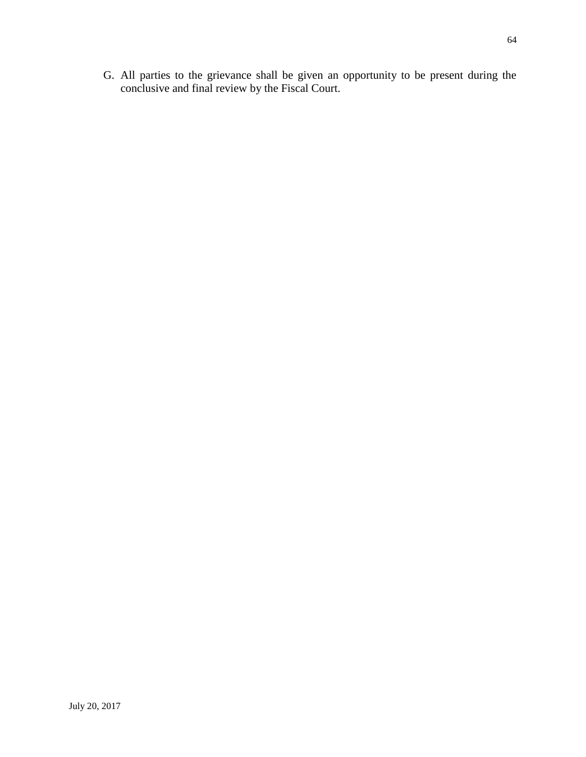G. All parties to the grievance shall be given an opportunity to be present during the conclusive and final review by the Fiscal Court.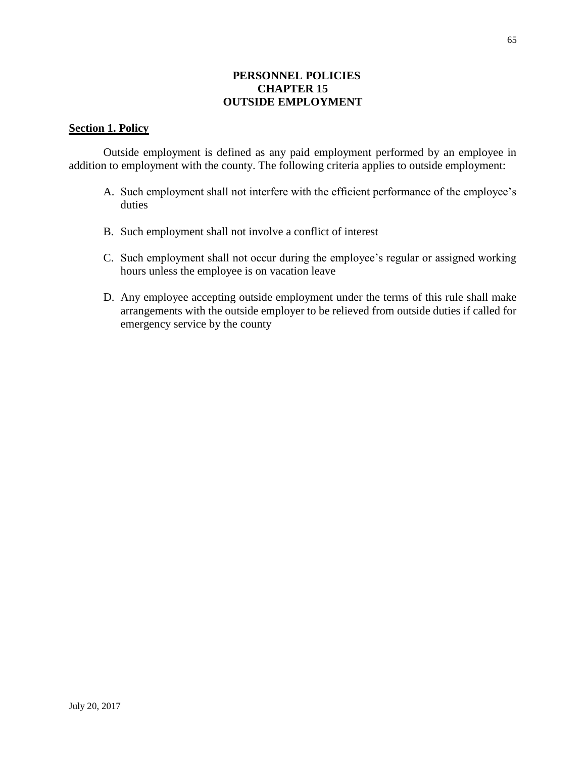## **PERSONNEL POLICIES CHAPTER 15 OUTSIDE EMPLOYMENT**

## **Section 1. Policy**

Outside employment is defined as any paid employment performed by an employee in addition to employment with the county. The following criteria applies to outside employment:

- A. Such employment shall not interfere with the efficient performance of the employee's duties
- B. Such employment shall not involve a conflict of interest
- C. Such employment shall not occur during the employee's regular or assigned working hours unless the employee is on vacation leave
- D. Any employee accepting outside employment under the terms of this rule shall make arrangements with the outside employer to be relieved from outside duties if called for emergency service by the county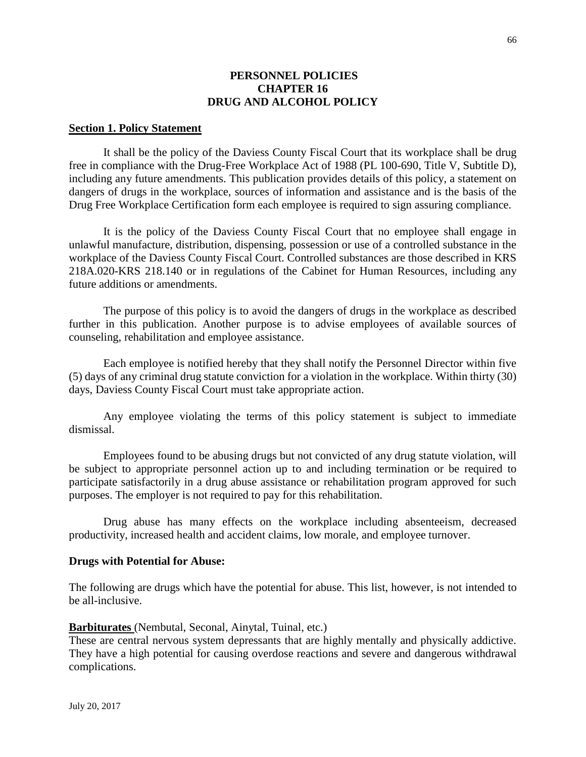### **PERSONNEL POLICIES CHAPTER 16 DRUG AND ALCOHOL POLICY**

#### **Section 1. Policy Statement**

It shall be the policy of the Daviess County Fiscal Court that its workplace shall be drug free in compliance with the Drug-Free Workplace Act of 1988 (PL 100-690, Title V, Subtitle D), including any future amendments. This publication provides details of this policy, a statement on dangers of drugs in the workplace, sources of information and assistance and is the basis of the Drug Free Workplace Certification form each employee is required to sign assuring compliance.

It is the policy of the Daviess County Fiscal Court that no employee shall engage in unlawful manufacture, distribution, dispensing, possession or use of a controlled substance in the workplace of the Daviess County Fiscal Court. Controlled substances are those described in KRS 218A.020-KRS 218.140 or in regulations of the Cabinet for Human Resources, including any future additions or amendments.

The purpose of this policy is to avoid the dangers of drugs in the workplace as described further in this publication. Another purpose is to advise employees of available sources of counseling, rehabilitation and employee assistance.

Each employee is notified hereby that they shall notify the Personnel Director within five (5) days of any criminal drug statute conviction for a violation in the workplace. Within thirty (30) days, Daviess County Fiscal Court must take appropriate action.

Any employee violating the terms of this policy statement is subject to immediate dismissal.

Employees found to be abusing drugs but not convicted of any drug statute violation, will be subject to appropriate personnel action up to and including termination or be required to participate satisfactorily in a drug abuse assistance or rehabilitation program approved for such purposes. The employer is not required to pay for this rehabilitation.

Drug abuse has many effects on the workplace including absenteeism, decreased productivity, increased health and accident claims, low morale, and employee turnover.

#### **Drugs with Potential for Abuse:**

The following are drugs which have the potential for abuse. This list, however, is not intended to be all-inclusive.

#### **Barbiturates** (Nembutal, Seconal, Ainytal, Tuinal, etc.)

These are central nervous system depressants that are highly mentally and physically addictive. They have a high potential for causing overdose reactions and severe and dangerous withdrawal complications.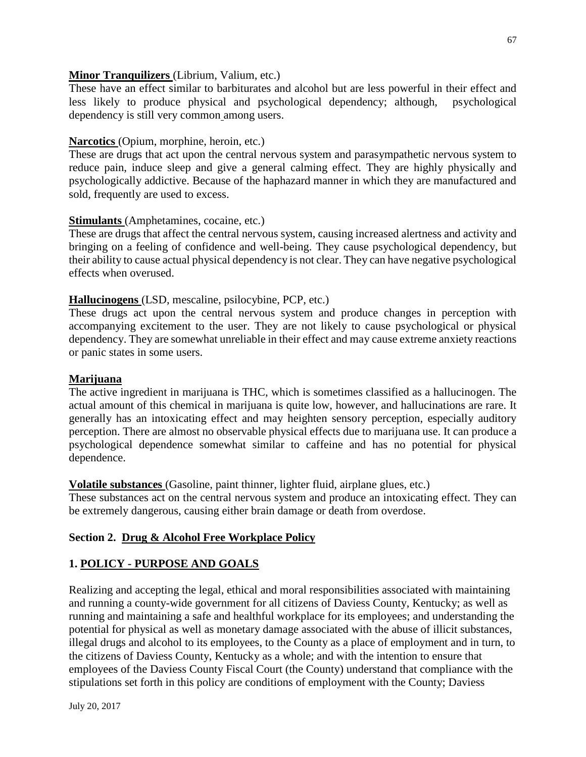## **Minor Tranquilizers** (Librium, Valium, etc.)

These have an effect similar to barbiturates and alcohol but are less powerful in their effect and less likely to produce physical and psychological dependency; although, psychological dependency is still very common among users.

## **Narcotics** (Opium, morphine, heroin, etc.)

These are drugs that act upon the central nervous system and parasympathetic nervous system to reduce pain, induce sleep and give a general calming effect. They are highly physically and psychologically addictive. Because of the haphazard manner in which they are manufactured and sold, frequently are used to excess.

## **Stimulants** (Amphetamines, cocaine, etc.)

These are drugs that affect the central nervous system, causing increased alertness and activity and bringing on a feeling of confidence and well-being. They cause psychological dependency, but their ability to cause actual physical dependency is not clear. They can have negative psychological effects when overused.

## **Hallucinogens** (LSD, mescaline, psilocybine, PCP, etc.)

These drugs act upon the central nervous system and produce changes in perception with accompanying excitement to the user. They are not likely to cause psychological or physical dependency. They are somewhat unreliable in their effect and may cause extreme anxiety reactions or panic states in some users.

## **Marijuana**

The active ingredient in marijuana is THC, which is sometimes classified as a hallucinogen. The actual amount of this chemical in marijuana is quite low, however, and hallucinations are rare. It generally has an intoxicating effect and may heighten sensory perception, especially auditory perception. There are almost no observable physical effects due to marijuana use. It can produce a psychological dependence somewhat similar to caffeine and has no potential for physical dependence.

## **Volatile substances** (Gasoline, paint thinner, lighter fluid, airplane glues, etc.)

These substances act on the central nervous system and produce an intoxicating effect. They can be extremely dangerous, causing either brain damage or death from overdose.

## **Section 2. Drug & Alcohol Free Workplace Policy**

## **1. POLICY - PURPOSE AND GOALS**

Realizing and accepting the legal, ethical and moral responsibilities associated with maintaining and running a county-wide government for all citizens of Daviess County, Kentucky; as well as running and maintaining a safe and healthful workplace for its employees; and understanding the potential for physical as well as monetary damage associated with the abuse of illicit substances, illegal drugs and alcohol to its employees, to the County as a place of employment and in turn, to the citizens of Daviess County, Kentucky as a whole; and with the intention to ensure that employees of the Daviess County Fiscal Court (the County) understand that compliance with the stipulations set forth in this policy are conditions of employment with the County; Daviess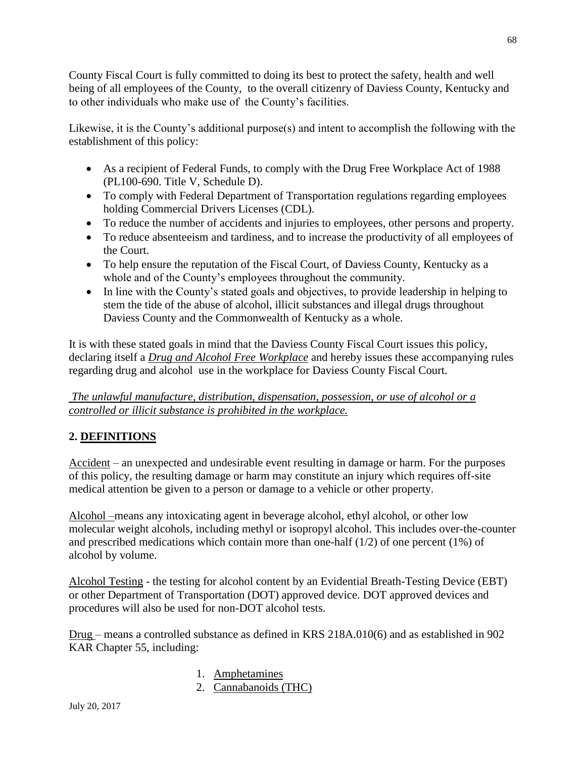County Fiscal Court is fully committed to doing its best to protect the safety, health and well being of all employees of the County, to the overall citizenry of Daviess County, Kentucky and to other individuals who make use of the County's facilities.

Likewise, it is the County's additional purpose(s) and intent to accomplish the following with the establishment of this policy:

- As a recipient of Federal Funds, to comply with the Drug Free Workplace Act of 1988 (PL100-690. Title V, Schedule D).
- To comply with Federal Department of Transportation regulations regarding employees holding Commercial Drivers Licenses (CDL).
- To reduce the number of accidents and injuries to employees, other persons and property.
- To reduce absenteeism and tardiness, and to increase the productivity of all employees of the Court.
- To help ensure the reputation of the Fiscal Court, of Daviess County, Kentucky as a whole and of the County's employees throughout the community.
- In line with the County's stated goals and objectives, to provide leadership in helping to stem the tide of the abuse of alcohol, illicit substances and illegal drugs throughout Daviess County and the Commonwealth of Kentucky as a whole.

It is with these stated goals in mind that the Daviess County Fiscal Court issues this policy, declaring itself a *Drug and Alcohol Free Workplace* and hereby issues these accompanying rules regarding drug and alcohol use in the workplace for Daviess County Fiscal Court.

## *The unlawful manufacture, distribution, dispensation, possession, or use of alcohol or a controlled or illicit substance is prohibited in the workplace.*

# **2. DEFINITIONS**

Accident – an unexpected and undesirable event resulting in damage or harm. For the purposes of this policy, the resulting damage or harm may constitute an injury which requires off-site medical attention be given to a person or damage to a vehicle or other property.

Alcohol –means any intoxicating agent in beverage alcohol, ethyl alcohol, or other low molecular weight alcohols, including methyl or isopropyl alcohol. This includes over-the-counter and prescribed medications which contain more than one-half (1/2) of one percent (1%) of alcohol by volume.

Alcohol Testing - the testing for alcohol content by an Evidential Breath-Testing Device (EBT) or other Department of Transportation (DOT) approved device. DOT approved devices and procedures will also be used for non-DOT alcohol tests.

Drug – means a controlled substance as defined in KRS 218A.010(6) and as established in 902 KAR Chapter 55, including:

- 1. Amphetamines
- 2. Cannabanoids (THC)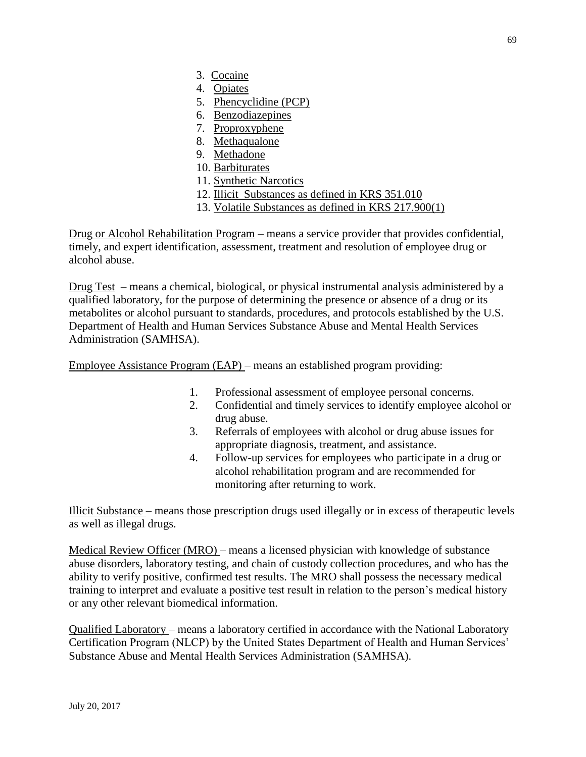- 3. Cocaine
- 4. Opiates
- 5. Phencyclidine (PCP)
- 6. Benzodiazepines
- 7. Proproxyphene
- 8. Methaqualone
- 9. Methadone
- 10. Barbiturates
- 11. Synthetic Narcotics
- 12. Illicit Substances as defined in KRS 351.010
- 13. Volatile Substances as defined in KRS 217.900(1)

Drug or Alcohol Rehabilitation Program – means a service provider that provides confidential, timely, and expert identification, assessment, treatment and resolution of employee drug or alcohol abuse.

Drug Test – means a chemical, biological, or physical instrumental analysis administered by a qualified laboratory, for the purpose of determining the presence or absence of a drug or its metabolites or alcohol pursuant to standards, procedures, and protocols established by the U.S. Department of Health and Human Services Substance Abuse and Mental Health Services Administration (SAMHSA).

Employee Assistance Program (EAP) – means an established program providing:

- 1. Professional assessment of employee personal concerns.
- 2. Confidential and timely services to identify employee alcohol or drug abuse.
- 3. Referrals of employees with alcohol or drug abuse issues for appropriate diagnosis, treatment, and assistance.
- 4. Follow-up services for employees who participate in a drug or alcohol rehabilitation program and are recommended for monitoring after returning to work.

Illicit Substance – means those prescription drugs used illegally or in excess of therapeutic levels as well as illegal drugs.

Medical Review Officer (MRO) – means a licensed physician with knowledge of substance abuse disorders, laboratory testing, and chain of custody collection procedures, and who has the ability to verify positive, confirmed test results. The MRO shall possess the necessary medical training to interpret and evaluate a positive test result in relation to the person's medical history or any other relevant biomedical information.

Qualified Laboratory – means a laboratory certified in accordance with the National Laboratory Certification Program (NLCP) by the United States Department of Health and Human Services' Substance Abuse and Mental Health Services Administration (SAMHSA).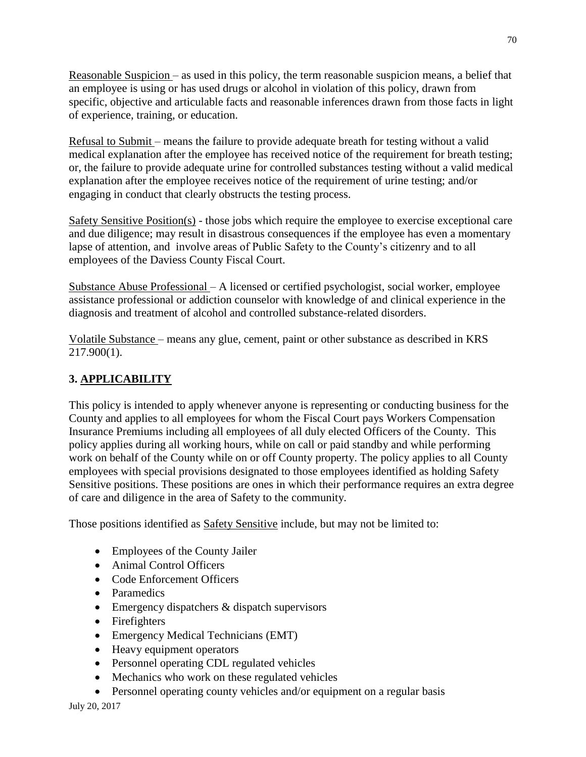Reasonable Suspicion – as used in this policy, the term reasonable suspicion means, a belief that an employee is using or has used drugs or alcohol in violation of this policy, drawn from specific, objective and articulable facts and reasonable inferences drawn from those facts in light of experience, training, or education.

Refusal to Submit – means the failure to provide adequate breath for testing without a valid medical explanation after the employee has received notice of the requirement for breath testing; or, the failure to provide adequate urine for controlled substances testing without a valid medical explanation after the employee receives notice of the requirement of urine testing; and/or engaging in conduct that clearly obstructs the testing process.

Safety Sensitive Position(s) - those jobs which require the employee to exercise exceptional care and due diligence; may result in disastrous consequences if the employee has even a momentary lapse of attention, and involve areas of Public Safety to the County's citizenry and to all employees of the Daviess County Fiscal Court.

Substance Abuse Professional – A licensed or certified psychologist, social worker, employee assistance professional or addiction counselor with knowledge of and clinical experience in the diagnosis and treatment of alcohol and controlled substance-related disorders.

Volatile Substance – means any glue, cement, paint or other substance as described in KRS 217.900(1).

# **3. APPLICABILITY**

This policy is intended to apply whenever anyone is representing or conducting business for the County and applies to all employees for whom the Fiscal Court pays Workers Compensation Insurance Premiums including all employees of all duly elected Officers of the County. This policy applies during all working hours, while on call or paid standby and while performing work on behalf of the County while on or off County property. The policy applies to all County employees with special provisions designated to those employees identified as holding Safety Sensitive positions. These positions are ones in which their performance requires an extra degree of care and diligence in the area of Safety to the community.

Those positions identified as Safety Sensitive include, but may not be limited to:

- Employees of the County Jailer
- Animal Control Officers
- Code Enforcement Officers
- Paramedics
- Emergency dispatchers & dispatch supervisors
- Firefighters
- Emergency Medical Technicians (EMT)
- Heavy equipment operators
- Personnel operating CDL regulated vehicles
- Mechanics who work on these regulated vehicles
- Personnel operating county vehicles and/or equipment on a regular basis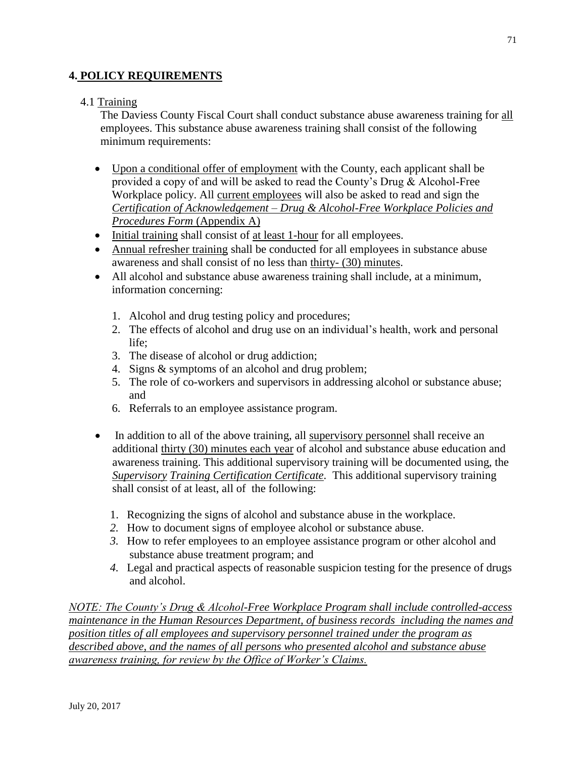## **4. POLICY REQUIREMENTS**

## 4.1 Training

The Daviess County Fiscal Court shall conduct substance abuse awareness training for all employees. This substance abuse awareness training shall consist of the following minimum requirements:

- Upon a conditional offer of employment with the County, each applicant shall be provided a copy of and will be asked to read the County's Drug & Alcohol-Free Workplace policy. All current employees will also be asked to read and sign the *Certification of Acknowledgement – Drug & Alcohol-Free Workplace Policies and Procedures Form* (Appendix A)
- Initial training shall consist of at least 1-hour for all employees.
- Annual refresher training shall be conducted for all employees in substance abuse awareness and shall consist of no less than thirty- (30) minutes.
- All alcohol and substance abuse awareness training shall include, at a minimum, information concerning:
	- 1. Alcohol and drug testing policy and procedures;
	- 2. The effects of alcohol and drug use on an individual's health, work and personal life;
	- 3. The disease of alcohol or drug addiction;
	- 4. Signs & symptoms of an alcohol and drug problem;
	- 5. The role of co-workers and supervisors in addressing alcohol or substance abuse; and
	- 6. Referrals to an employee assistance program.
- In addition to all of the above training, all supervisory personnel shall receive an additional thirty (30) minutes each year of alcohol and substance abuse education and awareness training. This additional supervisory training will be documented using, the *Supervisory Training Certification Certificate.* This additional supervisory training shall consist of at least, all of the following:
	- 1. Recognizing the signs of alcohol and substance abuse in the workplace.
	- *2.* How to document signs of employee alcohol or substance abuse.
	- *3.* How to refer employees to an employee assistance program or other alcohol and substance abuse treatment program; and
	- *4.* Legal and practical aspects of reasonable suspicion testing for the presence of drugs and alcohol.

*NOTE: The County's Drug & Alcohol-Free Workplace Program shall include controlled-access maintenance in the Human Resources Department, of business records including the names and position titles of all employees and supervisory personnel trained under the program as described above, and the names of all persons who presented alcohol and substance abuse awareness training, for review by the Office of Worker's Claims.*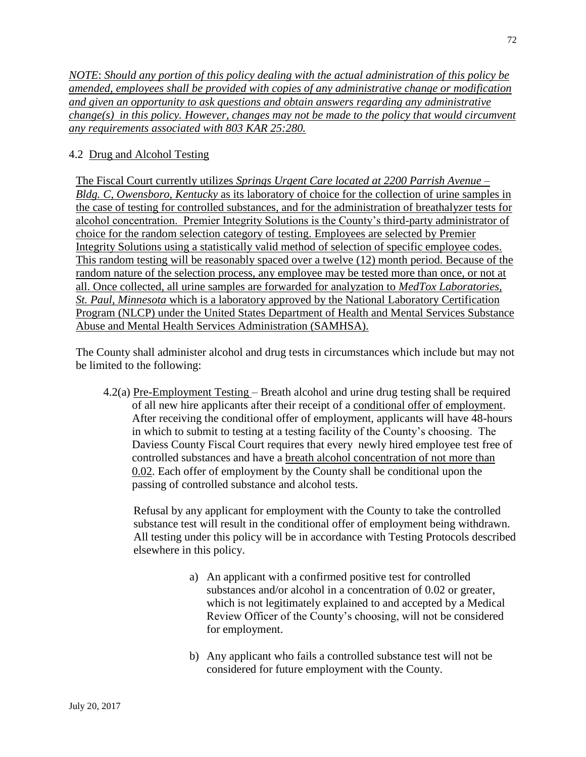*NOTE*: *Should any portion of this policy dealing with the actual administration of this policy be amended, employees shall be provided with copies of any administrative change or modification and given an opportunity to ask questions and obtain answers regarding any administrative change(s) in this policy. However, changes may not be made to the policy that would circumvent any requirements associated with 803 KAR 25:280.*

# 4.2 Drug and Alcohol Testing

The Fiscal Court currently utilizes *Springs Urgent Care located at 2200 Parrish Avenue – Bldg. C, Owensboro, Kentucky* as its laboratory of choice for the collection of urine samples in the case of testing for controlled substances, and for the administration of breathalyzer tests for alcohol concentration. Premier Integrity Solutions is the County's third-party administrator of choice for the random selection category of testing. Employees are selected by Premier Integrity Solutions using a statistically valid method of selection of specific employee codes. This random testing will be reasonably spaced over a twelve (12) month period. Because of the random nature of the selection process, any employee may be tested more than once, or not at all. Once collected, all urine samples are forwarded for analyzation to *MedTox Laboratories, St. Paul, Minnesota* which is a laboratory approved by the National Laboratory Certification Program (NLCP) under the United States Department of Health and Mental Services Substance Abuse and Mental Health Services Administration (SAMHSA).

The County shall administer alcohol and drug tests in circumstances which include but may not be limited to the following:

4.2(a) Pre-Employment Testing – Breath alcohol and urine drug testing shall be required of all new hire applicants after their receipt of a conditional offer of employment. After receiving the conditional offer of employment, applicants will have 48-hours in which to submit to testing at a testing facility of the County's choosing. The Daviess County Fiscal Court requires that every newly hired employee test free of controlled substances and have a breath alcohol concentration of not more than 0.02. Each offer of employment by the County shall be conditional upon the passing of controlled substance and alcohol tests.

Refusal by any applicant for employment with the County to take the controlled substance test will result in the conditional offer of employment being withdrawn. All testing under this policy will be in accordance with Testing Protocols described elsewhere in this policy.

- a) An applicant with a confirmed positive test for controlled substances and/or alcohol in a concentration of 0.02 or greater, which is not legitimately explained to and accepted by a Medical Review Officer of the County's choosing, will not be considered for employment.
- b) Any applicant who fails a controlled substance test will not be considered for future employment with the County.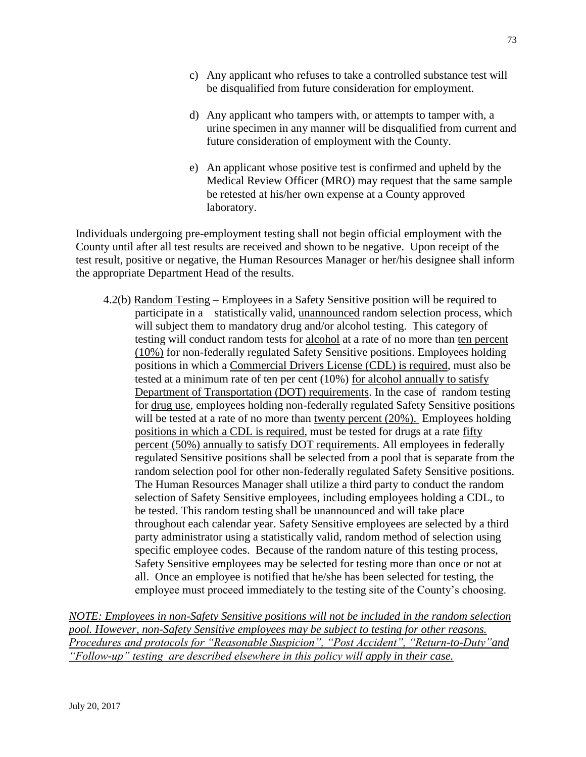- c) Any applicant who refuses to take a controlled substance test will be disqualified from future consideration for employment.
- d) Any applicant who tampers with, or attempts to tamper with, a urine specimen in any manner will be disqualified from current and future consideration of employment with the County.
- e) An applicant whose positive test is confirmed and upheld by the Medical Review Officer (MRO) may request that the same sample be retested at his/her own expense at a County approved laboratory.

Individuals undergoing pre-employment testing shall not begin official employment with the County until after all test results are received and shown to be negative. Upon receipt of the test result, positive or negative, the Human Resources Manager or her/his designee shall inform the appropriate Department Head of the results.

4.2(b) Random Testing – Employees in a Safety Sensitive position will be required to participate in a statistically valid, unannounced random selection process, which will subject them to mandatory drug and/or alcohol testing. This category of testing will conduct random tests for alcohol at a rate of no more than ten percent (10%) for non-federally regulated Safety Sensitive positions. Employees holding positions in which a Commercial Drivers License (CDL) is required, must also be tested at a minimum rate of ten per cent (10%) for alcohol annually to satisfy Department of Transportation (DOT) requirements. In the case of random testing for drug use, employees holding non-federally regulated Safety Sensitive positions will be tested at a rate of no more than twenty percent (20%). Employees holding positions in which a CDL is required, must be tested for drugs at a rate fifty percent (50%) annually to satisfy DOT requirements. All employees in federally regulated Sensitive positions shall be selected from a pool that is separate from the random selection pool for other non-federally regulated Safety Sensitive positions. The Human Resources Manager shall utilize a third party to conduct the random selection of Safety Sensitive employees, including employees holding a CDL, to be tested. This random testing shall be unannounced and will take place throughout each calendar year. Safety Sensitive employees are selected by a third party administrator using a statistically valid, random method of selection using specific employee codes. Because of the random nature of this testing process, Safety Sensitive employees may be selected for testing more than once or not at all. Once an employee is notified that he/she has been selected for testing, the employee must proceed immediately to the testing site of the County's choosing.

*NOTE: Employees in non-Safety Sensitive positions will not be included in the random selection pool. However, non-Safety Sensitive employees may be subject to testing for other reasons. Procedures and protocols for "Reasonable Suspicion", "Post Accident", "Return-to-Duty"and "Follow-up" testing are described elsewhere in this policy will apply in their case.*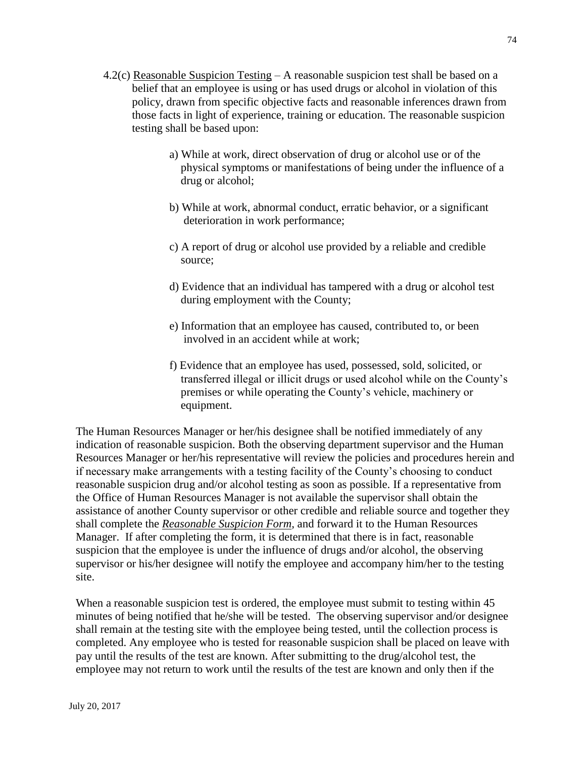- 4.2(c) Reasonable Suspicion Testing A reasonable suspicion test shall be based on a belief that an employee is using or has used drugs or alcohol in violation of this policy, drawn from specific objective facts and reasonable inferences drawn from those facts in light of experience, training or education. The reasonable suspicion testing shall be based upon:
	- a) While at work, direct observation of drug or alcohol use or of the physical symptoms or manifestations of being under the influence of a drug or alcohol;
	- b) While at work, abnormal conduct, erratic behavior, or a significant deterioration in work performance;
	- c) A report of drug or alcohol use provided by a reliable and credible source;
	- d) Evidence that an individual has tampered with a drug or alcohol test during employment with the County;
	- e) Information that an employee has caused, contributed to, or been involved in an accident while at work;
	- f) Evidence that an employee has used, possessed, sold, solicited, or transferred illegal or illicit drugs or used alcohol while on the County's premises or while operating the County's vehicle, machinery or equipment.

The Human Resources Manager or her/his designee shall be notified immediately of any indication of reasonable suspicion. Both the observing department supervisor and the Human Resources Manager or her/his representative will review the policies and procedures herein and if necessary make arrangements with a testing facility of the County's choosing to conduct reasonable suspicion drug and/or alcohol testing as soon as possible. If a representative from the Office of Human Resources Manager is not available the supervisor shall obtain the assistance of another County supervisor or other credible and reliable source and together they shall complete the *Reasonable Suspicion Form*, and forward it to the Human Resources Manager. If after completing the form, it is determined that there is in fact, reasonable suspicion that the employee is under the influence of drugs and/or alcohol, the observing supervisor or his/her designee will notify the employee and accompany him/her to the testing site.

When a reasonable suspicion test is ordered, the employee must submit to testing within 45 minutes of being notified that he/she will be tested. The observing supervisor and/or designee shall remain at the testing site with the employee being tested, until the collection process is completed. Any employee who is tested for reasonable suspicion shall be placed on leave with pay until the results of the test are known. After submitting to the drug/alcohol test, the employee may not return to work until the results of the test are known and only then if the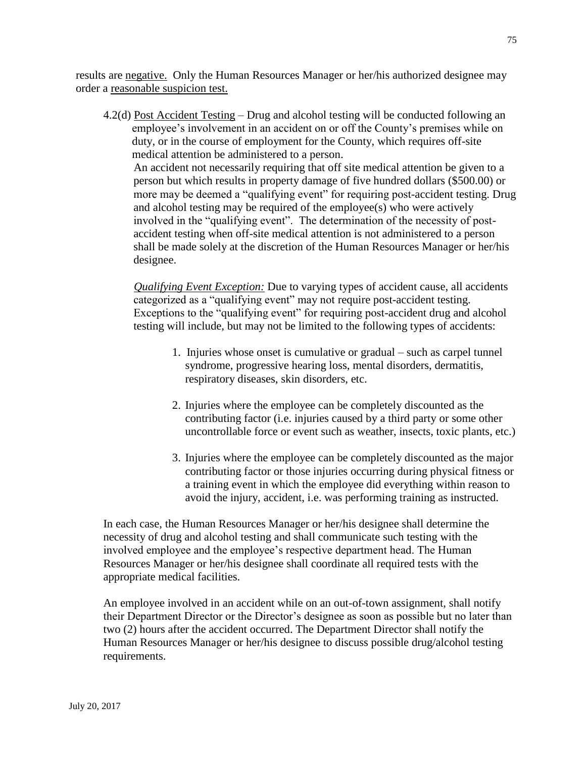results are negative. Only the Human Resources Manager or her/his authorized designee may order a reasonable suspicion test.

4.2(d) Post Accident Testing – Drug and alcohol testing will be conducted following an employee's involvement in an accident on or off the County's premises while on duty, or in the course of employment for the County, which requires off-site medical attention be administered to a person. An accident not necessarily requiring that off site medical attention be given to a person but which results in property damage of five hundred dollars (\$500.00) or more may be deemed a "qualifying event" for requiring post-accident testing. Drug and alcohol testing may be required of the employee(s) who were actively involved in the "qualifying event". The determination of the necessity of postaccident testing when off-site medical attention is not administered to a person shall be made solely at the discretion of the Human Resources Manager or her/his designee.

 *Qualifying Event Exception:* Due to varying types of accident cause, all accidents categorized as a "qualifying event" may not require post-accident testing. Exceptions to the "qualifying event" for requiring post-accident drug and alcohol testing will include, but may not be limited to the following types of accidents:

- 1. Injuries whose onset is cumulative or gradual such as carpel tunnel syndrome, progressive hearing loss, mental disorders, dermatitis, respiratory diseases, skin disorders, etc.
- 2. Injuries where the employee can be completely discounted as the contributing factor (i.e. injuries caused by a third party or some other uncontrollable force or event such as weather, insects, toxic plants, etc.)
- 3. Injuries where the employee can be completely discounted as the major contributing factor or those injuries occurring during physical fitness or a training event in which the employee did everything within reason to avoid the injury, accident, i.e. was performing training as instructed.

In each case, the Human Resources Manager or her/his designee shall determine the necessity of drug and alcohol testing and shall communicate such testing with the involved employee and the employee's respective department head. The Human Resources Manager or her/his designee shall coordinate all required tests with the appropriate medical facilities.

An employee involved in an accident while on an out-of-town assignment, shall notify their Department Director or the Director's designee as soon as possible but no later than two (2) hours after the accident occurred. The Department Director shall notify the Human Resources Manager or her/his designee to discuss possible drug/alcohol testing requirements.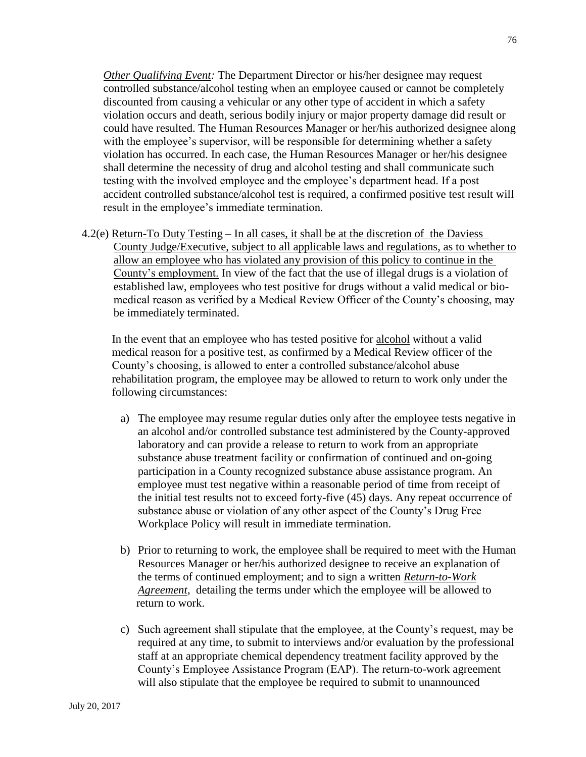*Other Qualifying Event:* The Department Director or his/her designee may request controlled substance/alcohol testing when an employee caused or cannot be completely discounted from causing a vehicular or any other type of accident in which a safety violation occurs and death, serious bodily injury or major property damage did result or could have resulted. The Human Resources Manager or her/his authorized designee along with the employee's supervisor, will be responsible for determining whether a safety violation has occurred. In each case, the Human Resources Manager or her/his designee shall determine the necessity of drug and alcohol testing and shall communicate such testing with the involved employee and the employee's department head. If a post accident controlled substance/alcohol test is required, a confirmed positive test result will result in the employee's immediate termination.

4.2(e) Return-To Duty Testing – In all cases, it shall be at the discretion of the Daviess County Judge/Executive, subject to all applicable laws and regulations, as to whether to allow an employee who has violated any provision of this policy to continue in the County's employment. In view of the fact that the use of illegal drugs is a violation of established law, employees who test positive for drugs without a valid medical or biomedical reason as verified by a Medical Review Officer of the County's choosing, may be immediately terminated.

In the event that an employee who has tested positive for alcohol without a valid medical reason for a positive test, as confirmed by a Medical Review officer of the County's choosing, is allowed to enter a controlled substance/alcohol abuse rehabilitation program, the employee may be allowed to return to work only under the following circumstances:

- a) The employee may resume regular duties only after the employee tests negative in an alcohol and/or controlled substance test administered by the County-approved laboratory and can provide a release to return to work from an appropriate substance abuse treatment facility or confirmation of continued and on-going participation in a County recognized substance abuse assistance program. An employee must test negative within a reasonable period of time from receipt of the initial test results not to exceed forty-five (45) days. Any repeat occurrence of substance abuse or violation of any other aspect of the County's Drug Free Workplace Policy will result in immediate termination.
- b) Prior to returning to work, the employee shall be required to meet with the Human Resources Manager or her/his authorized designee to receive an explanation of the terms of continued employment; and to sign a written *Return-to-Work Agreement*, detailing the terms under which the employee will be allowed to return to work.
- c) Such agreement shall stipulate that the employee, at the County's request, may be required at any time, to submit to interviews and/or evaluation by the professional staff at an appropriate chemical dependency treatment facility approved by the County's Employee Assistance Program (EAP). The return-to-work agreement will also stipulate that the employee be required to submit to unannounced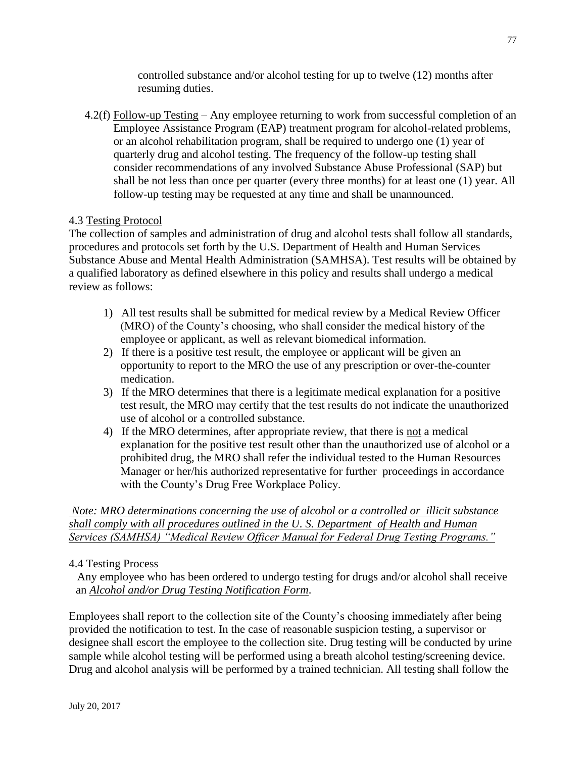controlled substance and/or alcohol testing for up to twelve (12) months after resuming duties.

4.2(f) Follow-up Testing – Any employee returning to work from successful completion of an Employee Assistance Program (EAP) treatment program for alcohol-related problems, or an alcohol rehabilitation program, shall be required to undergo one (1) year of quarterly drug and alcohol testing. The frequency of the follow-up testing shall consider recommendations of any involved Substance Abuse Professional (SAP) but shall be not less than once per quarter (every three months) for at least one (1) year. All follow-up testing may be requested at any time and shall be unannounced.

# 4.3 Testing Protocol

The collection of samples and administration of drug and alcohol tests shall follow all standards, procedures and protocols set forth by the U.S. Department of Health and Human Services Substance Abuse and Mental Health Administration (SAMHSA). Test results will be obtained by a qualified laboratory as defined elsewhere in this policy and results shall undergo a medical review as follows:

- 1) All test results shall be submitted for medical review by a Medical Review Officer (MRO) of the County's choosing, who shall consider the medical history of the employee or applicant, as well as relevant biomedical information.
- 2) If there is a positive test result, the employee or applicant will be given an opportunity to report to the MRO the use of any prescription or over-the-counter medication.
- 3) If the MRO determines that there is a legitimate medical explanation for a positive test result, the MRO may certify that the test results do not indicate the unauthorized use of alcohol or a controlled substance.
- 4) If the MRO determines, after appropriate review, that there is not a medical explanation for the positive test result other than the unauthorized use of alcohol or a prohibited drug, the MRO shall refer the individual tested to the Human Resources Manager or her/his authorized representative for further proceedings in accordance with the County's Drug Free Workplace Policy.

*Note: MRO determinations concerning the use of alcohol or a controlled or illicit substance shall comply with all procedures outlined in the U. S. Department of Health and Human Services (SAMHSA) "Medical Review Officer Manual for Federal Drug Testing Programs."*

### 4.4 Testing Process

 Any employee who has been ordered to undergo testing for drugs and/or alcohol shall receive an *Alcohol and/or Drug Testing Notification Form*.

Employees shall report to the collection site of the County's choosing immediately after being provided the notification to test. In the case of reasonable suspicion testing, a supervisor or designee shall escort the employee to the collection site. Drug testing will be conducted by urine sample while alcohol testing will be performed using a breath alcohol testing/screening device. Drug and alcohol analysis will be performed by a trained technician. All testing shall follow the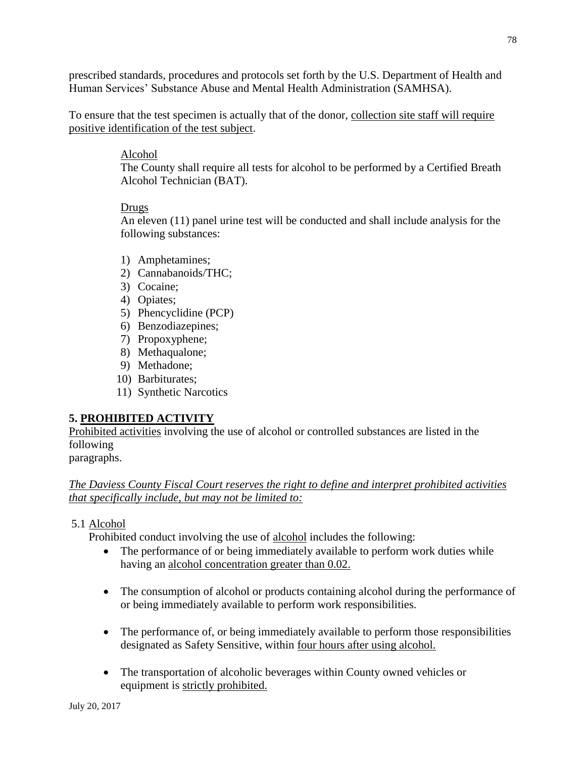prescribed standards, procedures and protocols set forth by the U.S. Department of Health and Human Services' Substance Abuse and Mental Health Administration (SAMHSA).

To ensure that the test specimen is actually that of the donor, collection site staff will require positive identification of the test subject.

### Alcohol

The County shall require all tests for alcohol to be performed by a Certified Breath Alcohol Technician (BAT).

### Drugs

An eleven (11) panel urine test will be conducted and shall include analysis for the following substances:

- 1) Amphetamines;
- 2) Cannabanoids/THC;
- 3) Cocaine;
- 4) Opiates;
- 5) Phencyclidine (PCP)
- 6) Benzodiazepines;
- 7) Propoxyphene;
- 8) Methaqualone;
- 9) Methadone;
- 10) Barbiturates;
- 11) Synthetic Narcotics

# **5. PROHIBITED ACTIVITY**

Prohibited activities involving the use of alcohol or controlled substances are listed in the following

paragraphs.

*The Daviess County Fiscal Court reserves the right to define and interpret prohibited activities that specifically include, but may not be limited to:*

### 5.1 Alcohol

Prohibited conduct involving the use of alcohol includes the following:

- The performance of or being immediately available to perform work duties while having an alcohol concentration greater than 0.02.
- The consumption of alcohol or products containing alcohol during the performance of or being immediately available to perform work responsibilities.
- The performance of, or being immediately available to perform those responsibilities designated as Safety Sensitive, within four hours after using alcohol.
- The transportation of alcoholic beverages within County owned vehicles or equipment is strictly prohibited.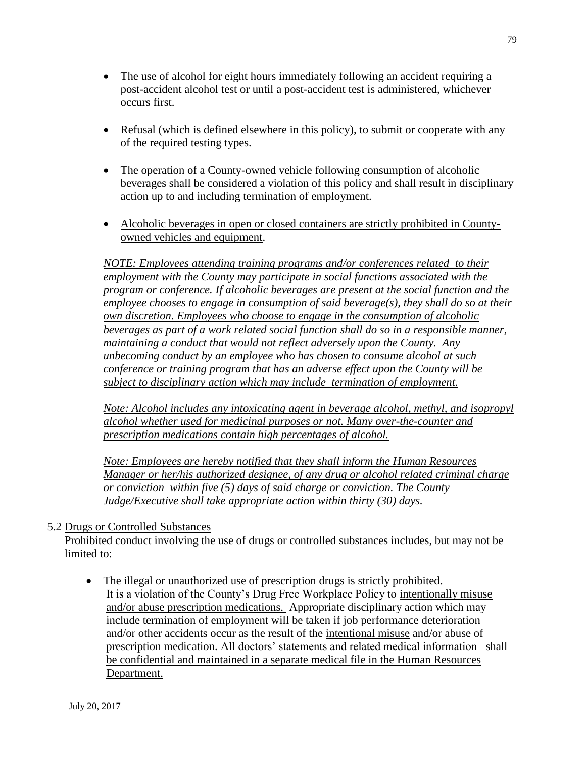- The use of alcohol for eight hours immediately following an accident requiring a post-accident alcohol test or until a post-accident test is administered, whichever occurs first.
- Refusal (which is defined elsewhere in this policy), to submit or cooperate with any of the required testing types.
- The operation of a County-owned vehicle following consumption of alcoholic beverages shall be considered a violation of this policy and shall result in disciplinary action up to and including termination of employment.
- Alcoholic beverages in open or closed containers are strictly prohibited in Countyowned vehicles and equipment.

*NOTE: Employees attending training programs and/or conferences related to their employment with the County may participate in social functions associated with the program or conference. If alcoholic beverages are present at the social function and the employee chooses to engage in consumption of said beverage(s), they shall do so at their own discretion. Employees who choose to engage in the consumption of alcoholic beverages as part of a work related social function shall do so in a responsible manner, maintaining a conduct that would not reflect adversely upon the County. Any unbecoming conduct by an employee who has chosen to consume alcohol at such conference or training program that has an adverse effect upon the County will be subject to disciplinary action which may include termination of employment.*

*Note: Alcohol includes any intoxicating agent in beverage alcohol, methyl, and isopropyl alcohol whether used for medicinal purposes or not. Many over-the-counter and prescription medications contain high percentages of alcohol.*

*Note: Employees are hereby notified that they shall inform the Human Resources Manager or her/his authorized designee, of any drug or alcohol related criminal charge or conviction within five (5) days of said charge or conviction. The County Judge/Executive shall take appropriate action within thirty (30) days.*

#### 5.2 Drugs or Controlled Substances

 Prohibited conduct involving the use of drugs or controlled substances includes, but may not be limited to:

 The illegal or unauthorized use of prescription drugs is strictly prohibited. It is a violation of the County's Drug Free Workplace Policy to intentionally misuse and/or abuse prescription medications. Appropriate disciplinary action which may include termination of employment will be taken if job performance deterioration and/or other accidents occur as the result of the intentional misuse and/or abuse of prescription medication. All doctors' statements and related medical information shall be confidential and maintained in a separate medical file in the Human Resources Department.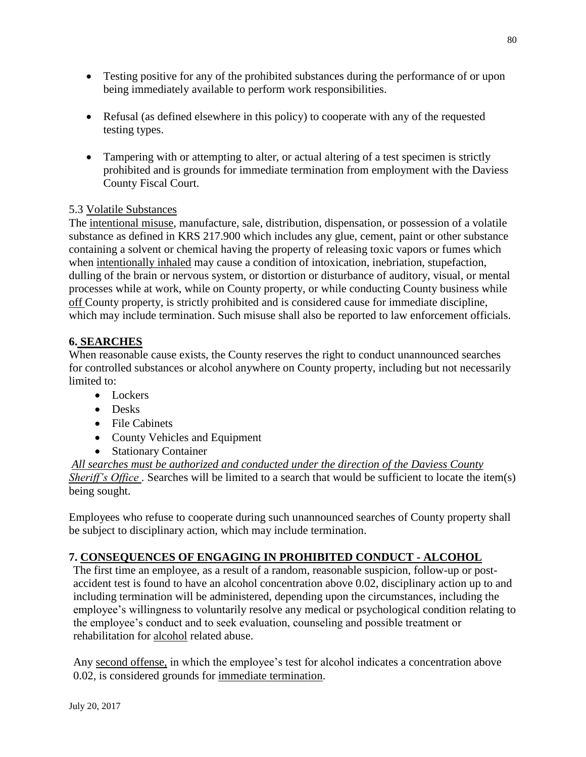- Testing positive for any of the prohibited substances during the performance of or upon being immediately available to perform work responsibilities.
- Refusal (as defined elsewhere in this policy) to cooperate with any of the requested testing types.
- Tampering with or attempting to alter, or actual altering of a test specimen is strictly prohibited and is grounds for immediate termination from employment with the Daviess County Fiscal Court.

# 5.3 Volatile Substances

The intentional misuse, manufacture, sale, distribution, dispensation, or possession of a volatile substance as defined in KRS 217.900 which includes any glue, cement, paint or other substance containing a solvent or chemical having the property of releasing toxic vapors or fumes which when intentionally inhaled may cause a condition of intoxication, inebriation, stupefaction, dulling of the brain or nervous system, or distortion or disturbance of auditory, visual, or mental processes while at work, while on County property, or while conducting County business while off County property, is strictly prohibited and is considered cause for immediate discipline, which may include termination. Such misuse shall also be reported to law enforcement officials.

# **6. SEARCHES**

When reasonable cause exists, the County reserves the right to conduct unannounced searches for controlled substances or alcohol anywhere on County property, including but not necessarily limited to:

- Lockers
- Desks
- File Cabinets
- County Vehicles and Equipment
- Stationary Container

*All searches must be authorized and conducted under the direction of the Daviess County Sheriff's Office*. Searches will be limited to a search that would be sufficient to locate the item(s) being sought.

Employees who refuse to cooperate during such unannounced searches of County property shall be subject to disciplinary action, which may include termination.

### **7. CONSEQUENCES OF ENGAGING IN PROHIBITED CONDUCT - ALCOHOL**

The first time an employee, as a result of a random, reasonable suspicion, follow-up or postaccident test is found to have an alcohol concentration above 0.02, disciplinary action up to and including termination will be administered, depending upon the circumstances, including the employee's willingness to voluntarily resolve any medical or psychological condition relating to the employee's conduct and to seek evaluation, counseling and possible treatment or rehabilitation for alcohol related abuse.

Any second offense, in which the employee's test for alcohol indicates a concentration above 0.02, is considered grounds for immediate termination.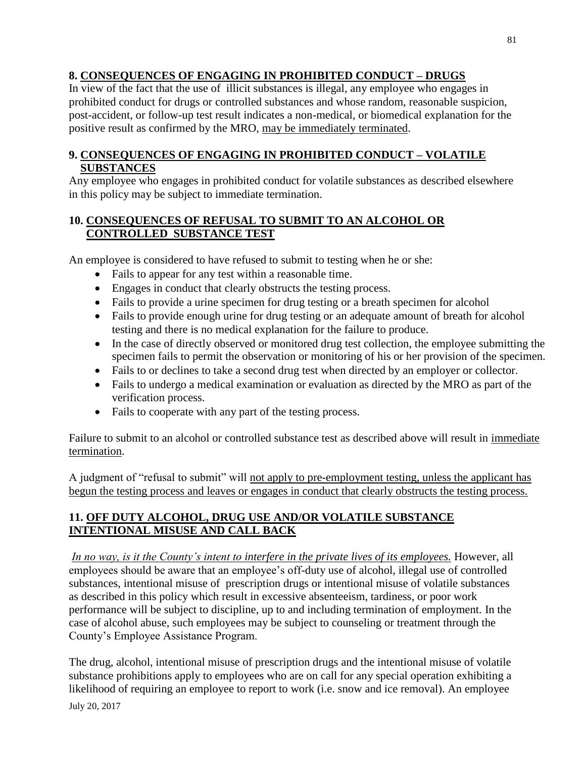# **8. CONSEQUENCES OF ENGAGING IN PROHIBITED CONDUCT – DRUGS**

In view of the fact that the use of illicit substances is illegal, any employee who engages in prohibited conduct for drugs or controlled substances and whose random, reasonable suspicion, post-accident, or follow-up test result indicates a non-medical, or biomedical explanation for the positive result as confirmed by the MRO, may be immediately terminated.

# **9. CONSEQUENCES OF ENGAGING IN PROHIBITED CONDUCT – VOLATILE SUBSTANCES**

Any employee who engages in prohibited conduct for volatile substances as described elsewhere in this policy may be subject to immediate termination.

# **10. CONSEQUENCES OF REFUSAL TO SUBMIT TO AN ALCOHOL OR CONTROLLED SUBSTANCE TEST**

An employee is considered to have refused to submit to testing when he or she:

- Fails to appear for any test within a reasonable time.
- Engages in conduct that clearly obstructs the testing process.
- Fails to provide a urine specimen for drug testing or a breath specimen for alcohol
- Fails to provide enough urine for drug testing or an adequate amount of breath for alcohol testing and there is no medical explanation for the failure to produce.
- In the case of directly observed or monitored drug test collection, the employee submitting the specimen fails to permit the observation or monitoring of his or her provision of the specimen.
- Fails to or declines to take a second drug test when directed by an employer or collector.
- Fails to undergo a medical examination or evaluation as directed by the MRO as part of the verification process.
- Fails to cooperate with any part of the testing process.

Failure to submit to an alcohol or controlled substance test as described above will result in immediate termination.

A judgment of "refusal to submit" will not apply to pre-employment testing, unless the applicant has begun the testing process and leaves or engages in conduct that clearly obstructs the testing process.

# **11. OFF DUTY ALCOHOL, DRUG USE AND/OR VOLATILE SUBSTANCE INTENTIONAL MISUSE AND CALL BACK**

*In no way, is it the County's intent to interfere in the private lives of its employees.* However, all employees should be aware that an employee's off-duty use of alcohol, illegal use of controlled substances, intentional misuse of prescription drugs or intentional misuse of volatile substances as described in this policy which result in excessive absenteeism, tardiness, or poor work performance will be subject to discipline, up to and including termination of employment. In the case of alcohol abuse, such employees may be subject to counseling or treatment through the County's Employee Assistance Program.

July 20, 2017 The drug, alcohol, intentional misuse of prescription drugs and the intentional misuse of volatile substance prohibitions apply to employees who are on call for any special operation exhibiting a likelihood of requiring an employee to report to work (i.e. snow and ice removal). An employee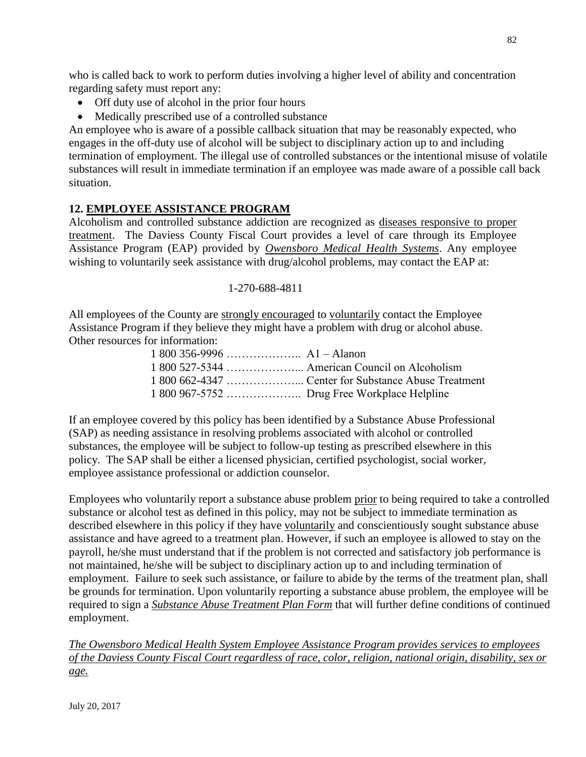who is called back to work to perform duties involving a higher level of ability and concentration regarding safety must report any:

- Off duty use of alcohol in the prior four hours
- Medically prescribed use of a controlled substance

An employee who is aware of a possible callback situation that may be reasonably expected, who engages in the off-duty use of alcohol will be subject to disciplinary action up to and including termination of employment. The illegal use of controlled substances or the intentional misuse of volatile substances will result in immediate termination if an employee was made aware of a possible call back situation.

# **12. EMPLOYEE ASSISTANCE PROGRAM**

Alcoholism and controlled substance addiction are recognized as diseases responsive to proper treatment. The Daviess County Fiscal Court provides a level of care through its Employee Assistance Program (EAP) provided by *Owensboro Medical Health Systems*. Any employee wishing to voluntarily seek assistance with drug/alcohol problems, may contact the EAP at:

#### 1-270-688-4811

All employees of the County are strongly encouraged to voluntarily contact the Employee Assistance Program if they believe they might have a problem with drug or alcohol abuse. Other resources for information:

If an employee covered by this policy has been identified by a Substance Abuse Professional (SAP) as needing assistance in resolving problems associated with alcohol or controlled substances, the employee will be subject to follow-up testing as prescribed elsewhere in this policy. The SAP shall be either a licensed physician, certified psychologist, social worker, employee assistance professional or addiction counselor.

Employees who voluntarily report a substance abuse problem prior to being required to take a controlled substance or alcohol test as defined in this policy, may not be subject to immediate termination as described elsewhere in this policy if they have voluntarily and conscientiously sought substance abuse assistance and have agreed to a treatment plan. However, if such an employee is allowed to stay on the payroll, he/she must understand that if the problem is not corrected and satisfactory job performance is not maintained, he/she will be subject to disciplinary action up to and including termination of employment. Failure to seek such assistance, or failure to abide by the terms of the treatment plan, shall be grounds for termination. Upon voluntarily reporting a substance abuse problem, the employee will be required to sign a *Substance Abuse Treatment Plan Form* that will further define conditions of continued employment.

*The Owensboro Medical Health System Employee Assistance Program provides services to employees of the Daviess County Fiscal Court regardless of race, color, religion, national origin, disability, sex or age.*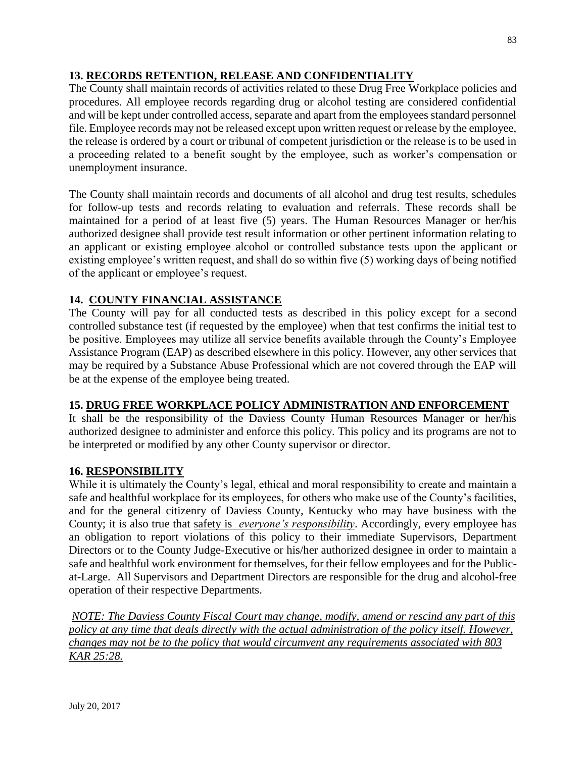# **13. RECORDS RETENTION, RELEASE AND CONFIDENTIALITY**

The County shall maintain records of activities related to these Drug Free Workplace policies and procedures. All employee records regarding drug or alcohol testing are considered confidential and will be kept under controlled access, separate and apart from the employees standard personnel file. Employee records may not be released except upon written request or release by the employee, the release is ordered by a court or tribunal of competent jurisdiction or the release is to be used in a proceeding related to a benefit sought by the employee, such as worker's compensation or unemployment insurance.

The County shall maintain records and documents of all alcohol and drug test results, schedules for follow-up tests and records relating to evaluation and referrals. These records shall be maintained for a period of at least five (5) years. The Human Resources Manager or her/his authorized designee shall provide test result information or other pertinent information relating to an applicant or existing employee alcohol or controlled substance tests upon the applicant or existing employee's written request, and shall do so within five (5) working days of being notified of the applicant or employee's request.

# **14. COUNTY FINANCIAL ASSISTANCE**

The County will pay for all conducted tests as described in this policy except for a second controlled substance test (if requested by the employee) when that test confirms the initial test to be positive. Employees may utilize all service benefits available through the County's Employee Assistance Program (EAP) as described elsewhere in this policy. However, any other services that may be required by a Substance Abuse Professional which are not covered through the EAP will be at the expense of the employee being treated.

### **15. DRUG FREE WORKPLACE POLICY ADMINISTRATION AND ENFORCEMENT**

It shall be the responsibility of the Daviess County Human Resources Manager or her/his authorized designee to administer and enforce this policy. This policy and its programs are not to be interpreted or modified by any other County supervisor or director.

### **16. RESPONSIBILITY**

While it is ultimately the County's legal, ethical and moral responsibility to create and maintain a safe and healthful workplace for its employees, for others who make use of the County's facilities, and for the general citizenry of Daviess County, Kentucky who may have business with the County; it is also true that safety is *everyone's responsibility*. Accordingly, every employee has an obligation to report violations of this policy to their immediate Supervisors, Department Directors or to the County Judge-Executive or his/her authorized designee in order to maintain a safe and healthful work environment for themselves, for their fellow employees and for the Publicat-Large. All Supervisors and Department Directors are responsible for the drug and alcohol-free operation of their respective Departments.

*NOTE: The Daviess County Fiscal Court may change, modify, amend or rescind any part of this policy at any time that deals directly with the actual administration of the policy itself. However, changes may not be to the policy that would circumvent any requirements associated with 803 KAR 25:28.*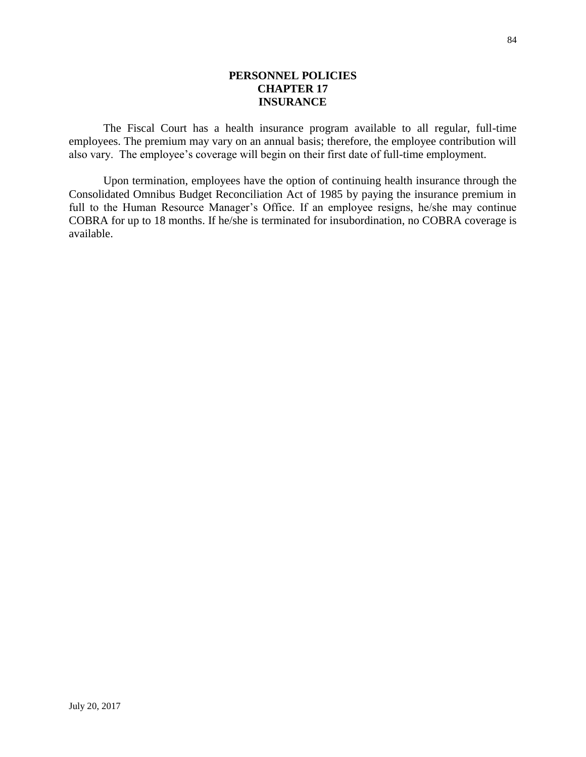#### **PERSONNEL POLICIES CHAPTER 17 INSURANCE**

The Fiscal Court has a health insurance program available to all regular, full-time employees. The premium may vary on an annual basis; therefore, the employee contribution will also vary. The employee's coverage will begin on their first date of full-time employment.

Upon termination, employees have the option of continuing health insurance through the Consolidated Omnibus Budget Reconciliation Act of 1985 by paying the insurance premium in full to the Human Resource Manager's Office. If an employee resigns, he/she may continue COBRA for up to 18 months. If he/she is terminated for insubordination, no COBRA coverage is available.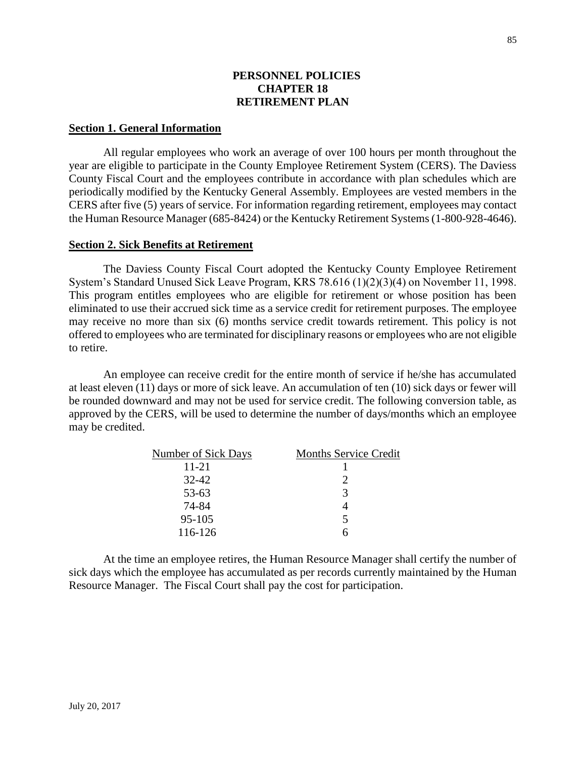### **PERSONNEL POLICIES CHAPTER 18 RETIREMENT PLAN**

#### **Section 1. General Information**

All regular employees who work an average of over 100 hours per month throughout the year are eligible to participate in the County Employee Retirement System (CERS). The Daviess County Fiscal Court and the employees contribute in accordance with plan schedules which are periodically modified by the Kentucky General Assembly. Employees are vested members in the CERS after five (5) years of service. For information regarding retirement, employees may contact the Human Resource Manager (685-8424) or the Kentucky Retirement Systems (1-800-928-4646).

#### **Section 2. Sick Benefits at Retirement**

The Daviess County Fiscal Court adopted the Kentucky County Employee Retirement System's Standard Unused Sick Leave Program, KRS 78.616 (1)(2)(3)(4) on November 11, 1998. This program entitles employees who are eligible for retirement or whose position has been eliminated to use their accrued sick time as a service credit for retirement purposes. The employee may receive no more than six (6) months service credit towards retirement. This policy is not offered to employees who are terminated for disciplinary reasons or employees who are not eligible to retire.

An employee can receive credit for the entire month of service if he/she has accumulated at least eleven (11) days or more of sick leave. An accumulation of ten (10) sick days or fewer will be rounded downward and may not be used for service credit. The following conversion table, as approved by the CERS, will be used to determine the number of days/months which an employee may be credited.

| <b>Number of Sick Days</b> | <b>Months Service Credit</b> |
|----------------------------|------------------------------|
| $11 - 21$                  |                              |
| $32 - 42$                  |                              |
| 53-63                      | 3                            |
| 74-84                      |                              |
| 95-105                     | 5                            |
| 116-126                    |                              |

At the time an employee retires, the Human Resource Manager shall certify the number of sick days which the employee has accumulated as per records currently maintained by the Human Resource Manager. The Fiscal Court shall pay the cost for participation.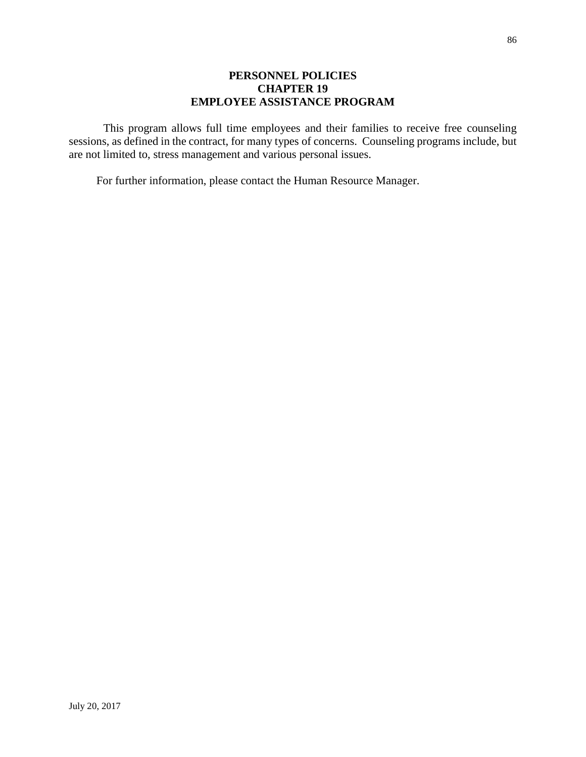### **PERSONNEL POLICIES CHAPTER 19 EMPLOYEE ASSISTANCE PROGRAM**

This program allows full time employees and their families to receive free counseling sessions, as defined in the contract, for many types of concerns. Counseling programs include, but are not limited to, stress management and various personal issues.

For further information, please contact the Human Resource Manager.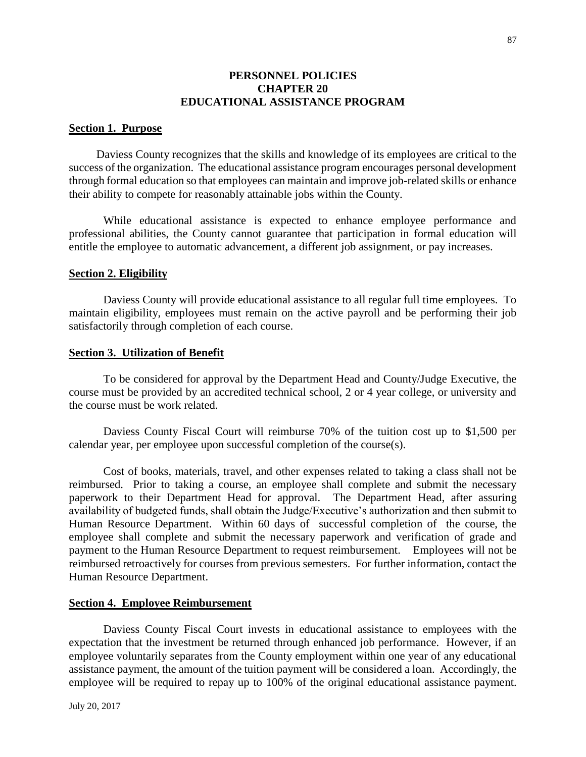#### **PERSONNEL POLICIES CHAPTER 20 EDUCATIONAL ASSISTANCE PROGRAM**

#### **Section 1. Purpose**

Daviess County recognizes that the skills and knowledge of its employees are critical to the success of the organization. The educational assistance program encourages personal development through formal education so that employees can maintain and improve job-related skills or enhance their ability to compete for reasonably attainable jobs within the County.

While educational assistance is expected to enhance employee performance and professional abilities, the County cannot guarantee that participation in formal education will entitle the employee to automatic advancement, a different job assignment, or pay increases.

#### **Section 2. Eligibility**

Daviess County will provide educational assistance to all regular full time employees. To maintain eligibility, employees must remain on the active payroll and be performing their job satisfactorily through completion of each course.

#### **Section 3. Utilization of Benefit**

To be considered for approval by the Department Head and County/Judge Executive, the course must be provided by an accredited technical school, 2 or 4 year college, or university and the course must be work related.

Daviess County Fiscal Court will reimburse 70% of the tuition cost up to \$1,500 per calendar year, per employee upon successful completion of the course(s).

Cost of books, materials, travel, and other expenses related to taking a class shall not be reimbursed. Prior to taking a course, an employee shall complete and submit the necessary paperwork to their Department Head for approval. The Department Head, after assuring availability of budgeted funds, shall obtain the Judge/Executive's authorization and then submit to Human Resource Department. Within 60 days of successful completion of the course, the employee shall complete and submit the necessary paperwork and verification of grade and payment to the Human Resource Department to request reimbursement. Employees will not be reimbursed retroactively for courses from previous semesters. For further information, contact the Human Resource Department.

#### **Section 4. Employee Reimbursement**

Daviess County Fiscal Court invests in educational assistance to employees with the expectation that the investment be returned through enhanced job performance. However, if an employee voluntarily separates from the County employment within one year of any educational assistance payment, the amount of the tuition payment will be considered a loan. Accordingly, the employee will be required to repay up to 100% of the original educational assistance payment.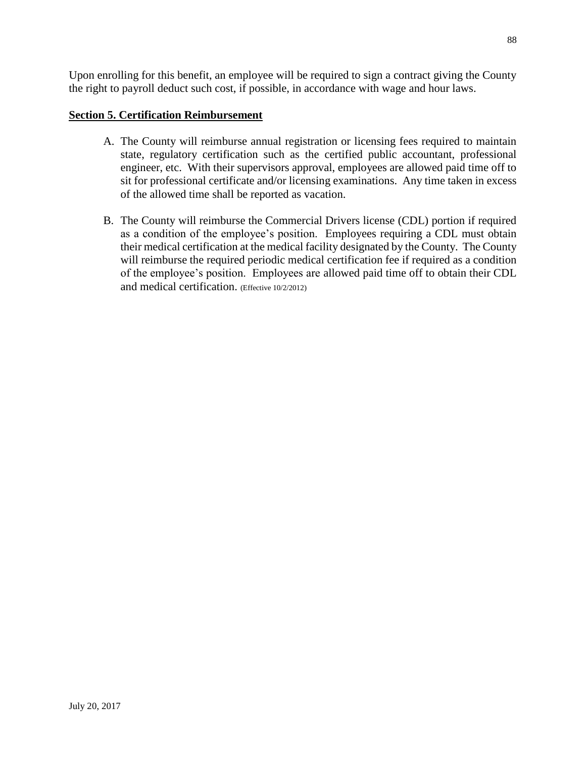Upon enrolling for this benefit, an employee will be required to sign a contract giving the County the right to payroll deduct such cost, if possible, in accordance with wage and hour laws.

### **Section 5. Certification Reimbursement**

- A. The County will reimburse annual registration or licensing fees required to maintain state, regulatory certification such as the certified public accountant, professional engineer, etc. With their supervisors approval, employees are allowed paid time off to sit for professional certificate and/or licensing examinations. Any time taken in excess of the allowed time shall be reported as vacation.
- B. The County will reimburse the Commercial Drivers license (CDL) portion if required as a condition of the employee's position. Employees requiring a CDL must obtain their medical certification at the medical facility designated by the County. The County will reimburse the required periodic medical certification fee if required as a condition of the employee's position. Employees are allowed paid time off to obtain their CDL and medical certification. (Effective 10/2/2012)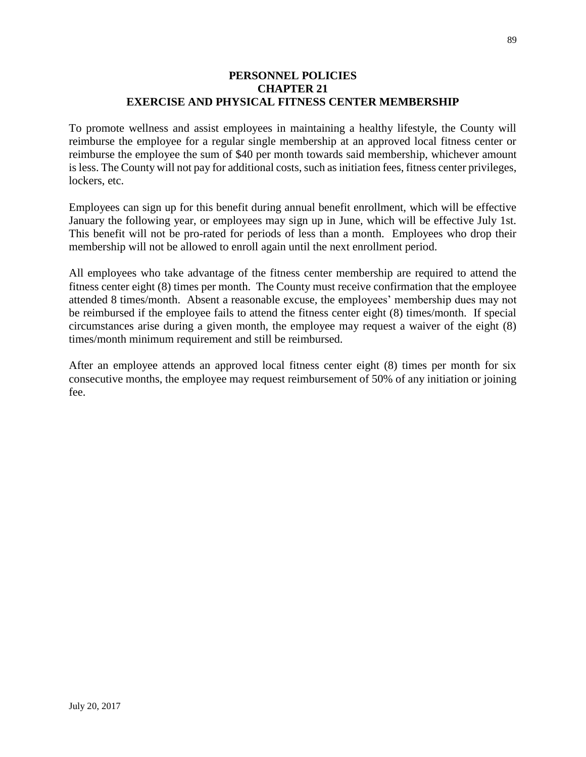#### **PERSONNEL POLICIES CHAPTER 21 EXERCISE AND PHYSICAL FITNESS CENTER MEMBERSHIP**

To promote wellness and assist employees in maintaining a healthy lifestyle, the County will reimburse the employee for a regular single membership at an approved local fitness center or reimburse the employee the sum of \$40 per month towards said membership, whichever amount is less. The County will not pay for additional costs, such as initiation fees, fitness center privileges, lockers, etc.

Employees can sign up for this benefit during annual benefit enrollment, which will be effective January the following year, or employees may sign up in June, which will be effective July 1st. This benefit will not be pro-rated for periods of less than a month. Employees who drop their membership will not be allowed to enroll again until the next enrollment period.

All employees who take advantage of the fitness center membership are required to attend the fitness center eight (8) times per month. The County must receive confirmation that the employee attended 8 times/month. Absent a reasonable excuse, the employees' membership dues may not be reimbursed if the employee fails to attend the fitness center eight (8) times/month. If special circumstances arise during a given month, the employee may request a waiver of the eight (8) times/month minimum requirement and still be reimbursed.

After an employee attends an approved local fitness center eight (8) times per month for six consecutive months, the employee may request reimbursement of 50% of any initiation or joining fee.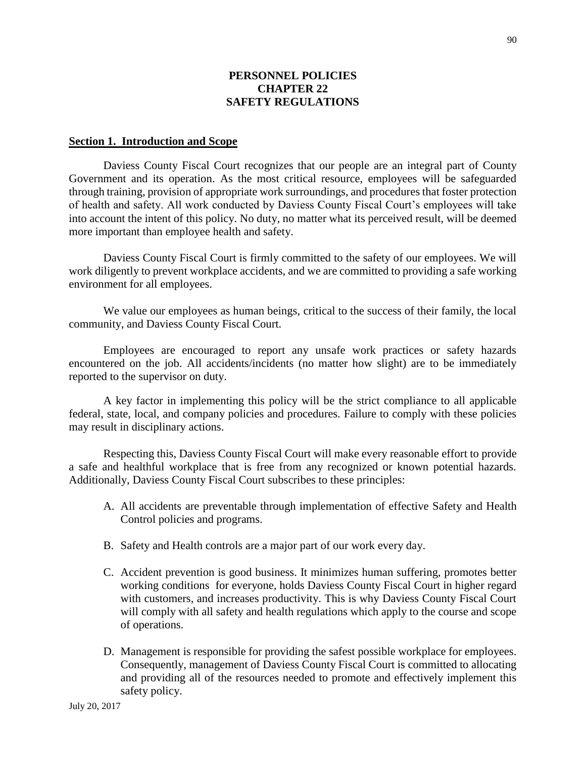### **PERSONNEL POLICIES CHAPTER 22 SAFETY REGULATIONS**

#### **Section 1. Introduction and Scope**

Daviess County Fiscal Court recognizes that our people are an integral part of County Government and its operation. As the most critical resource, employees will be safeguarded through training, provision of appropriate work surroundings, and procedures that foster protection of health and safety. All work conducted by Daviess County Fiscal Court's employees will take into account the intent of this policy. No duty, no matter what its perceived result, will be deemed more important than employee health and safety.

Daviess County Fiscal Court is firmly committed to the safety of our employees. We will work diligently to prevent workplace accidents, and we are committed to providing a safe working environment for all employees.

We value our employees as human beings, critical to the success of their family, the local community, and Daviess County Fiscal Court.

Employees are encouraged to report any unsafe work practices or safety hazards encountered on the job. All accidents/incidents (no matter how slight) are to be immediately reported to the supervisor on duty.

A key factor in implementing this policy will be the strict compliance to all applicable federal, state, local, and company policies and procedures. Failure to comply with these policies may result in disciplinary actions.

Respecting this, Daviess County Fiscal Court will make every reasonable effort to provide a safe and healthful workplace that is free from any recognized or known potential hazards. Additionally, Daviess County Fiscal Court subscribes to these principles:

- A. All accidents are preventable through implementation of effective Safety and Health Control policies and programs.
- B. Safety and Health controls are a major part of our work every day.
- C. Accident prevention is good business. It minimizes human suffering, promotes better working conditions for everyone, holds Daviess County Fiscal Court in higher regard with customers, and increases productivity. This is why Daviess County Fiscal Court will comply with all safety and health regulations which apply to the course and scope of operations.
- D. Management is responsible for providing the safest possible workplace for employees. Consequently, management of Daviess County Fiscal Court is committed to allocating and providing all of the resources needed to promote and effectively implement this safety policy.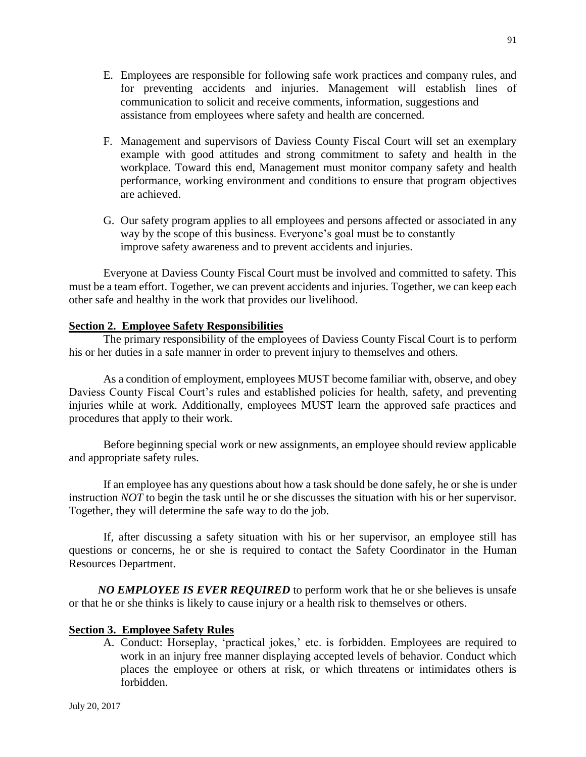- E. Employees are responsible for following safe work practices and company rules, and for preventing accidents and injuries. Management will establish lines of communication to solicit and receive comments, information, suggestions and assistance from employees where safety and health are concerned.
- F. Management and supervisors of Daviess County Fiscal Court will set an exemplary example with good attitudes and strong commitment to safety and health in the workplace. Toward this end, Management must monitor company safety and health performance, working environment and conditions to ensure that program objectives are achieved.
- G. Our safety program applies to all employees and persons affected or associated in any way by the scope of this business. Everyone's goal must be to constantly improve safety awareness and to prevent accidents and injuries.

 Everyone at Daviess County Fiscal Court must be involved and committed to safety. This must be a team effort. Together, we can prevent accidents and injuries. Together, we can keep each other safe and healthy in the work that provides our livelihood.

#### **Section 2. Employee Safety Responsibilities**

The primary responsibility of the employees of Daviess County Fiscal Court is to perform his or her duties in a safe manner in order to prevent injury to themselves and others.

As a condition of employment, employees MUST become familiar with, observe, and obey Daviess County Fiscal Court's rules and established policies for health, safety, and preventing injuries while at work. Additionally, employees MUST learn the approved safe practices and procedures that apply to their work.

Before beginning special work or new assignments, an employee should review applicable and appropriate safety rules.

If an employee has any questions about how a task should be done safely, he or she is under instruction *NOT* to begin the task until he or she discusses the situation with his or her supervisor. Together, they will determine the safe way to do the job.

If, after discussing a safety situation with his or her supervisor, an employee still has questions or concerns, he or she is required to contact the Safety Coordinator in the Human Resources Department.

*NO EMPLOYEE IS EVER REQUIRED* to perform work that he or she believes is unsafe or that he or she thinks is likely to cause injury or a health risk to themselves or others.

#### **Section 3. Employee Safety Rules**

A. Conduct: Horseplay, 'practical jokes,' etc. is forbidden. Employees are required to work in an injury free manner displaying accepted levels of behavior. Conduct which places the employee or others at risk, or which threatens or intimidates others is forbidden.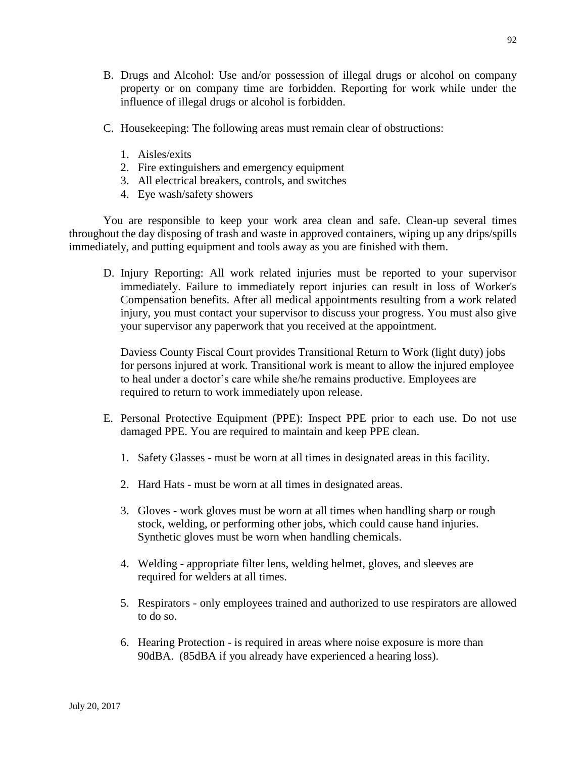- B. Drugs and Alcohol: Use and/or possession of illegal drugs or alcohol on company property or on company time are forbidden. Reporting for work while under the influence of illegal drugs or alcohol is forbidden.
- C. Housekeeping: The following areas must remain clear of obstructions:
	- 1. Aisles/exits
	- 2. Fire extinguishers and emergency equipment
	- 3. All electrical breakers, controls, and switches
	- 4. Eye wash/safety showers

You are responsible to keep your work area clean and safe. Clean-up several times throughout the day disposing of trash and waste in approved containers, wiping up any drips/spills immediately, and putting equipment and tools away as you are finished with them.

D. Injury Reporting: All work related injuries must be reported to your supervisor immediately. Failure to immediately report injuries can result in loss of Worker's Compensation benefits. After all medical appointments resulting from a work related injury, you must contact your supervisor to discuss your progress. You must also give your supervisor any paperwork that you received at the appointment.

Daviess County Fiscal Court provides Transitional Return to Work (light duty) jobs for persons injured at work. Transitional work is meant to allow the injured employee to heal under a doctor's care while she/he remains productive. Employees are required to return to work immediately upon release.

- E. Personal Protective Equipment (PPE): Inspect PPE prior to each use. Do not use damaged PPE. You are required to maintain and keep PPE clean.
	- 1. Safety Glasses must be worn at all times in designated areas in this facility.
	- 2. Hard Hats must be worn at all times in designated areas.
	- 3. Gloves work gloves must be worn at all times when handling sharp or rough stock, welding, or performing other jobs, which could cause hand injuries. Synthetic gloves must be worn when handling chemicals.
	- 4. Welding appropriate filter lens, welding helmet, gloves, and sleeves are required for welders at all times.
	- 5. Respirators only employees trained and authorized to use respirators are allowed to do so.
	- 6. Hearing Protection is required in areas where noise exposure is more than 90dBA. (85dBA if you already have experienced a hearing loss).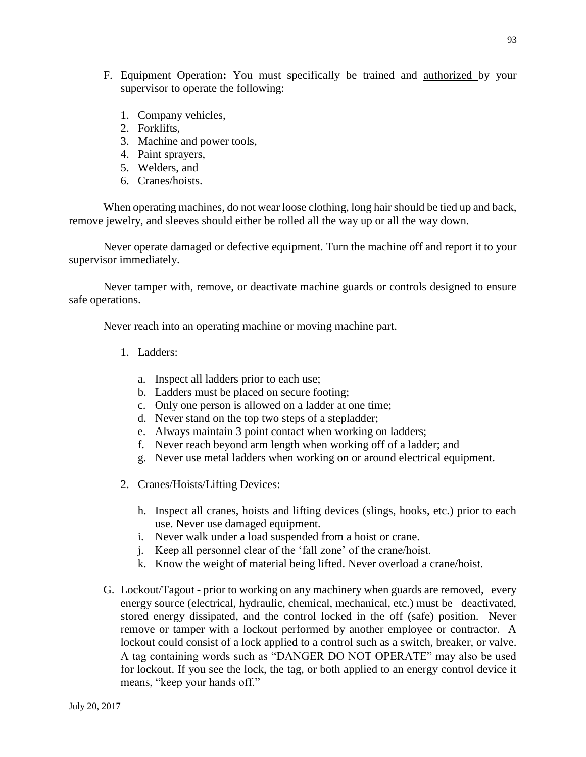- F. Equipment Operation**:** You must specifically be trained and authorized by your supervisor to operate the following:
	- 1. Company vehicles,
	- 2. Forklifts,
	- 3. Machine and power tools,
	- 4. Paint sprayers,
	- 5. Welders, and
	- 6. Cranes/hoists.

When operating machines, do not wear loose clothing, long hair should be tied up and back, remove jewelry, and sleeves should either be rolled all the way up or all the way down.

Never operate damaged or defective equipment. Turn the machine off and report it to your supervisor immediately.

Never tamper with, remove, or deactivate machine guards or controls designed to ensure safe operations.

Never reach into an operating machine or moving machine part.

- 1. Ladders:
	- a. Inspect all ladders prior to each use;
	- b. Ladders must be placed on secure footing;
	- c. Only one person is allowed on a ladder at one time;
	- d. Never stand on the top two steps of a stepladder;
	- e. Always maintain 3 point contact when working on ladders;
	- f. Never reach beyond arm length when working off of a ladder; and
	- g. Never use metal ladders when working on or around electrical equipment.
- 2. Cranes/Hoists/Lifting Devices:
	- h. Inspect all cranes, hoists and lifting devices (slings, hooks, etc.) prior to each use. Never use damaged equipment.
	- i. Never walk under a load suspended from a hoist or crane.
	- j. Keep all personnel clear of the 'fall zone' of the crane/hoist.
	- k. Know the weight of material being lifted. Never overload a crane/hoist.
- G. Lockout/Tagout prior to working on any machinery when guards are removed, every energy source (electrical, hydraulic, chemical, mechanical, etc.) must be deactivated, stored energy dissipated, and the control locked in the off (safe) position. Never remove or tamper with a lockout performed by another employee or contractor. A lockout could consist of a lock applied to a control such as a switch, breaker, or valve. A tag containing words such as "DANGER DO NOT OPERATE" may also be used for lockout. If you see the lock, the tag, or both applied to an energy control device it means, "keep your hands off."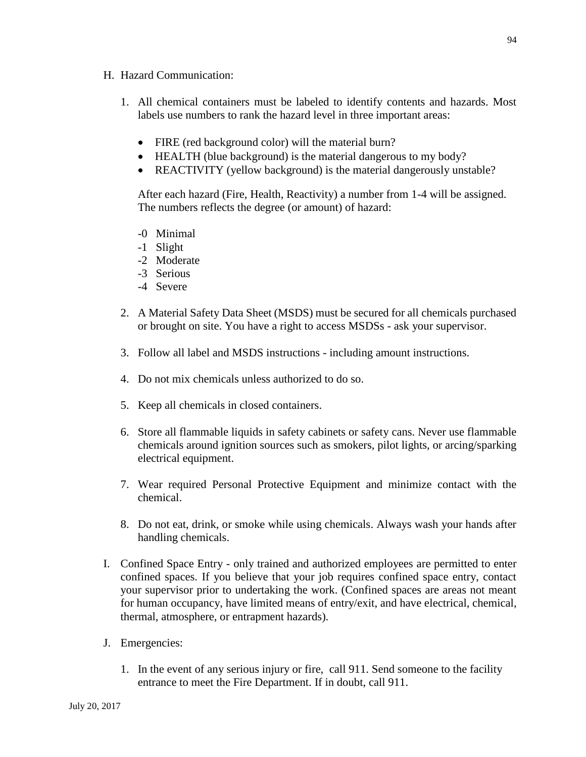- H. Hazard Communication:
	- 1. All chemical containers must be labeled to identify contents and hazards. Most labels use numbers to rank the hazard level in three important areas:
		- FIRE (red background color) will the material burn?
		- HEALTH (blue background) is the material dangerous to my body?
		- REACTIVITY (yellow background) is the material dangerously unstable?

After each hazard (Fire, Health, Reactivity) a number from 1-4 will be assigned. The numbers reflects the degree (or amount) of hazard:

- -0 Minimal
- -1 Slight
- -2 Moderate
- -3 Serious
- -4 Severe
- 2. A Material Safety Data Sheet (MSDS) must be secured for all chemicals purchased or brought on site. You have a right to access MSDSs - ask your supervisor.
- 3. Follow all label and MSDS instructions including amount instructions.
- 4. Do not mix chemicals unless authorized to do so.
- 5. Keep all chemicals in closed containers.
- 6. Store all flammable liquids in safety cabinets or safety cans. Never use flammable chemicals around ignition sources such as smokers, pilot lights, or arcing/sparking electrical equipment.
- 7. Wear required Personal Protective Equipment and minimize contact with the chemical.
- 8. Do not eat, drink, or smoke while using chemicals. Always wash your hands after handling chemicals.
- I. Confined Space Entry only trained and authorized employees are permitted to enter confined spaces. If you believe that your job requires confined space entry, contact your supervisor prior to undertaking the work. (Confined spaces are areas not meant for human occupancy, have limited means of entry/exit, and have electrical, chemical, thermal, atmosphere, or entrapment hazards).
- J. Emergencies:
	- 1. In the event of any serious injury or fire, call 911. Send someone to the facility entrance to meet the Fire Department. If in doubt, call 911.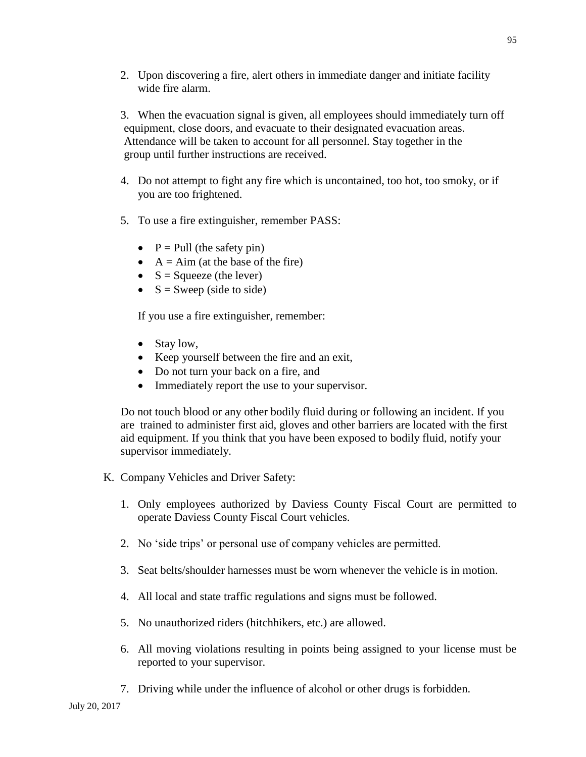2. Upon discovering a fire, alert others in immediate danger and initiate facility wide fire alarm.

3. When the evacuation signal is given, all employees should immediately turn off equipment, close doors, and evacuate to their designated evacuation areas. Attendance will be taken to account for all personnel. Stay together in the group until further instructions are received.

- 4. Do not attempt to fight any fire which is uncontained, too hot, too smoky, or if you are too frightened.
- 5. To use a fire extinguisher, remember PASS:
	- $P =$  Pull (the safety pin)
	- $\bullet$  A = Aim (at the base of the fire)
	- $S = \text{Squeeze}$  (the lever)
	- $\bullet$  S = Sweep (side to side)

If you use a fire extinguisher, remember:

- Stay low,
- Keep yourself between the fire and an exit,
- Do not turn your back on a fire, and
- Immediately report the use to your supervisor.

Do not touch blood or any other bodily fluid during or following an incident. If you are trained to administer first aid, gloves and other barriers are located with the first aid equipment. If you think that you have been exposed to bodily fluid, notify your supervisor immediately.

- K. Company Vehicles and Driver Safety:
	- 1. Only employees authorized by Daviess County Fiscal Court are permitted to operate Daviess County Fiscal Court vehicles.
	- 2. No 'side trips' or personal use of company vehicles are permitted.
	- 3. Seat belts/shoulder harnesses must be worn whenever the vehicle is in motion.
	- 4. All local and state traffic regulations and signs must be followed.
	- 5. No unauthorized riders (hitchhikers, etc.) are allowed.
	- 6. All moving violations resulting in points being assigned to your license must be reported to your supervisor.
	- 7. Driving while under the influence of alcohol or other drugs is forbidden.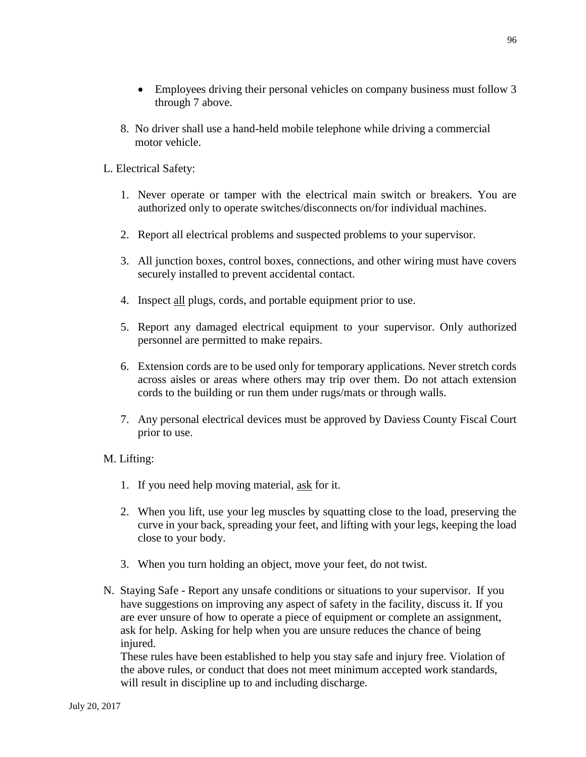8. No driver shall use a hand-held mobile telephone while driving a commercial motor vehicle.

# L. Electrical Safety:

- 1. Never operate or tamper with the electrical main switch or breakers. You are authorized only to operate switches/disconnects on/for individual machines.
- 2. Report all electrical problems and suspected problems to your supervisor.
- 3. All junction boxes, control boxes, connections, and other wiring must have covers securely installed to prevent accidental contact.
- 4. Inspect all plugs, cords, and portable equipment prior to use.
- 5. Report any damaged electrical equipment to your supervisor. Only authorized personnel are permitted to make repairs.
- 6. Extension cords are to be used only for temporary applications. Never stretch cords across aisles or areas where others may trip over them. Do not attach extension cords to the building or run them under rugs/mats or through walls.
- 7. Any personal electrical devices must be approved by Daviess County Fiscal Court prior to use.

# M. Lifting:

- 1. If you need help moving material, ask for it.
- 2. When you lift, use your leg muscles by squatting close to the load, preserving the curve in your back, spreading your feet, and lifting with your legs, keeping the load close to your body.
- 3. When you turn holding an object, move your feet, do not twist.
- N. Staying Safe Report any unsafe conditions or situations to your supervisor. If you have suggestions on improving any aspect of safety in the facility, discuss it. If you are ever unsure of how to operate a piece of equipment or complete an assignment, ask for help. Asking for help when you are unsure reduces the chance of being injured.

These rules have been established to help you stay safe and injury free. Violation of the above rules, or conduct that does not meet minimum accepted work standards, will result in discipline up to and including discharge.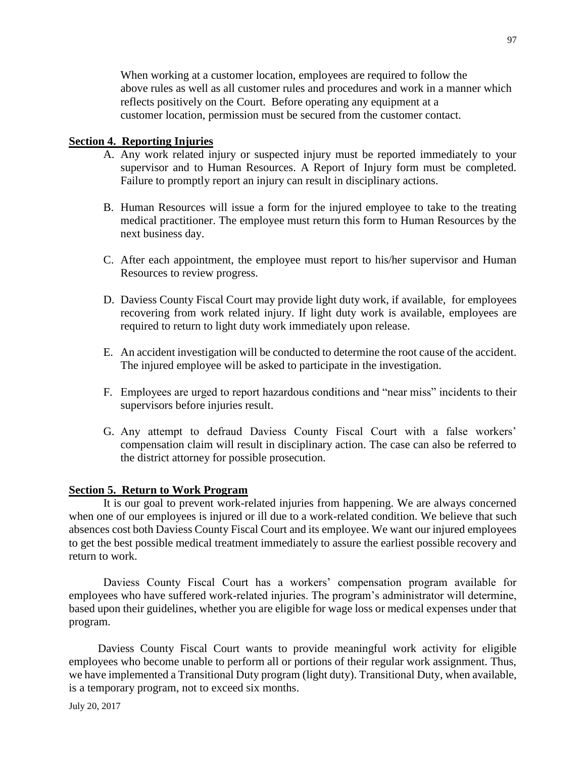When working at a customer location, employees are required to follow the above rules as well as all customer rules and procedures and work in a manner which reflects positively on the Court. Before operating any equipment at a customer location, permission must be secured from the customer contact.

#### **Section 4. Reporting Injuries**

- A. Any work related injury or suspected injury must be reported immediately to your supervisor and to Human Resources. A Report of Injury form must be completed. Failure to promptly report an injury can result in disciplinary actions.
- B. Human Resources will issue a form for the injured employee to take to the treating medical practitioner. The employee must return this form to Human Resources by the next business day.
- C. After each appointment, the employee must report to his/her supervisor and Human Resources to review progress.
- D. Daviess County Fiscal Court may provide light duty work, if available, for employees recovering from work related injury. If light duty work is available, employees are required to return to light duty work immediately upon release.
- E. An accident investigation will be conducted to determine the root cause of the accident. The injured employee will be asked to participate in the investigation.
- F. Employees are urged to report hazardous conditions and "near miss" incidents to their supervisors before injuries result.
- G. Any attempt to defraud Daviess County Fiscal Court with a false workers' compensation claim will result in disciplinary action. The case can also be referred to the district attorney for possible prosecution.

#### **Section 5. Return to Work Program**

It is our goal to prevent work-related injuries from happening. We are always concerned when one of our employees is injured or ill due to a work-related condition. We believe that such absences cost both Daviess County Fiscal Court and its employee. We want our injured employees to get the best possible medical treatment immediately to assure the earliest possible recovery and return to work.

Daviess County Fiscal Court has a workers' compensation program available for employees who have suffered work-related injuries. The program's administrator will determine, based upon their guidelines, whether you are eligible for wage loss or medical expenses under that program.

Daviess County Fiscal Court wants to provide meaningful work activity for eligible employees who become unable to perform all or portions of their regular work assignment. Thus, we have implemented a Transitional Duty program (light duty). Transitional Duty, when available, is a temporary program, not to exceed six months.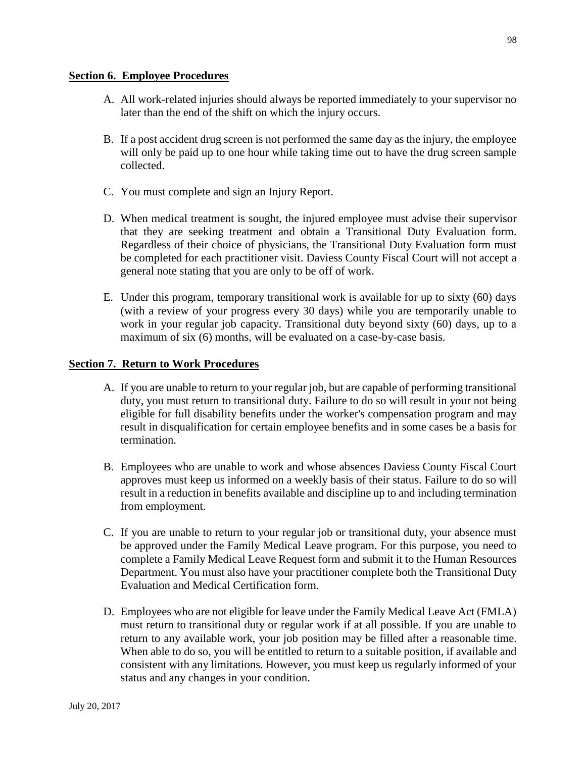#### **Section 6. Employee Procedures**

- A. All work-related injuries should always be reported immediately to your supervisor no later than the end of the shift on which the injury occurs.
- B. If a post accident drug screen is not performed the same day as the injury, the employee will only be paid up to one hour while taking time out to have the drug screen sample collected.
- C. You must complete and sign an Injury Report.
- D. When medical treatment is sought, the injured employee must advise their supervisor that they are seeking treatment and obtain a Transitional Duty Evaluation form. Regardless of their choice of physicians, the Transitional Duty Evaluation form must be completed for each practitioner visit. Daviess County Fiscal Court will not accept a general note stating that you are only to be off of work.
- E. Under this program, temporary transitional work is available for up to sixty (60) days (with a review of your progress every 30 days) while you are temporarily unable to work in your regular job capacity. Transitional duty beyond sixty (60) days, up to a maximum of six (6) months, will be evaluated on a case-by-case basis.

#### **Section 7. Return to Work Procedures**

- A. If you are unable to return to your regular job, but are capable of performing transitional duty, you must return to transitional duty. Failure to do so will result in your not being eligible for full disability benefits under the worker's compensation program and may result in disqualification for certain employee benefits and in some cases be a basis for termination.
- B. Employees who are unable to work and whose absences Daviess County Fiscal Court approves must keep us informed on a weekly basis of their status. Failure to do so will result in a reduction in benefits available and discipline up to and including termination from employment.
- C. If you are unable to return to your regular job or transitional duty, your absence must be approved under the Family Medical Leave program. For this purpose, you need to complete a Family Medical Leave Request form and submit it to the Human Resources Department. You must also have your practitioner complete both the Transitional Duty Evaluation and Medical Certification form.
- D. Employees who are not eligible for leave under the Family Medical Leave Act (FMLA) must return to transitional duty or regular work if at all possible. If you are unable to return to any available work, your job position may be filled after a reasonable time. When able to do so, you will be entitled to return to a suitable position, if available and consistent with any limitations. However, you must keep us regularly informed of your status and any changes in your condition.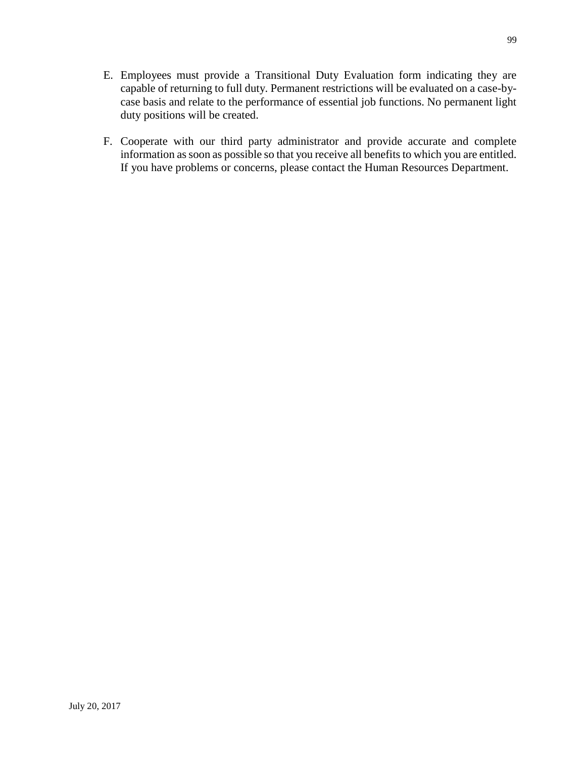- E. Employees must provide a Transitional Duty Evaluation form indicating they are capable of returning to full duty. Permanent restrictions will be evaluated on a case-bycase basis and relate to the performance of essential job functions. No permanent light duty positions will be created.
- F. Cooperate with our third party administrator and provide accurate and complete information as soon as possible so that you receive all benefits to which you are entitled. If you have problems or concerns, please contact the Human Resources Department.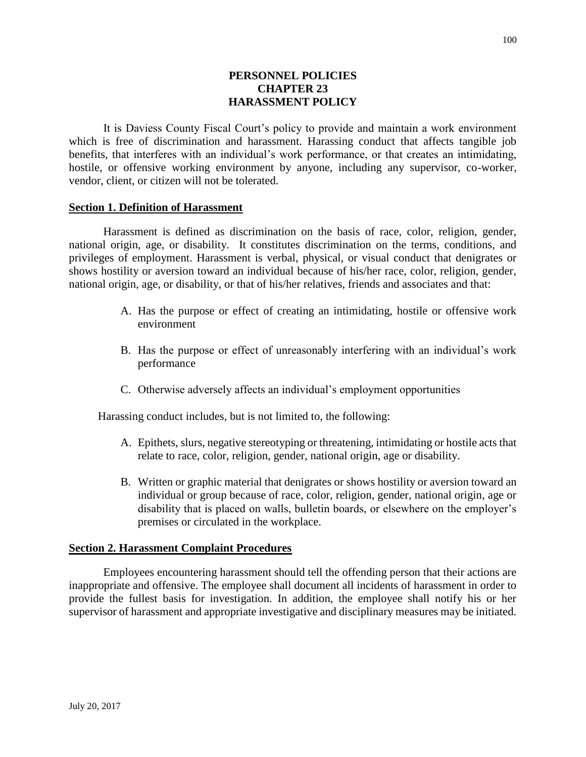### **PERSONNEL POLICIES CHAPTER 23 HARASSMENT POLICY**

It is Daviess County Fiscal Court's policy to provide and maintain a work environment which is free of discrimination and harassment. Harassing conduct that affects tangible job benefits, that interferes with an individual's work performance, or that creates an intimidating, hostile, or offensive working environment by anyone, including any supervisor, co-worker, vendor, client, or citizen will not be tolerated.

#### **Section 1. Definition of Harassment**

Harassment is defined as discrimination on the basis of race, color, religion, gender, national origin, age, or disability. It constitutes discrimination on the terms, conditions, and privileges of employment. Harassment is verbal, physical, or visual conduct that denigrates or shows hostility or aversion toward an individual because of his/her race, color, religion, gender, national origin, age, or disability, or that of his/her relatives, friends and associates and that:

- A. Has the purpose or effect of creating an intimidating, hostile or offensive work environment
- B. Has the purpose or effect of unreasonably interfering with an individual's work performance
- C. Otherwise adversely affects an individual's employment opportunities

Harassing conduct includes, but is not limited to, the following:

- A. Epithets, slurs, negative stereotyping or threatening, intimidating or hostile acts that relate to race, color, religion, gender, national origin, age or disability.
- B. Written or graphic material that denigrates or shows hostility or aversion toward an individual or group because of race, color, religion, gender, national origin, age or disability that is placed on walls, bulletin boards, or elsewhere on the employer's premises or circulated in the workplace.

#### **Section 2. Harassment Complaint Procedures**

Employees encountering harassment should tell the offending person that their actions are inappropriate and offensive. The employee shall document all incidents of harassment in order to provide the fullest basis for investigation. In addition, the employee shall notify his or her supervisor of harassment and appropriate investigative and disciplinary measures may be initiated.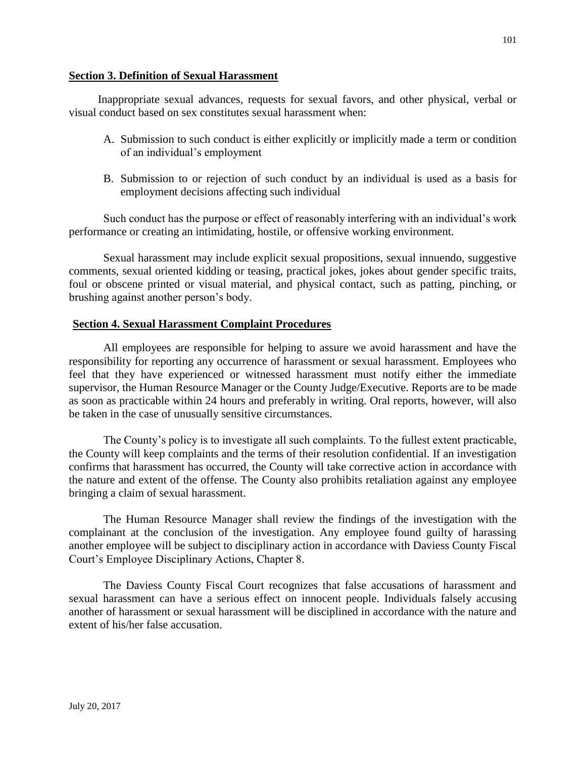#### **Section 3. Definition of Sexual Harassment**

Inappropriate sexual advances, requests for sexual favors, and other physical, verbal or visual conduct based on sex constitutes sexual harassment when:

- A. Submission to such conduct is either explicitly or implicitly made a term or condition of an individual's employment
- B. Submission to or rejection of such conduct by an individual is used as a basis for employment decisions affecting such individual

Such conduct has the purpose or effect of reasonably interfering with an individual's work performance or creating an intimidating, hostile, or offensive working environment.

Sexual harassment may include explicit sexual propositions, sexual innuendo, suggestive comments, sexual oriented kidding or teasing, practical jokes, jokes about gender specific traits, foul or obscene printed or visual material, and physical contact, such as patting, pinching, or brushing against another person's body.

#### **Section 4. Sexual Harassment Complaint Procedures**

All employees are responsible for helping to assure we avoid harassment and have the responsibility for reporting any occurrence of harassment or sexual harassment. Employees who feel that they have experienced or witnessed harassment must notify either the immediate supervisor, the Human Resource Manager or the County Judge/Executive. Reports are to be made as soon as practicable within 24 hours and preferably in writing. Oral reports, however, will also be taken in the case of unusually sensitive circumstances.

The County's policy is to investigate all such complaints. To the fullest extent practicable, the County will keep complaints and the terms of their resolution confidential. If an investigation confirms that harassment has occurred, the County will take corrective action in accordance with the nature and extent of the offense. The County also prohibits retaliation against any employee bringing a claim of sexual harassment.

The Human Resource Manager shall review the findings of the investigation with the complainant at the conclusion of the investigation. Any employee found guilty of harassing another employee will be subject to disciplinary action in accordance with Daviess County Fiscal Court's Employee Disciplinary Actions, Chapter 8.

The Daviess County Fiscal Court recognizes that false accusations of harassment and sexual harassment can have a serious effect on innocent people. Individuals falsely accusing another of harassment or sexual harassment will be disciplined in accordance with the nature and extent of his/her false accusation.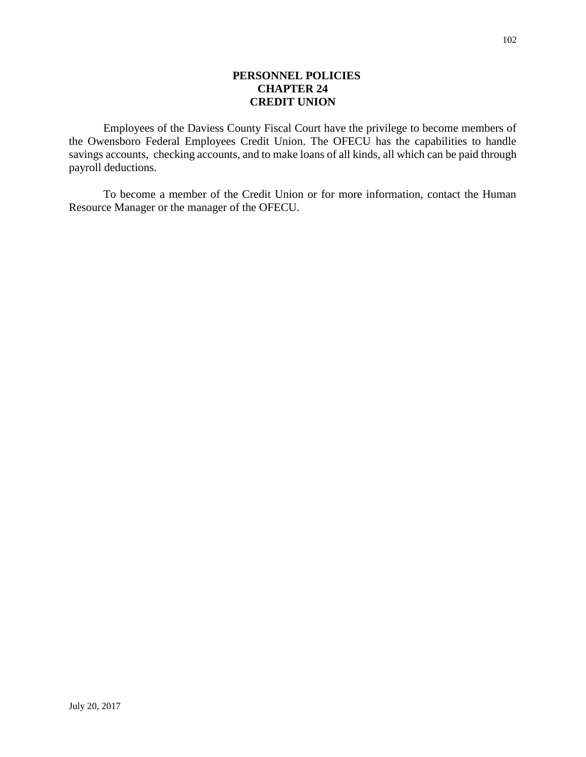### **PERSONNEL POLICIES CHAPTER 24 CREDIT UNION**

Employees of the Daviess County Fiscal Court have the privilege to become members of the Owensboro Federal Employees Credit Union. The OFECU has the capabilities to handle savings accounts, checking accounts, and to make loans of all kinds, all which can be paid through payroll deductions.

To become a member of the Credit Union or for more information, contact the Human Resource Manager or the manager of the OFECU.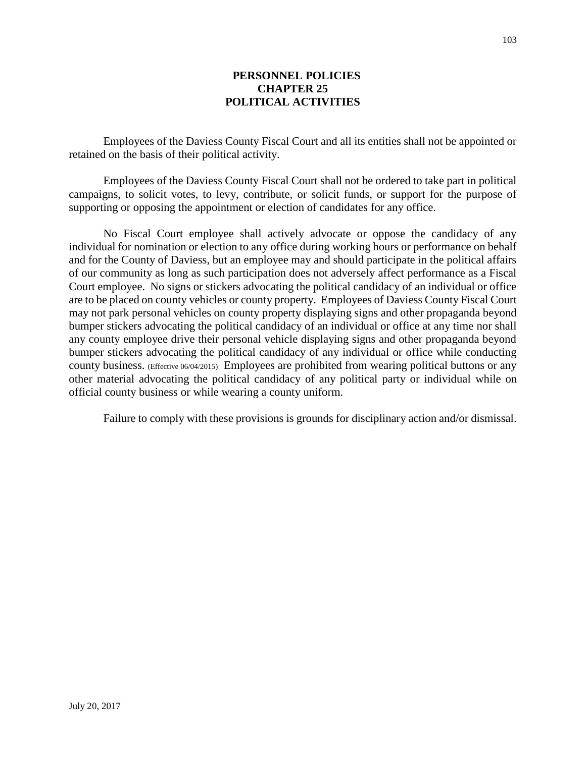### **PERSONNEL POLICIES CHAPTER 25 POLITICAL ACTIVITIES**

Employees of the Daviess County Fiscal Court and all its entities shall not be appointed or retained on the basis of their political activity.

Employees of the Daviess County Fiscal Court shall not be ordered to take part in political campaigns, to solicit votes, to levy, contribute, or solicit funds, or support for the purpose of supporting or opposing the appointment or election of candidates for any office.

No Fiscal Court employee shall actively advocate or oppose the candidacy of any individual for nomination or election to any office during working hours or performance on behalf and for the County of Daviess, but an employee may and should participate in the political affairs of our community as long as such participation does not adversely affect performance as a Fiscal Court employee. No signs or stickers advocating the political candidacy of an individual or office are to be placed on county vehicles or county property. Employees of Daviess County Fiscal Court may not park personal vehicles on county property displaying signs and other propaganda beyond bumper stickers advocating the political candidacy of an individual or office at any time nor shall any county employee drive their personal vehicle displaying signs and other propaganda beyond bumper stickers advocating the political candidacy of any individual or office while conducting county business. (Effective 06/04/2015) Employees are prohibited from wearing political buttons or any other material advocating the political candidacy of any political party or individual while on official county business or while wearing a county uniform.

Failure to comply with these provisions is grounds for disciplinary action and/or dismissal.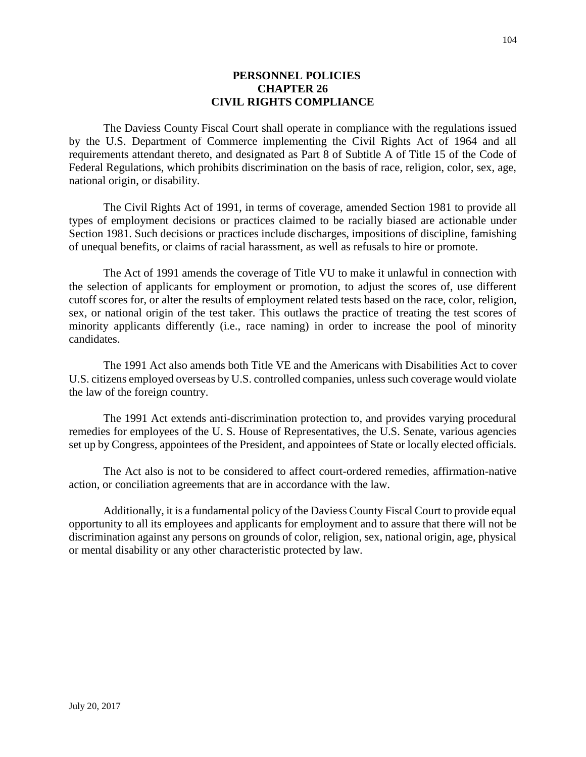#### **PERSONNEL POLICIES CHAPTER 26 CIVIL RIGHTS COMPLIANCE**

The Daviess County Fiscal Court shall operate in compliance with the regulations issued by the U.S. Department of Commerce implementing the Civil Rights Act of 1964 and all requirements attendant thereto, and designated as Part 8 of Subtitle A of Title 15 of the Code of Federal Regulations, which prohibits discrimination on the basis of race, religion, color, sex, age, national origin, or disability.

The Civil Rights Act of 1991, in terms of coverage, amended Section 1981 to provide all types of employment decisions or practices claimed to be racially biased are actionable under Section 1981. Such decisions or practices include discharges, impositions of discipline, famishing of unequal benefits, or claims of racial harassment, as well as refusals to hire or promote.

The Act of 1991 amends the coverage of Title VU to make it unlawful in connection with the selection of applicants for employment or promotion, to adjust the scores of, use different cutoff scores for, or alter the results of employment related tests based on the race, color, religion, sex, or national origin of the test taker. This outlaws the practice of treating the test scores of minority applicants differently (i.e., race naming) in order to increase the pool of minority candidates.

The 1991 Act also amends both Title VE and the Americans with Disabilities Act to cover U.S. citizens employed overseas by U.S. controlled companies, unless such coverage would violate the law of the foreign country.

The 1991 Act extends anti-discrimination protection to, and provides varying procedural remedies for employees of the U. S. House of Representatives, the U.S. Senate, various agencies set up by Congress, appointees of the President, and appointees of State or locally elected officials.

The Act also is not to be considered to affect court-ordered remedies, affirmation-native action, or conciliation agreements that are in accordance with the law.

Additionally, it is a fundamental policy of the Daviess County Fiscal Court to provide equal opportunity to all its employees and applicants for employment and to assure that there will not be discrimination against any persons on grounds of color, religion, sex, national origin, age, physical or mental disability or any other characteristic protected by law.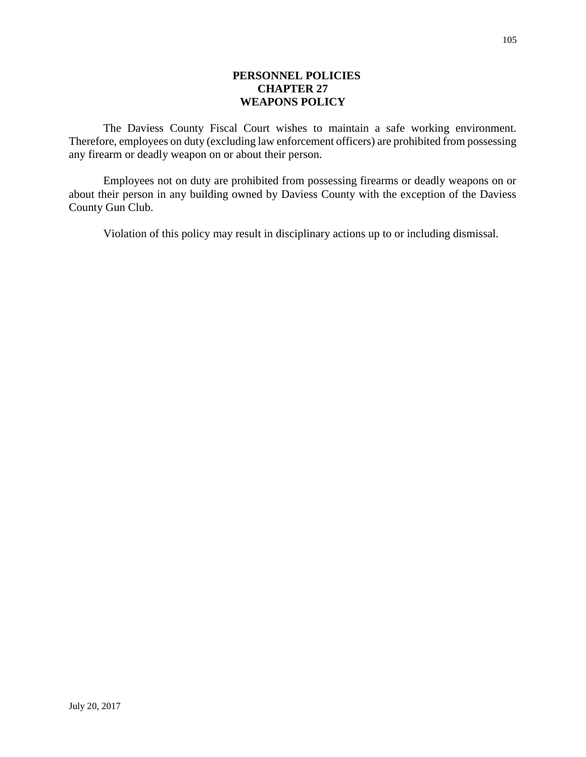### **PERSONNEL POLICIES CHAPTER 27 WEAPONS POLICY**

The Daviess County Fiscal Court wishes to maintain a safe working environment. Therefore, employees on duty (excluding law enforcement officers) are prohibited from possessing any firearm or deadly weapon on or about their person.

Employees not on duty are prohibited from possessing firearms or deadly weapons on or about their person in any building owned by Daviess County with the exception of the Daviess County Gun Club.

Violation of this policy may result in disciplinary actions up to or including dismissal.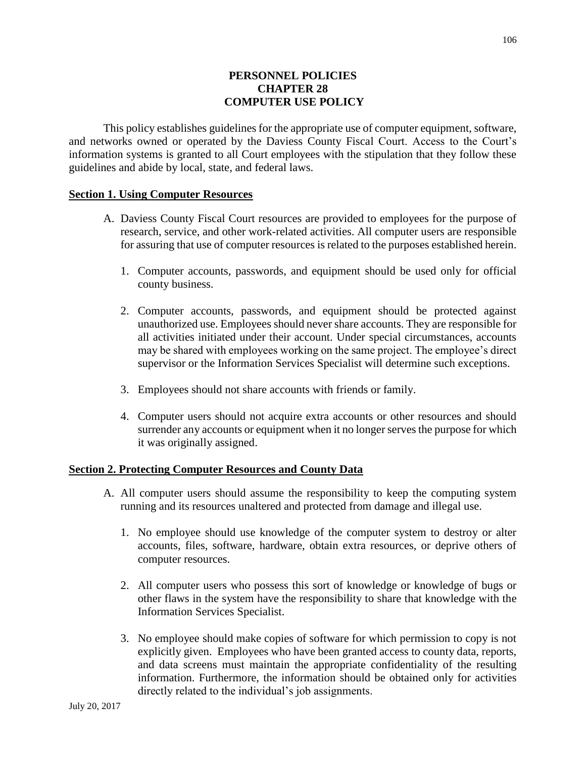### **PERSONNEL POLICIES CHAPTER 28 COMPUTER USE POLICY**

This policy establishes guidelines for the appropriate use of computer equipment, software, and networks owned or operated by the Daviess County Fiscal Court. Access to the Court's information systems is granted to all Court employees with the stipulation that they follow these guidelines and abide by local, state, and federal laws.

#### **Section 1. Using Computer Resources**

- A. Daviess County Fiscal Court resources are provided to employees for the purpose of research, service, and other work-related activities. All computer users are responsible for assuring that use of computer resources is related to the purposes established herein.
	- 1. Computer accounts, passwords, and equipment should be used only for official county business.
	- 2. Computer accounts, passwords, and equipment should be protected against unauthorized use. Employees should never share accounts. They are responsible for all activities initiated under their account. Under special circumstances, accounts may be shared with employees working on the same project. The employee's direct supervisor or the Information Services Specialist will determine such exceptions.
	- 3. Employees should not share accounts with friends or family.
	- 4. Computer users should not acquire extra accounts or other resources and should surrender any accounts or equipment when it no longer serves the purpose for which it was originally assigned.

#### **Section 2. Protecting Computer Resources and County Data**

- A. All computer users should assume the responsibility to keep the computing system running and its resources unaltered and protected from damage and illegal use.
	- 1. No employee should use knowledge of the computer system to destroy or alter accounts, files, software, hardware, obtain extra resources, or deprive others of computer resources.
	- 2. All computer users who possess this sort of knowledge or knowledge of bugs or other flaws in the system have the responsibility to share that knowledge with the Information Services Specialist.
	- 3. No employee should make copies of software for which permission to copy is not explicitly given. Employees who have been granted access to county data, reports, and data screens must maintain the appropriate confidentiality of the resulting information. Furthermore, the information should be obtained only for activities directly related to the individual's job assignments.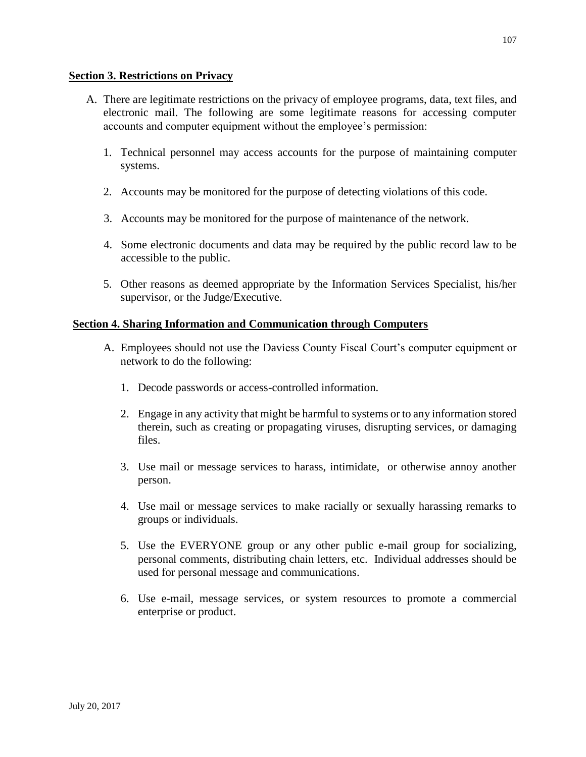#### **Section 3. Restrictions on Privacy**

- A. There are legitimate restrictions on the privacy of employee programs, data, text files, and electronic mail. The following are some legitimate reasons for accessing computer accounts and computer equipment without the employee's permission:
	- 1. Technical personnel may access accounts for the purpose of maintaining computer systems.
	- 2. Accounts may be monitored for the purpose of detecting violations of this code.
	- 3. Accounts may be monitored for the purpose of maintenance of the network.
	- 4. Some electronic documents and data may be required by the public record law to be accessible to the public.
	- 5. Other reasons as deemed appropriate by the Information Services Specialist, his/her supervisor, or the Judge/Executive.

#### **Section 4. Sharing Information and Communication through Computers**

- A. Employees should not use the Daviess County Fiscal Court's computer equipment or network to do the following:
	- 1. Decode passwords or access-controlled information.
	- 2. Engage in any activity that might be harmful to systems or to any information stored therein, such as creating or propagating viruses, disrupting services, or damaging files.
	- 3. Use mail or message services to harass, intimidate, or otherwise annoy another person.
	- 4. Use mail or message services to make racially or sexually harassing remarks to groups or individuals.
	- 5. Use the EVERYONE group or any other public e-mail group for socializing, personal comments, distributing chain letters, etc. Individual addresses should be used for personal message and communications.
	- 6. Use e-mail, message services, or system resources to promote a commercial enterprise or product.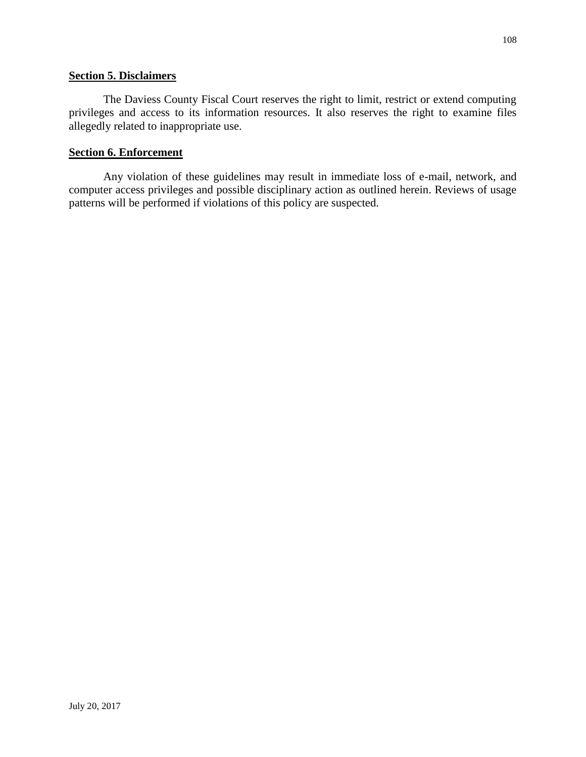#### **Section 5. Disclaimers**

The Daviess County Fiscal Court reserves the right to limit, restrict or extend computing privileges and access to its information resources. It also reserves the right to examine files allegedly related to inappropriate use.

#### **Section 6. Enforcement**

Any violation of these guidelines may result in immediate loss of e-mail, network, and computer access privileges and possible disciplinary action as outlined herein. Reviews of usage patterns will be performed if violations of this policy are suspected.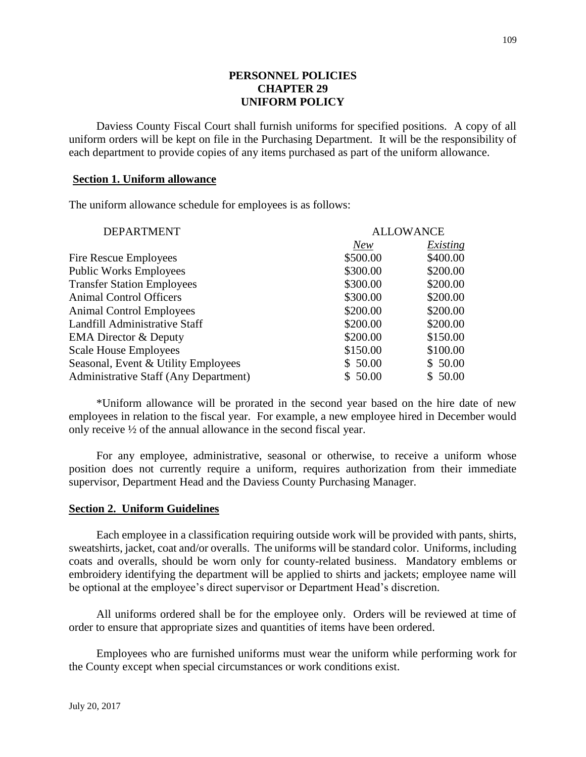## **PERSONNEL POLICIES CHAPTER 29 UNIFORM POLICY**

Daviess County Fiscal Court shall furnish uniforms for specified positions. A copy of all uniform orders will be kept on file in the Purchasing Department. It will be the responsibility of each department to provide copies of any items purchased as part of the uniform allowance.

### **Section 1. Uniform allowance**

The uniform allowance schedule for employees is as follows:

| <b>DEPARTMENT</b>                            | <b>ALLOWANCE</b> |          |
|----------------------------------------------|------------------|----------|
|                                              | <b>New</b>       | Existing |
| Fire Rescue Employees                        | \$500.00         | \$400.00 |
| <b>Public Works Employees</b>                | \$300.00         | \$200.00 |
| <b>Transfer Station Employees</b>            | \$300.00         | \$200.00 |
| <b>Animal Control Officers</b>               | \$300.00         | \$200.00 |
| <b>Animal Control Employees</b>              | \$200.00         | \$200.00 |
| Landfill Administrative Staff                | \$200.00         | \$200.00 |
| <b>EMA Director &amp; Deputy</b>             | \$200.00         | \$150.00 |
| <b>Scale House Employees</b>                 | \$150.00         | \$100.00 |
| Seasonal, Event & Utility Employees          | \$50.00          | \$50.00  |
| <b>Administrative Staff (Any Department)</b> | \$50.00          | \$50.00  |
|                                              |                  |          |

\*Uniform allowance will be prorated in the second year based on the hire date of new employees in relation to the fiscal year. For example, a new employee hired in December would only receive ½ of the annual allowance in the second fiscal year.

For any employee, administrative, seasonal or otherwise, to receive a uniform whose position does not currently require a uniform, requires authorization from their immediate supervisor, Department Head and the Daviess County Purchasing Manager.

#### **Section 2. Uniform Guidelines**

Each employee in a classification requiring outside work will be provided with pants, shirts, sweatshirts, jacket, coat and/or overalls. The uniforms will be standard color. Uniforms, including coats and overalls, should be worn only for county-related business. Mandatory emblems or embroidery identifying the department will be applied to shirts and jackets; employee name will be optional at the employee's direct supervisor or Department Head's discretion.

All uniforms ordered shall be for the employee only. Orders will be reviewed at time of order to ensure that appropriate sizes and quantities of items have been ordered.

Employees who are furnished uniforms must wear the uniform while performing work for the County except when special circumstances or work conditions exist.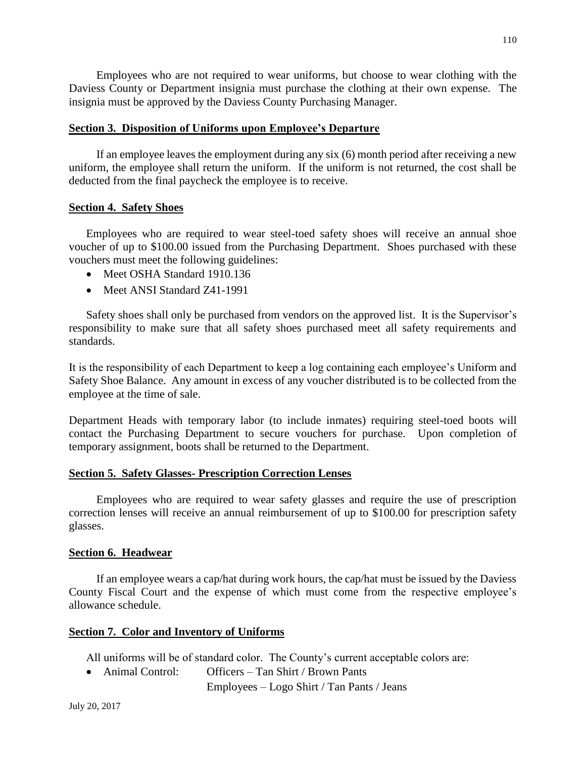Employees who are not required to wear uniforms, but choose to wear clothing with the Daviess County or Department insignia must purchase the clothing at their own expense. The insignia must be approved by the Daviess County Purchasing Manager.

## **Section 3. Disposition of Uniforms upon Employee's Departure**

If an employee leaves the employment during any six (6) month period after receiving a new uniform, the employee shall return the uniform. If the uniform is not returned, the cost shall be deducted from the final paycheck the employee is to receive.

### **Section 4. Safety Shoes**

Employees who are required to wear steel-toed safety shoes will receive an annual shoe voucher of up to \$100.00 issued from the Purchasing Department. Shoes purchased with these vouchers must meet the following guidelines:

- Meet OSHA Standard 1910.136
- Meet ANSI Standard Z41-1991

Safety shoes shall only be purchased from vendors on the approved list. It is the Supervisor's responsibility to make sure that all safety shoes purchased meet all safety requirements and standards.

It is the responsibility of each Department to keep a log containing each employee's Uniform and Safety Shoe Balance. Any amount in excess of any voucher distributed is to be collected from the employee at the time of sale.

Department Heads with temporary labor (to include inmates) requiring steel-toed boots will contact the Purchasing Department to secure vouchers for purchase. Upon completion of temporary assignment, boots shall be returned to the Department.

#### **Section 5. Safety Glasses- Prescription Correction Lenses**

Employees who are required to wear safety glasses and require the use of prescription correction lenses will receive an annual reimbursement of up to \$100.00 for prescription safety glasses.

#### **Section 6. Headwear**

If an employee wears a cap/hat during work hours, the cap/hat must be issued by the Daviess County Fiscal Court and the expense of which must come from the respective employee's allowance schedule.

## **Section 7. Color and Inventory of Uniforms**

All uniforms will be of standard color. The County's current acceptable colors are:

• Animal Control: Officers – Tan Shirt / Brown Pants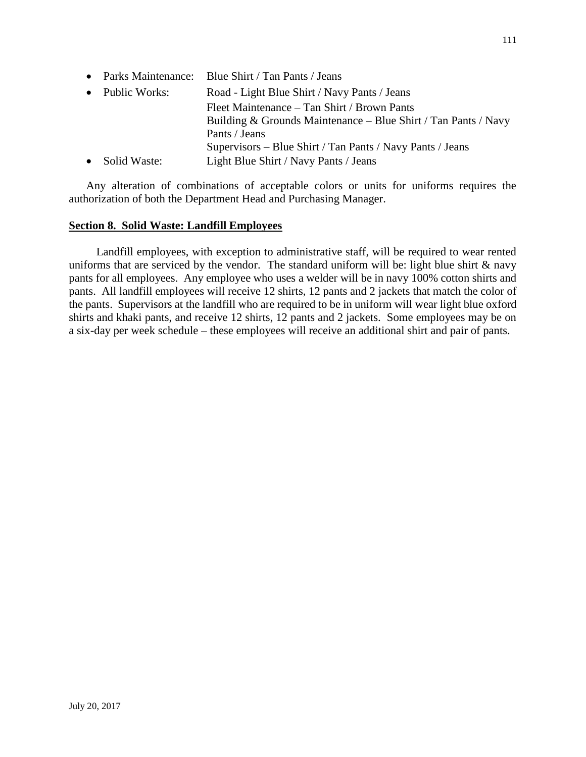• Parks Maintenance: Blue Shirt / Tan Pants / Jeans • Public Works: Road - Light Blue Shirt / Navy Pants / Jeans Fleet Maintenance – Tan Shirt / Brown Pants Building & Grounds Maintenance – Blue Shirt / Tan Pants / Navy Pants / Jeans Supervisors – Blue Shirt / Tan Pants / Navy Pants / Jeans • Solid Waste: Light Blue Shirt / Navy Pants / Jeans

Any alteration of combinations of acceptable colors or units for uniforms requires the authorization of both the Department Head and Purchasing Manager.

### **Section 8. Solid Waste: Landfill Employees**

Landfill employees, with exception to administrative staff, will be required to wear rented uniforms that are serviced by the vendor. The standard uniform will be: light blue shirt  $\&$  navy pants for all employees. Any employee who uses a welder will be in navy 100% cotton shirts and pants. All landfill employees will receive 12 shirts, 12 pants and 2 jackets that match the color of the pants. Supervisors at the landfill who are required to be in uniform will wear light blue oxford shirts and khaki pants, and receive 12 shirts, 12 pants and 2 jackets. Some employees may be on a six-day per week schedule – these employees will receive an additional shirt and pair of pants.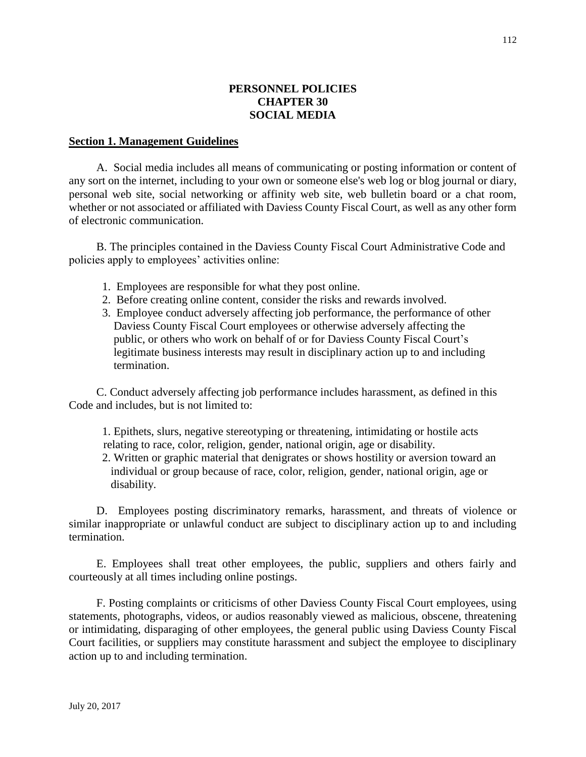## **PERSONNEL POLICIES CHAPTER 30 SOCIAL MEDIA**

#### **Section 1. Management Guidelines**

A. Social media includes all means of communicating or posting information or content of any sort on the internet, including to your own or someone else's web log or blog journal or diary, personal web site, social networking or affinity web site, web bulletin board or a chat room, whether or not associated or affiliated with Daviess County Fiscal Court, as well as any other form of electronic communication.

B. The principles contained in the Daviess County Fiscal Court Administrative Code and policies apply to employees' activities online:

- 1. Employees are responsible for what they post online.
- 2. Before creating online content, consider the risks and rewards involved.
- 3. Employee conduct adversely affecting job performance, the performance of other Daviess County Fiscal Court employees or otherwise adversely affecting the public, or others who work on behalf of or for Daviess County Fiscal Court's legitimate business interests may result in disciplinary action up to and including termination.

C. Conduct adversely affecting job performance includes harassment, as defined in this Code and includes, but is not limited to:

 1. Epithets, slurs, negative stereotyping or threatening, intimidating or hostile acts relating to race, color, religion, gender, national origin, age or disability.

 2. Written or graphic material that denigrates or shows hostility or aversion toward an individual or group because of race, color, religion, gender, national origin, age or disability.

D. Employees posting discriminatory remarks, harassment, and threats of violence or similar inappropriate or unlawful conduct are subject to disciplinary action up to and including termination.

E. Employees shall treat other employees, the public, suppliers and others fairly and courteously at all times including online postings.

F. Posting complaints or criticisms of other Daviess County Fiscal Court employees, using statements, photographs, videos, or audios reasonably viewed as malicious, obscene, threatening or intimidating, disparaging of other employees, the general public using Daviess County Fiscal Court facilities, or suppliers may constitute harassment and subject the employee to disciplinary action up to and including termination.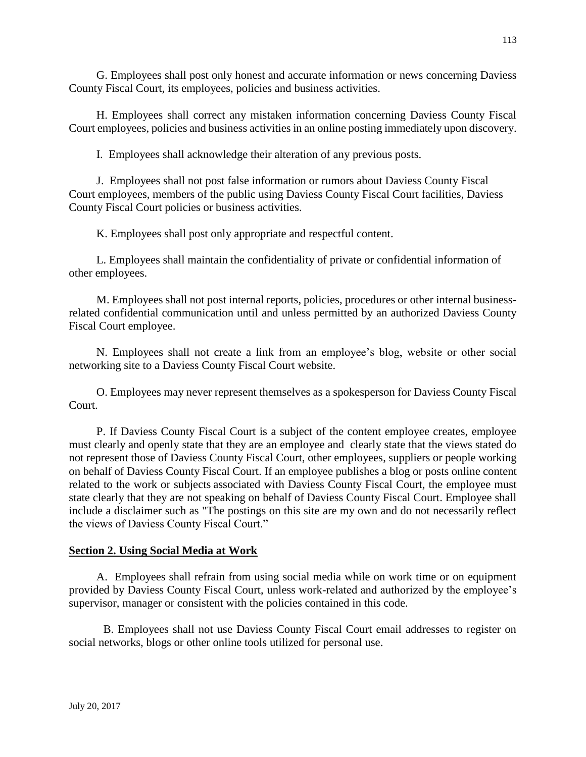G. Employees shall post only honest and accurate information or news concerning Daviess County Fiscal Court, its employees, policies and business activities.

H. Employees shall correct any mistaken information concerning Daviess County Fiscal Court employees, policies and business activities in an online posting immediately upon discovery.

I. Employees shall acknowledge their alteration of any previous posts.

J. Employees shall not post false information or rumors about Daviess County Fiscal Court employees, members of the public using Daviess County Fiscal Court facilities, Daviess County Fiscal Court policies or business activities.

K. Employees shall post only appropriate and respectful content.

L. Employees shall maintain the confidentiality of private or confidential information of other employees.

M. Employees shall not post internal reports, policies, procedures or other internal businessrelated confidential communication until and unless permitted by an authorized Daviess County Fiscal Court employee.

N. Employees shall not create a link from an employee's blog, website or other social networking site to a Daviess County Fiscal Court website.

O. Employees may never represent themselves as a spokesperson for Daviess County Fiscal Court.

P. If Daviess County Fiscal Court is a subject of the content employee creates, employee must clearly and openly state that they are an employee and clearly state that the views stated do not represent those of Daviess County Fiscal Court, other employees, suppliers or people working on behalf of Daviess County Fiscal Court. If an employee publishes a blog or posts online content related to the work or subjects associated with Daviess County Fiscal Court, the employee must state clearly that they are not speaking on behalf of Daviess County Fiscal Court. Employee shall include a disclaimer such as "The postings on this site are my own and do not necessarily reflect the views of Daviess County Fiscal Court."

# **Section 2. Using Social Media at Work**

A. Employees shall refrain from using social media while on work time or on equipment provided by Daviess County Fiscal Court, unless work-related and authorized by the employee's supervisor, manager or consistent with the policies contained in this code.

B. Employees shall not use Daviess County Fiscal Court email addresses to register on social networks, blogs or other online tools utilized for personal use.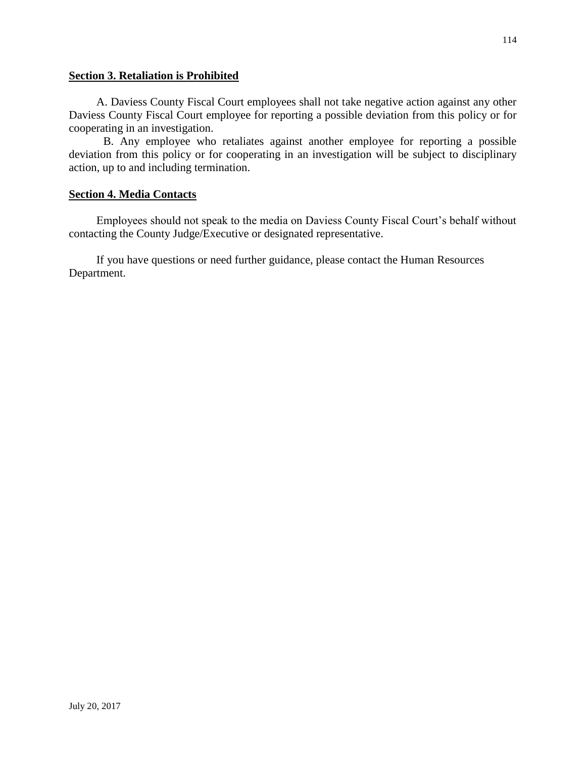## **Section 3. Retaliation is Prohibited**

A. Daviess County Fiscal Court employees shall not take negative action against any other Daviess County Fiscal Court employee for reporting a possible deviation from this policy or for cooperating in an investigation.

B. Any employee who retaliates against another employee for reporting a possible deviation from this policy or for cooperating in an investigation will be subject to disciplinary action, up to and including termination.

## **Section 4. Media Contacts**

Employees should not speak to the media on Daviess County Fiscal Court's behalf without contacting the County Judge/Executive or designated representative.

If you have questions or need further guidance, please contact the Human Resources Department.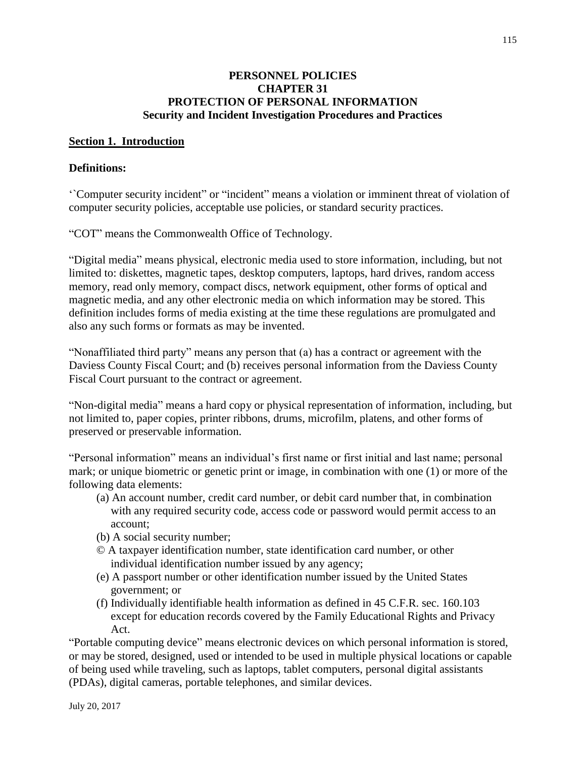## **PERSONNEL POLICIES CHAPTER 31 PROTECTION OF PERSONAL INFORMATION Security and Incident Investigation Procedures and Practices**

### **Section 1. Introduction**

### **Definitions:**

'`Computer security incident" or "incident" means a violation or imminent threat of violation of computer security policies, acceptable use policies, or standard security practices.

"COT" means the Commonwealth Office of Technology.

"Digital media" means physical, electronic media used to store information, including, but not limited to: diskettes, magnetic tapes, desktop computers, laptops, hard drives, random access memory, read only memory, compact discs, network equipment, other forms of optical and magnetic media, and any other electronic media on which information may be stored. This definition includes forms of media existing at the time these regulations are promulgated and also any such forms or formats as may be invented.

"Nonaffiliated third party" means any person that (a) has a contract or agreement with the Daviess County Fiscal Court; and (b) receives personal information from the Daviess County Fiscal Court pursuant to the contract or agreement.

"Non-digital media" means a hard copy or physical representation of information, including, but not limited to, paper copies, printer ribbons, drums, microfilm, platens, and other forms of preserved or preservable information.

"Personal information" means an individual's first name or first initial and last name; personal mark; or unique biometric or genetic print or image, in combination with one (1) or more of the following data elements:

- (a) An account number, credit card number, or debit card number that, in combination with any required security code, access code or password would permit access to an account;
- (b) A social security number;
- © A taxpayer identification number, state identification card number, or other individual identification number issued by any agency;
- (e) A passport number or other identification number issued by the United States government; or
- (f) Individually identifiable health information as defined in 45 C.F.R. sec. 160.103 except for education records covered by the Family Educational Rights and Privacy Act.

"Portable computing device" means electronic devices on which personal information is stored, or may be stored, designed, used or intended to be used in multiple physical locations or capable of being used while traveling, such as laptops, tablet computers, personal digital assistants (PDAs), digital cameras, portable telephones, and similar devices.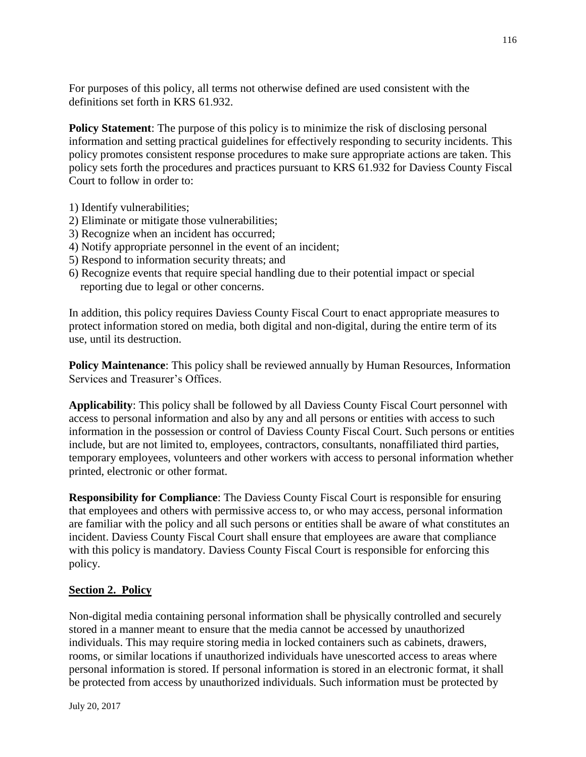For purposes of this policy, all terms not otherwise defined are used consistent with the definitions set forth in KRS 61.932.

**Policy Statement:** The purpose of this policy is to minimize the risk of disclosing personal information and setting practical guidelines for effectively responding to security incidents. This policy promotes consistent response procedures to make sure appropriate actions are taken. This policy sets forth the procedures and practices pursuant to KRS 61.932 for Daviess County Fiscal Court to follow in order to:

- 1) Identify vulnerabilities;
- 2) Eliminate or mitigate those vulnerabilities;
- 3) Recognize when an incident has occurred;
- 4) Notify appropriate personnel in the event of an incident;
- 5) Respond to information security threats; and
- 6) Recognize events that require special handling due to their potential impact or special reporting due to legal or other concerns.

In addition, this policy requires Daviess County Fiscal Court to enact appropriate measures to protect information stored on media, both digital and non-digital, during the entire term of its use, until its destruction.

**Policy Maintenance:** This policy shall be reviewed annually by Human Resources, Information Services and Treasurer's Offices.

**Applicability**: This policy shall be followed by all Daviess County Fiscal Court personnel with access to personal information and also by any and all persons or entities with access to such information in the possession or control of Daviess County Fiscal Court. Such persons or entities include, but are not limited to, employees, contractors, consultants, nonaffiliated third parties, temporary employees, volunteers and other workers with access to personal information whether printed, electronic or other format.

**Responsibility for Compliance**: The Daviess County Fiscal Court is responsible for ensuring that employees and others with permissive access to, or who may access, personal information are familiar with the policy and all such persons or entities shall be aware of what constitutes an incident. Daviess County Fiscal Court shall ensure that employees are aware that compliance with this policy is mandatory. Daviess County Fiscal Court is responsible for enforcing this policy.

## **Section 2. Policy**

Non-digital media containing personal information shall be physically controlled and securely stored in a manner meant to ensure that the media cannot be accessed by unauthorized individuals. This may require storing media in locked containers such as cabinets, drawers, rooms, or similar locations if unauthorized individuals have unescorted access to areas where personal information is stored. If personal information is stored in an electronic format, it shall be protected from access by unauthorized individuals. Such information must be protected by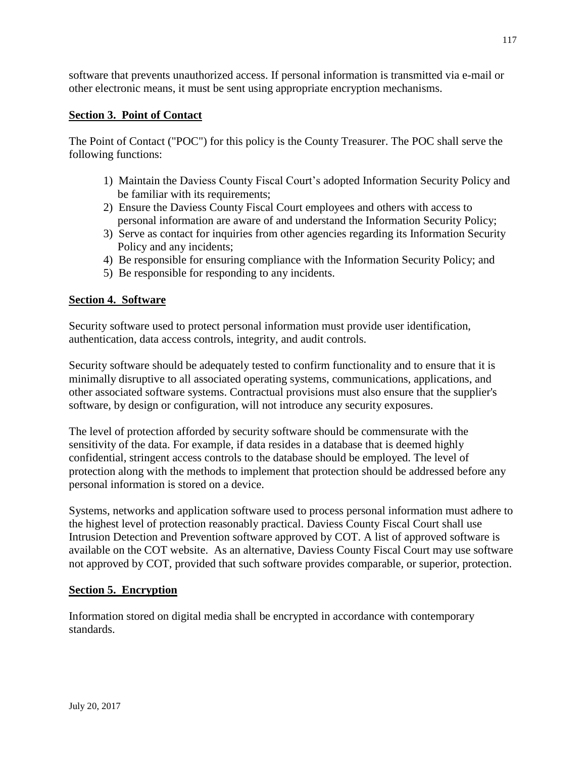software that prevents unauthorized access. If personal information is transmitted via e-mail or other electronic means, it must be sent using appropriate encryption mechanisms.

# **Section 3. Point of Contact**

The Point of Contact ("POC") for this policy is the County Treasurer. The POC shall serve the following functions:

- 1) Maintain the Daviess County Fiscal Court's adopted Information Security Policy and be familiar with its requirements;
- 2) Ensure the Daviess County Fiscal Court employees and others with access to personal information are aware of and understand the Information Security Policy;
- 3) Serve as contact for inquiries from other agencies regarding its Information Security Policy and any incidents;
- 4) Be responsible for ensuring compliance with the Information Security Policy; and
- 5) Be responsible for responding to any incidents.

# **Section 4. Software**

Security software used to protect personal information must provide user identification, authentication, data access controls, integrity, and audit controls.

Security software should be adequately tested to confirm functionality and to ensure that it is minimally disruptive to all associated operating systems, communications, applications, and other associated software systems. Contractual provisions must also ensure that the supplier's software, by design or configuration, will not introduce any security exposures.

The level of protection afforded by security software should be commensurate with the sensitivity of the data. For example, if data resides in a database that is deemed highly confidential, stringent access controls to the database should be employed. The level of protection along with the methods to implement that protection should be addressed before any personal information is stored on a device.

Systems, networks and application software used to process personal information must adhere to the highest level of protection reasonably practical. Daviess County Fiscal Court shall use Intrusion Detection and Prevention software approved by COT. A list of approved software is available on the COT website. As an alternative, Daviess County Fiscal Court may use software not approved by COT, provided that such software provides comparable, or superior, protection.

## **Section 5. Encryption**

Information stored on digital media shall be encrypted in accordance with contemporary standards.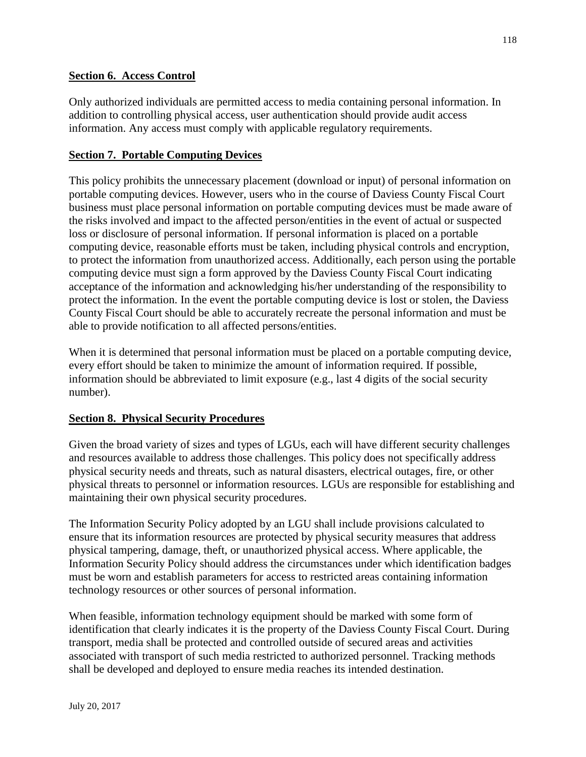# **Section 6. Access Control**

Only authorized individuals are permitted access to media containing personal information. In addition to controlling physical access, user authentication should provide audit access information. Any access must comply with applicable regulatory requirements.

# **Section 7. Portable Computing Devices**

This policy prohibits the unnecessary placement (download or input) of personal information on portable computing devices. However, users who in the course of Daviess County Fiscal Court business must place personal information on portable computing devices must be made aware of the risks involved and impact to the affected person/entities in the event of actual or suspected loss or disclosure of personal information. If personal information is placed on a portable computing device, reasonable efforts must be taken, including physical controls and encryption, to protect the information from unauthorized access. Additionally, each person using the portable computing device must sign a form approved by the Daviess County Fiscal Court indicating acceptance of the information and acknowledging his/her understanding of the responsibility to protect the information. In the event the portable computing device is lost or stolen, the Daviess County Fiscal Court should be able to accurately recreate the personal information and must be able to provide notification to all affected persons/entities.

When it is determined that personal information must be placed on a portable computing device, every effort should be taken to minimize the amount of information required. If possible, information should be abbreviated to limit exposure (e.g., last 4 digits of the social security number).

## **Section 8. Physical Security Procedures**

Given the broad variety of sizes and types of LGUs, each will have different security challenges and resources available to address those challenges. This policy does not specifically address physical security needs and threats, such as natural disasters, electrical outages, fire, or other physical threats to personnel or information resources. LGUs are responsible for establishing and maintaining their own physical security procedures.

The Information Security Policy adopted by an LGU shall include provisions calculated to ensure that its information resources are protected by physical security measures that address physical tampering, damage, theft, or unauthorized physical access. Where applicable, the Information Security Policy should address the circumstances under which identification badges must be worn and establish parameters for access to restricted areas containing information technology resources or other sources of personal information.

When feasible, information technology equipment should be marked with some form of identification that clearly indicates it is the property of the Daviess County Fiscal Court. During transport, media shall be protected and controlled outside of secured areas and activities associated with transport of such media restricted to authorized personnel. Tracking methods shall be developed and deployed to ensure media reaches its intended destination.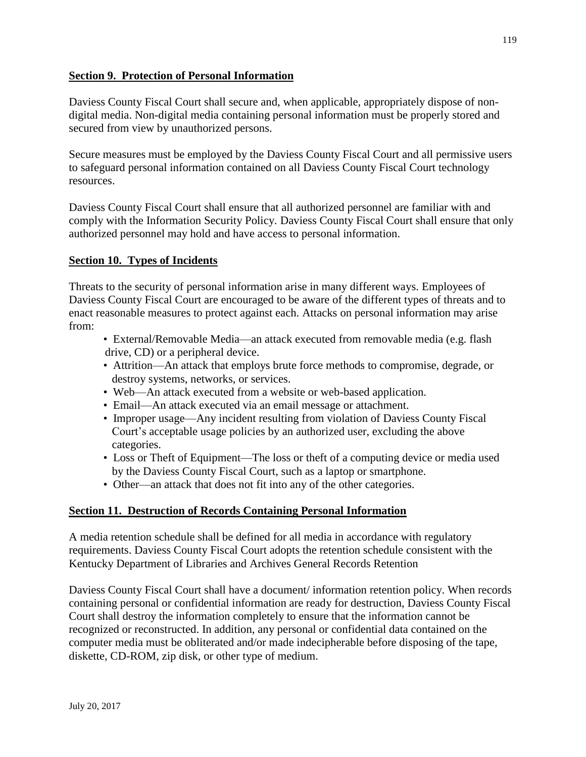# **Section 9. Protection of Personal Information**

Daviess County Fiscal Court shall secure and, when applicable, appropriately dispose of nondigital media. Non-digital media containing personal information must be properly stored and secured from view by unauthorized persons.

Secure measures must be employed by the Daviess County Fiscal Court and all permissive users to safeguard personal information contained on all Daviess County Fiscal Court technology resources.

Daviess County Fiscal Court shall ensure that all authorized personnel are familiar with and comply with the Information Security Policy. Daviess County Fiscal Court shall ensure that only authorized personnel may hold and have access to personal information.

# **Section 10. Types of Incidents**

Threats to the security of personal information arise in many different ways. Employees of Daviess County Fiscal Court are encouraged to be aware of the different types of threats and to enact reasonable measures to protect against each. Attacks on personal information may arise from:

- External/Removable Media—an attack executed from removable media (e.g. flash drive, CD) or a peripheral device.
- Attrition—An attack that employs brute force methods to compromise, degrade, or destroy systems, networks, or services.
- Web—An attack executed from a website or web-based application.
- Email—An attack executed via an email message or attachment.
- Improper usage—Any incident resulting from violation of Daviess County Fiscal Court's acceptable usage policies by an authorized user, excluding the above categories.
- Loss or Theft of Equipment—The loss or theft of a computing device or media used by the Daviess County Fiscal Court, such as a laptop or smartphone.
- Other—an attack that does not fit into any of the other categories.

## **Section 11. Destruction of Records Containing Personal Information**

A media retention schedule shall be defined for all media in accordance with regulatory requirements. Daviess County Fiscal Court adopts the retention schedule consistent with the Kentucky Department of Libraries and Archives General Records Retention

Daviess County Fiscal Court shall have a document/ information retention policy. When records containing personal or confidential information are ready for destruction, Daviess County Fiscal Court shall destroy the information completely to ensure that the information cannot be recognized or reconstructed. In addition, any personal or confidential data contained on the computer media must be obliterated and/or made indecipherable before disposing of the tape, diskette, CD-ROM, zip disk, or other type of medium.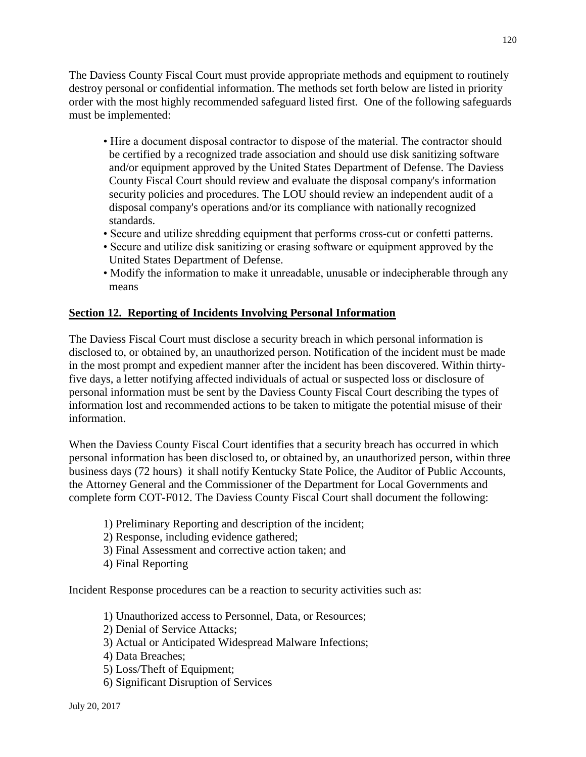The Daviess County Fiscal Court must provide appropriate methods and equipment to routinely destroy personal or confidential information. The methods set forth below are listed in priority order with the most highly recommended safeguard listed first. One of the following safeguards must be implemented:

- Hire a document disposal contractor to dispose of the material. The contractor should be certified by a recognized trade association and should use disk sanitizing software and/or equipment approved by the United States Department of Defense. The Daviess County Fiscal Court should review and evaluate the disposal company's information security policies and procedures. The LOU should review an independent audit of a disposal company's operations and/or its compliance with nationally recognized standards.
- Secure and utilize shredding equipment that performs cross-cut or confetti patterns.
- Secure and utilize disk sanitizing or erasing software or equipment approved by the United States Department of Defense.
- Modify the information to make it unreadable, unusable or indecipherable through any means

# **Section 12. Reporting of Incidents Involving Personal Information**

The Daviess Fiscal Court must disclose a security breach in which personal information is disclosed to, or obtained by, an unauthorized person. Notification of the incident must be made in the most prompt and expedient manner after the incident has been discovered. Within thirtyfive days, a letter notifying affected individuals of actual or suspected loss or disclosure of personal information must be sent by the Daviess County Fiscal Court describing the types of information lost and recommended actions to be taken to mitigate the potential misuse of their information.

When the Daviess County Fiscal Court identifies that a security breach has occurred in which personal information has been disclosed to, or obtained by, an unauthorized person, within three business days (72 hours) it shall notify Kentucky State Police, the Auditor of Public Accounts, the Attorney General and the Commissioner of the Department for Local Governments and complete form COT-F012. The Daviess County Fiscal Court shall document the following:

- 1) Preliminary Reporting and description of the incident;
- 2) Response, including evidence gathered;
- 3) Final Assessment and corrective action taken; and
- 4) Final Reporting

Incident Response procedures can be a reaction to security activities such as:

- 1) Unauthorized access to Personnel, Data, or Resources;
- 2) Denial of Service Attacks;
- 3) Actual or Anticipated Widespread Malware Infections;
- 4) Data Breaches;
- 5) Loss/Theft of Equipment;
- 6) Significant Disruption of Services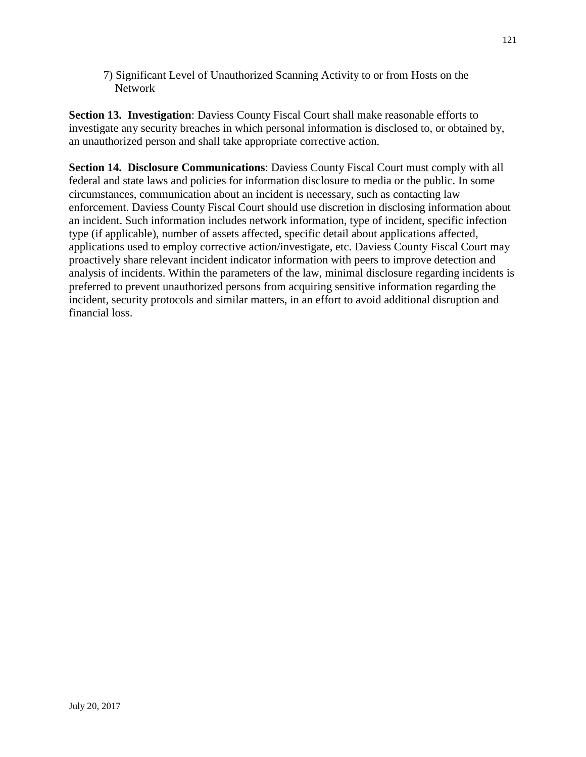7) Significant Level of Unauthorized Scanning Activity to or from Hosts on the **Network** 

**Section 13. Investigation**: Daviess County Fiscal Court shall make reasonable efforts to investigate any security breaches in which personal information is disclosed to, or obtained by, an unauthorized person and shall take appropriate corrective action.

**Section 14. Disclosure Communications**: Daviess County Fiscal Court must comply with all federal and state laws and policies for information disclosure to media or the public. In some circumstances, communication about an incident is necessary, such as contacting law enforcement. Daviess County Fiscal Court should use discretion in disclosing information about an incident. Such information includes network information, type of incident, specific infection type (if applicable), number of assets affected, specific detail about applications affected, applications used to employ corrective action/investigate, etc. Daviess County Fiscal Court may proactively share relevant incident indicator information with peers to improve detection and analysis of incidents. Within the parameters of the law, minimal disclosure regarding incidents is preferred to prevent unauthorized persons from acquiring sensitive information regarding the incident, security protocols and similar matters, in an effort to avoid additional disruption and financial loss.